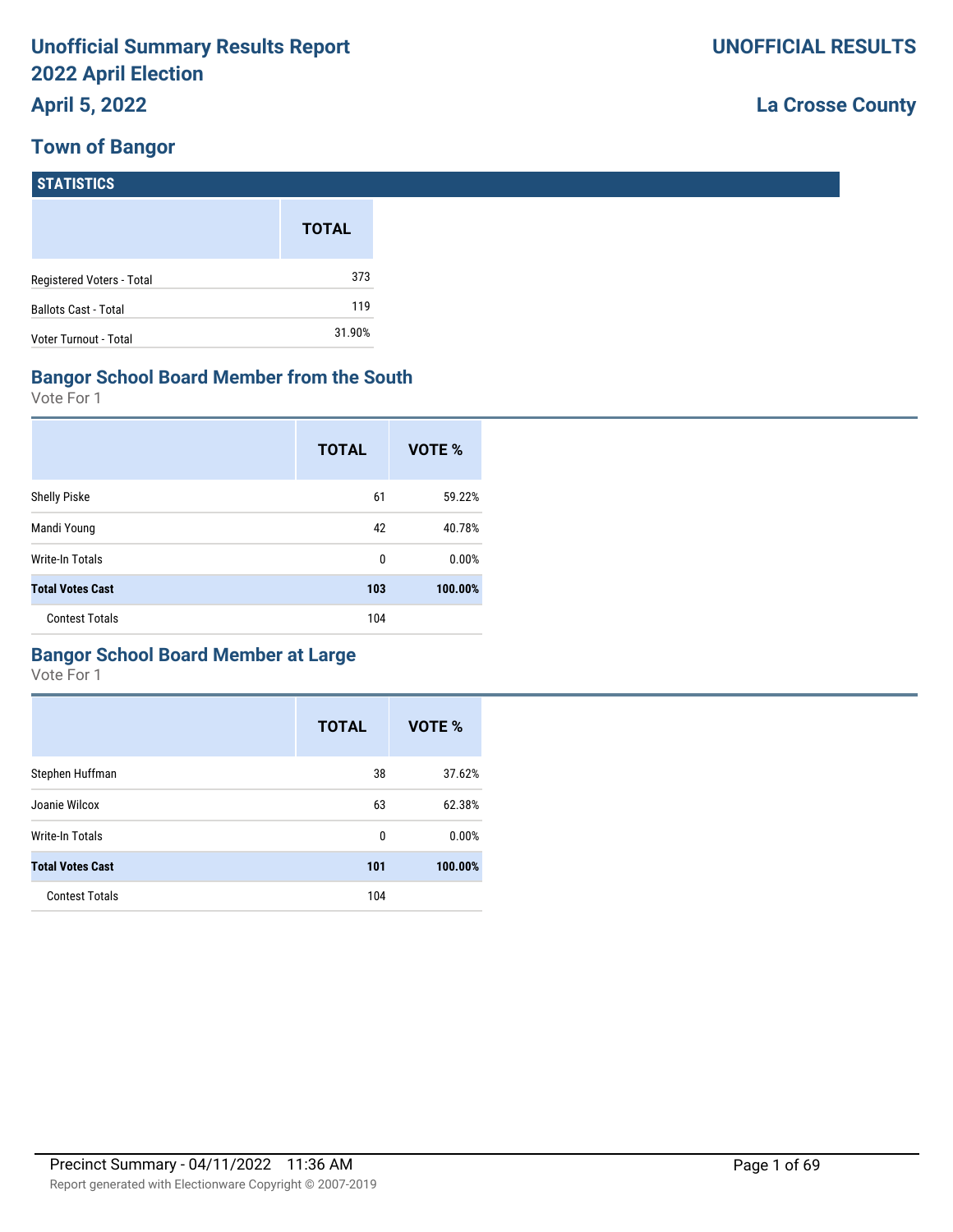# **La Crosse County**

# **STATISTICS**

| 7.1111110                   |              |
|-----------------------------|--------------|
|                             | <b>TOTAL</b> |
| Registered Voters - Total   | 373          |
| <b>Ballots Cast - Total</b> | 119          |
| Voter Turnout - Total       | 31.90%       |

#### **Bangor School Board Member from the South**

Vote For 1

|                         | <b>TOTAL</b> | VOTE %  |
|-------------------------|--------------|---------|
| <b>Shelly Piske</b>     | 61           | 59.22%  |
| Mandi Young             | 42           | 40.78%  |
| Write-In Totals         | 0            | 0.00%   |
| <b>Total Votes Cast</b> | 103          | 100.00% |
| <b>Contest Totals</b>   | 104          |         |

#### **Bangor School Board Member at Large**

|                         | <b>TOTAL</b> | VOTE %  |
|-------------------------|--------------|---------|
| Stephen Huffman         | 38           | 37.62%  |
| Joanie Wilcox           | 63           | 62.38%  |
| <b>Write-In Totals</b>  | 0            | 0.00%   |
| <b>Total Votes Cast</b> | 101          | 100.00% |
| <b>Contest Totals</b>   | 104          |         |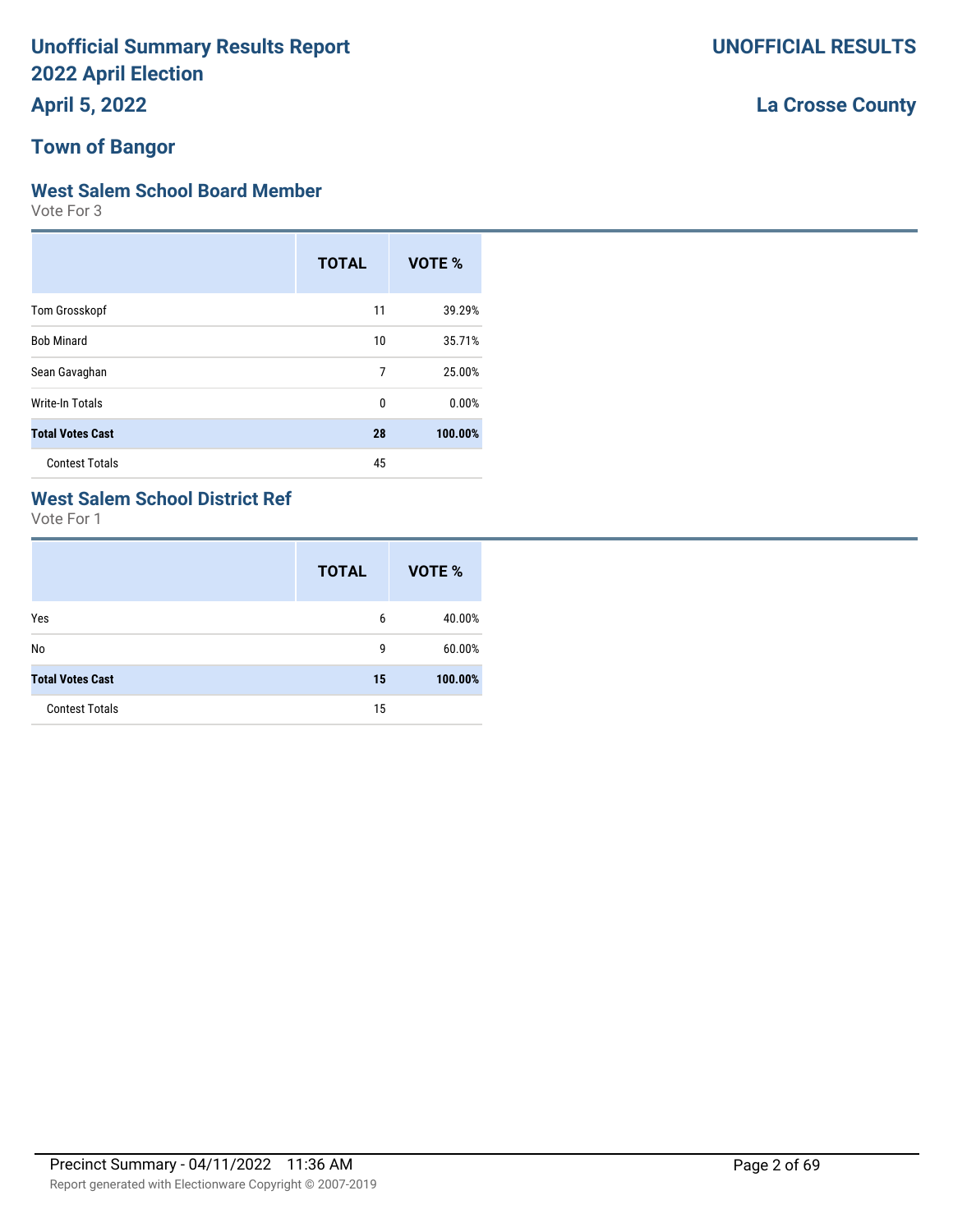# **Town of Bangor**

#### **West Salem School Board Member**

Vote For 3

|                         | <b>TOTAL</b> | VOTE %  |
|-------------------------|--------------|---------|
| Tom Grosskopf           | 11           | 39.29%  |
| <b>Bob Minard</b>       | 10           | 35.71%  |
| Sean Gavaghan           | 7            | 25.00%  |
| Write-In Totals         | 0            | 0.00%   |
| <b>Total Votes Cast</b> | 28           | 100.00% |
| <b>Contest Totals</b>   | 45           |         |

# **West Salem School District Ref**

|                         | <b>TOTAL</b> | <b>VOTE %</b> |
|-------------------------|--------------|---------------|
| Yes                     | 6            | 40.00%        |
| No                      | 9            | 60.00%        |
| <b>Total Votes Cast</b> | 15           | 100.00%       |
| <b>Contest Totals</b>   | 15           |               |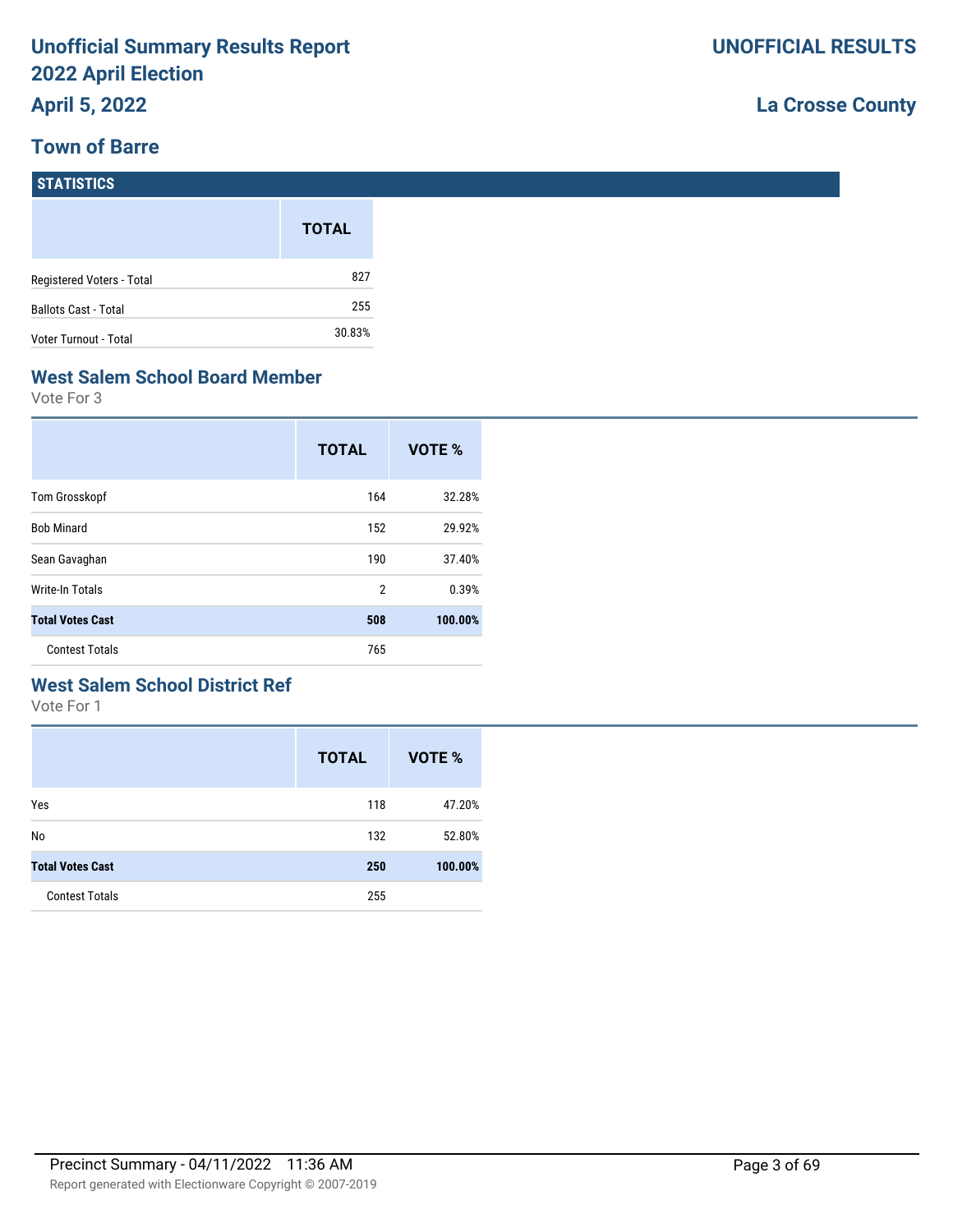#### **Town of Barre**

|                             | <b>TOTAL</b> |
|-----------------------------|--------------|
| Registered Voters - Total   | 827          |
| <b>Ballots Cast - Total</b> | 255          |
| Voter Turnout - Total       | 30.83%       |

#### **West Salem School Board Member**

Vote For 3

|                         | <b>TOTAL</b>   | VOTE %  |
|-------------------------|----------------|---------|
| Tom Grosskopf           | 164            | 32.28%  |
| <b>Bob Minard</b>       | 152            | 29.92%  |
| Sean Gavaghan           | 190            | 37.40%  |
| <b>Write-In Totals</b>  | $\overline{2}$ | 0.39%   |
| <b>Total Votes Cast</b> | 508            | 100.00% |
| <b>Contest Totals</b>   | 765            |         |

# **West Salem School District Ref**

Vote For 1

|                         | <b>TOTAL</b> | VOTE %  |
|-------------------------|--------------|---------|
| Yes                     | 118          | 47.20%  |
| No                      | 132          | 52.80%  |
| <b>Total Votes Cast</b> | 250          | 100.00% |
| <b>Contest Totals</b>   | 255          |         |

# **La Crosse County**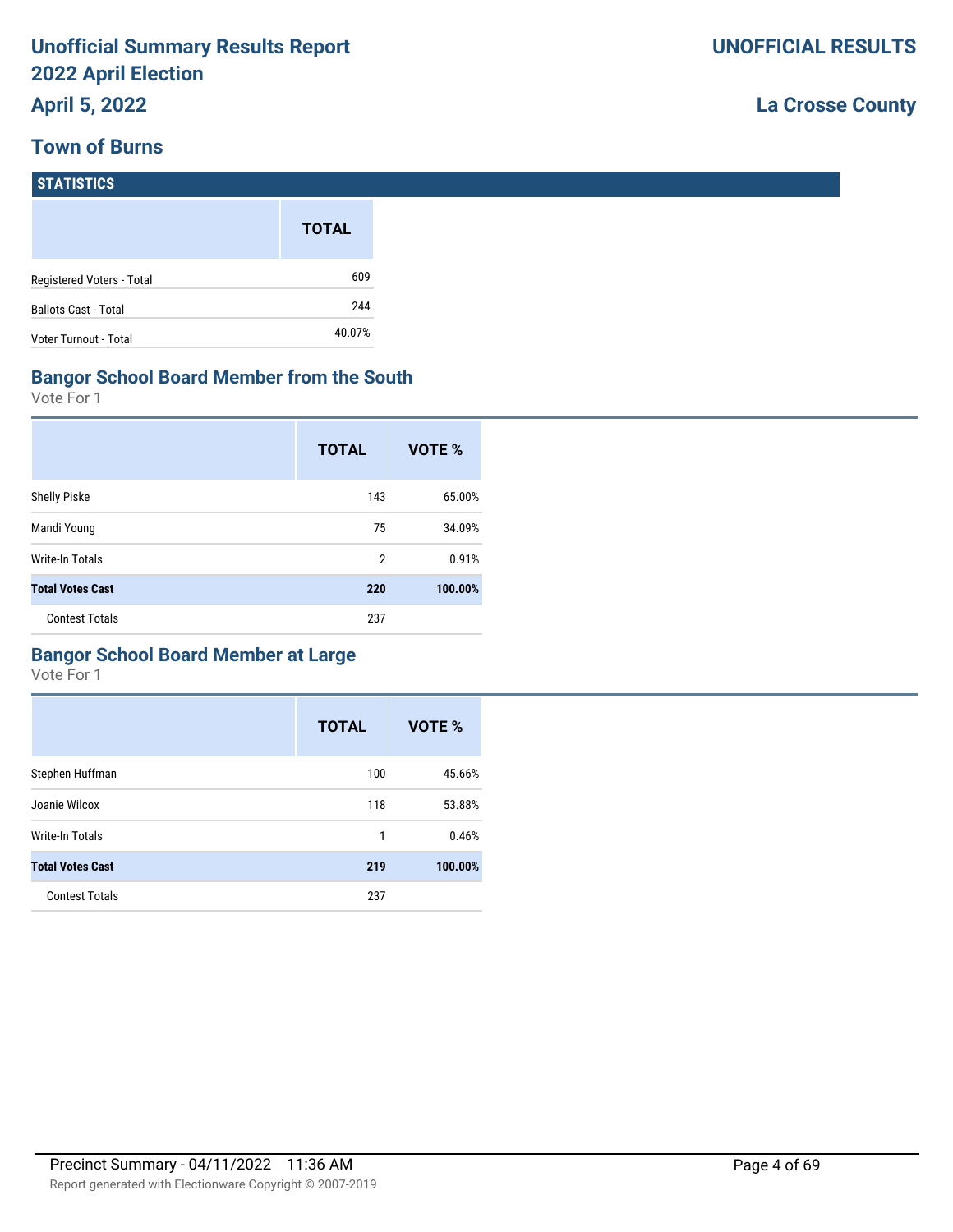# **La Crosse County**

#### **STATISTICS**

|                             | <b>TOTAL</b> |
|-----------------------------|--------------|
| Registered Voters - Total   | 609          |
| <b>Ballots Cast - Total</b> | 244          |
| Voter Turnout - Total       | 40.07%       |

#### **Bangor School Board Member from the South**

Vote For 1

|                         | <b>TOTAL</b>   | VOTE %  |
|-------------------------|----------------|---------|
| <b>Shelly Piske</b>     | 143            | 65.00%  |
| Mandi Young             | 75             | 34.09%  |
| Write-In Totals         | $\overline{2}$ | 0.91%   |
| <b>Total Votes Cast</b> | 220            | 100.00% |
| <b>Contest Totals</b>   | 237            |         |

#### **Bangor School Board Member at Large**

|                         | <b>TOTAL</b> | VOTE %  |
|-------------------------|--------------|---------|
| Stephen Huffman         | 100          | 45.66%  |
| Joanie Wilcox           | 118          | 53.88%  |
| <b>Write-In Totals</b>  | 1            | 0.46%   |
| <b>Total Votes Cast</b> | 219          | 100.00% |
| <b>Contest Totals</b>   | 237          |         |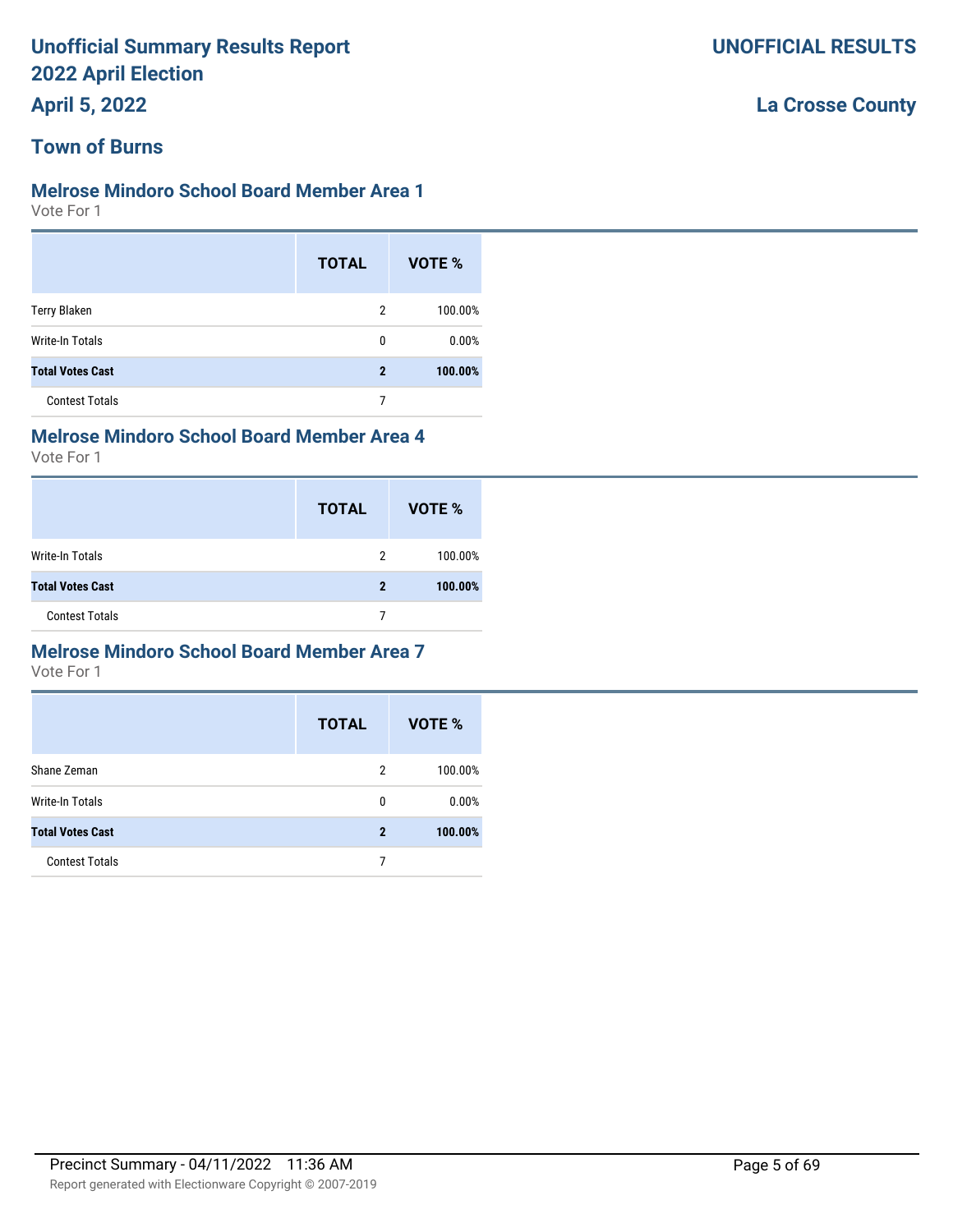**April 5, 2022**

# **UNOFFICIAL RESULTS**

**La Crosse County**

#### **Town of Burns**

# **Melrose Mindoro School Board Member Area 1**

Vote For 1

|                         | <b>TOTAL</b>   | VOTE %  |
|-------------------------|----------------|---------|
| <b>Terry Blaken</b>     | $\overline{2}$ | 100.00% |
| <b>Write-In Totals</b>  | 0              | 0.00%   |
| <b>Total Votes Cast</b> | $\mathbf 2$    | 100.00% |
| <b>Contest Totals</b>   | 7              |         |

### **Melrose Mindoro School Board Member Area 4**

Vote For 1

|                         | <b>TOTAL</b> | VOTE %  |
|-------------------------|--------------|---------|
| Write-In Totals         | 2            | 100.00% |
| <b>Total Votes Cast</b> | $\mathbf{2}$ | 100.00% |
| <b>Contest Totals</b>   |              |         |

#### Vote For 1 **Melrose Mindoro School Board Member Area 7**

|                         | <b>TOTAL</b> | VOTE %  |
|-------------------------|--------------|---------|
| Shane Zeman             | 2            | 100.00% |
| Write-In Totals         | 0            | 0.00%   |
| <b>Total Votes Cast</b> | $\mathbf 2$  | 100.00% |
| <b>Contest Totals</b>   | 7            |         |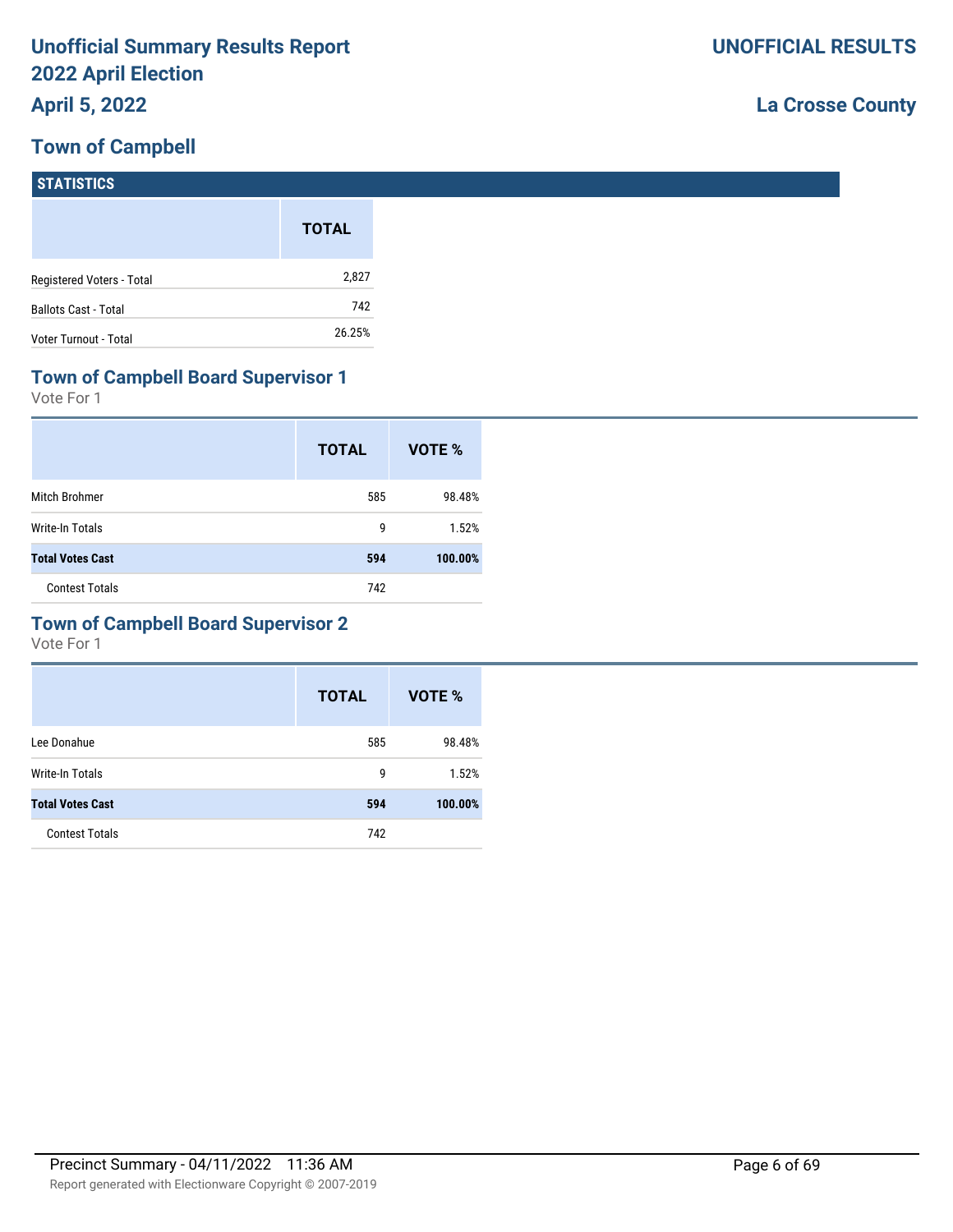# **La Crosse County**

**STATISTICS** 

| 1311131103                  |              |
|-----------------------------|--------------|
|                             | <b>TOTAL</b> |
| Registered Voters - Total   | 2,827        |
| <b>Ballots Cast - Total</b> | 742          |
| Voter Turnout - Total       | 26.25%       |

### **Town of Campbell Board Supervisor 1**

Vote For 1

|                         | <b>TOTAL</b> | VOTE %  |
|-------------------------|--------------|---------|
| <b>Mitch Brohmer</b>    | 585          | 98.48%  |
| Write-In Totals         | 9            | 1.52%   |
| <b>Total Votes Cast</b> | 594          | 100.00% |
| <b>Contest Totals</b>   | 742          |         |

#### **Town of Campbell Board Supervisor 2**

|                         | <b>TOTAL</b> | VOTE %  |
|-------------------------|--------------|---------|
| Lee Donahue             | 585          | 98.48%  |
| Write-In Totals         | 9            | 1.52%   |
| <b>Total Votes Cast</b> | 594          | 100.00% |
| <b>Contest Totals</b>   | 742          |         |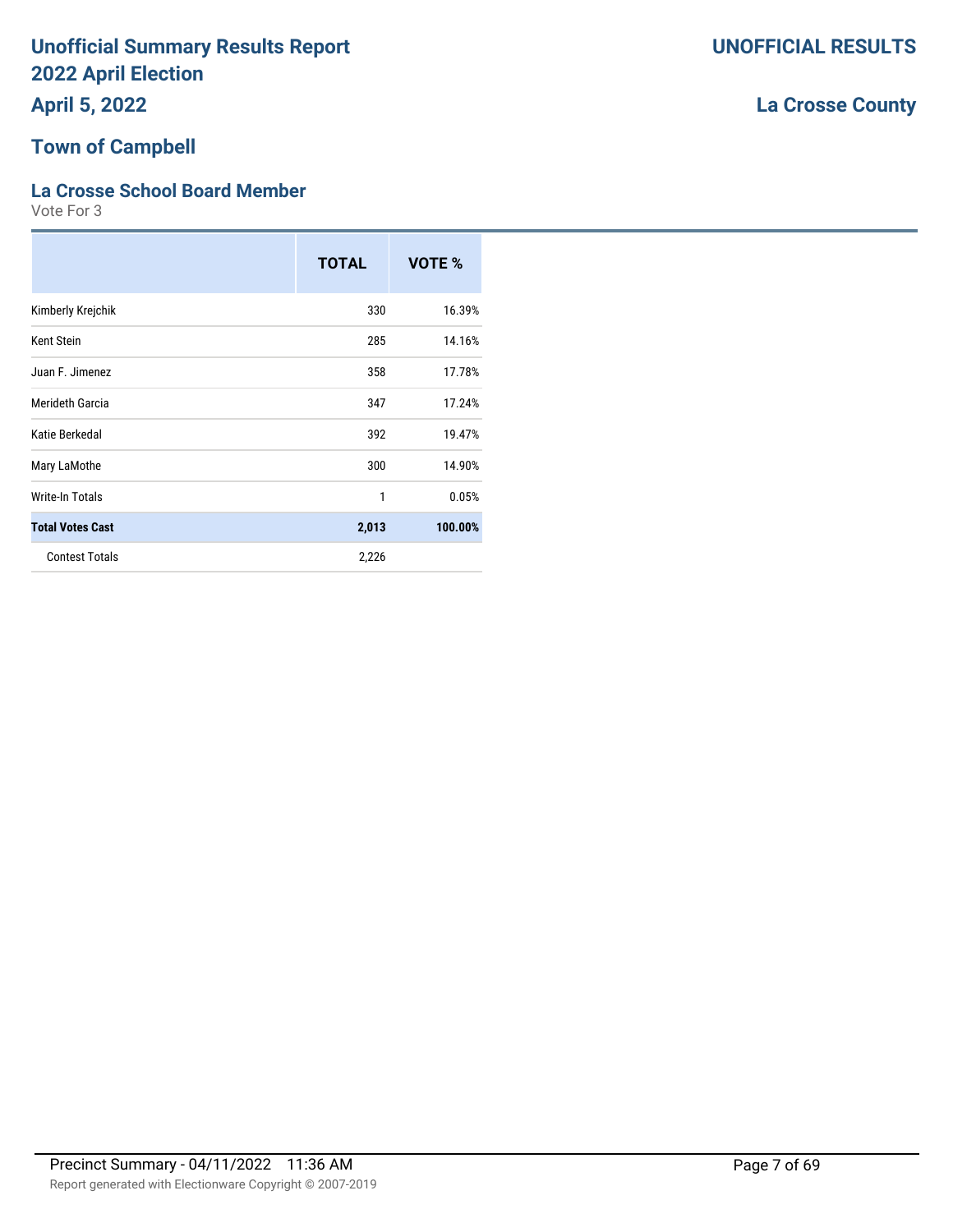# **Town of Campbell**

#### **La Crosse School Board Member**

Vote For 3

|                         | <b>TOTAL</b> | VOTE %  |
|-------------------------|--------------|---------|
| Kimberly Krejchik       | 330          | 16.39%  |
| <b>Kent Stein</b>       | 285          | 14.16%  |
| Juan F. Jimenez         | 358          | 17.78%  |
| <b>Merideth Garcia</b>  | 347          | 17.24%  |
| Katie Berkedal          | 392          | 19.47%  |
| Mary LaMothe            | 300          | 14.90%  |
| Write-In Totals         | 1            | 0.05%   |
| <b>Total Votes Cast</b> | 2,013        | 100.00% |
| <b>Contest Totals</b>   | 2,226        |         |

# **La Crosse County**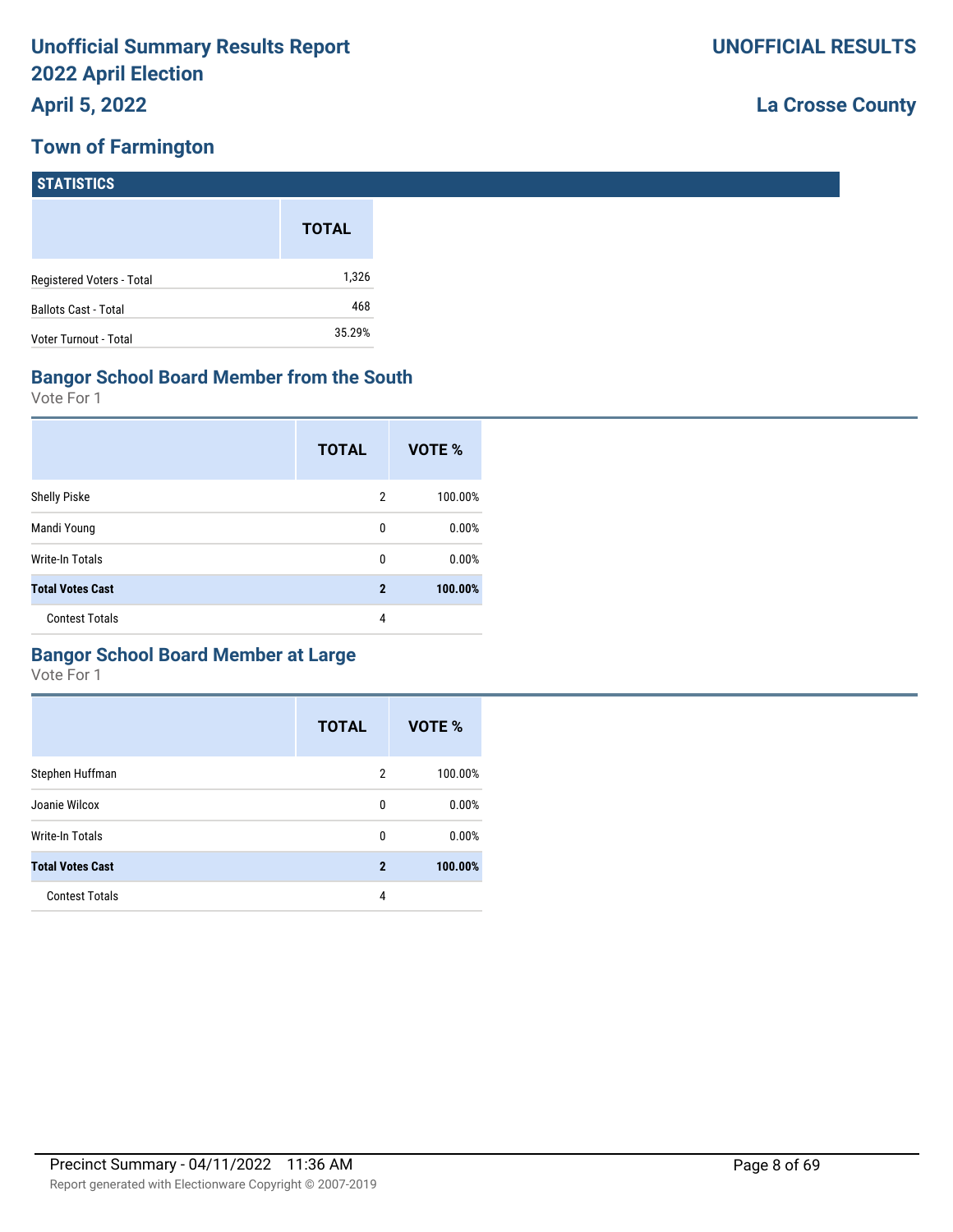# **La Crosse County**

# **Town of Farmington**

| STATISTICS                  |              |
|-----------------------------|--------------|
|                             | <b>TOTAL</b> |
| Registered Voters - Total   | 1,326        |
| <b>Ballots Cast - Total</b> | 468          |
| Voter Turnout - Total       | 35.29%       |

#### **Bangor School Board Member from the South**

Vote For 1

|                         | <b>TOTAL</b>   | VOTE %  |
|-------------------------|----------------|---------|
| <b>Shelly Piske</b>     | $\overline{2}$ | 100.00% |
| Mandi Young             | 0              | 0.00%   |
| <b>Write-In Totals</b>  | 0              | 0.00%   |
| <b>Total Votes Cast</b> | $\mathbf 2$    | 100.00% |
| <b>Contest Totals</b>   | 4              |         |

#### **Bangor School Board Member at Large**

|                         | <b>TOTAL</b>   | VOTE %  |
|-------------------------|----------------|---------|
| Stephen Huffman         | $\overline{2}$ | 100.00% |
| Joanie Wilcox           | 0              | 0.00%   |
| <b>Write-In Totals</b>  | 0              | 0.00%   |
| <b>Total Votes Cast</b> | $\mathbf 2$    | 100.00% |
| <b>Contest Totals</b>   | 4              |         |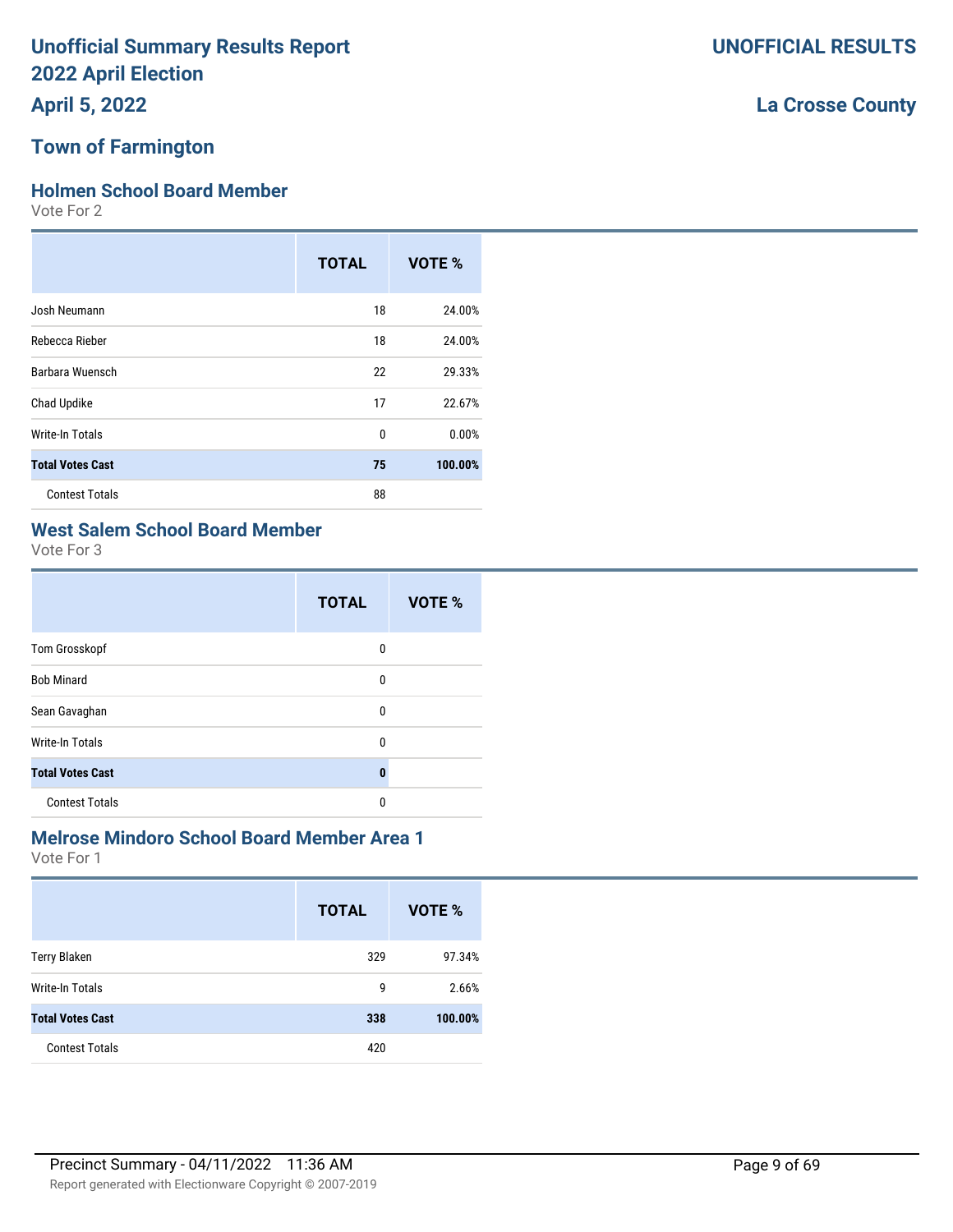#### **Town of Farmington**

#### **Holmen School Board Member**

Vote For 2

|                         | <b>TOTAL</b> | VOTE %  |
|-------------------------|--------------|---------|
| Josh Neumann            | 18           | 24.00%  |
| Rebecca Rieber          | 18           | 24.00%  |
| Barbara Wuensch         | 22           | 29.33%  |
| Chad Updike             | 17           | 22.67%  |
| Write-In Totals         | 0            | 0.00%   |
| <b>Total Votes Cast</b> | 75           | 100.00% |
| <b>Contest Totals</b>   | 88           |         |

#### **West Salem School Board Member**

Vote For 3

|                         | <b>TOTAL</b> | VOTE % |
|-------------------------|--------------|--------|
| Tom Grosskopf           | 0            |        |
| <b>Bob Minard</b>       | 0            |        |
| Sean Gavaghan           | 0            |        |
| <b>Write-In Totals</b>  | 0            |        |
| <b>Total Votes Cast</b> | 0            |        |
| <b>Contest Totals</b>   | 0            |        |

#### **Melrose Mindoro School Board Member Area 1**

Vote For 1

|                         | <b>TOTAL</b> | VOTE %  |
|-------------------------|--------------|---------|
| <b>Terry Blaken</b>     | 329          | 97.34%  |
| <b>Write-In Totals</b>  | 9            | 2.66%   |
| <b>Total Votes Cast</b> | 338          | 100.00% |
| <b>Contest Totals</b>   | 420          |         |

#### **La Crosse County**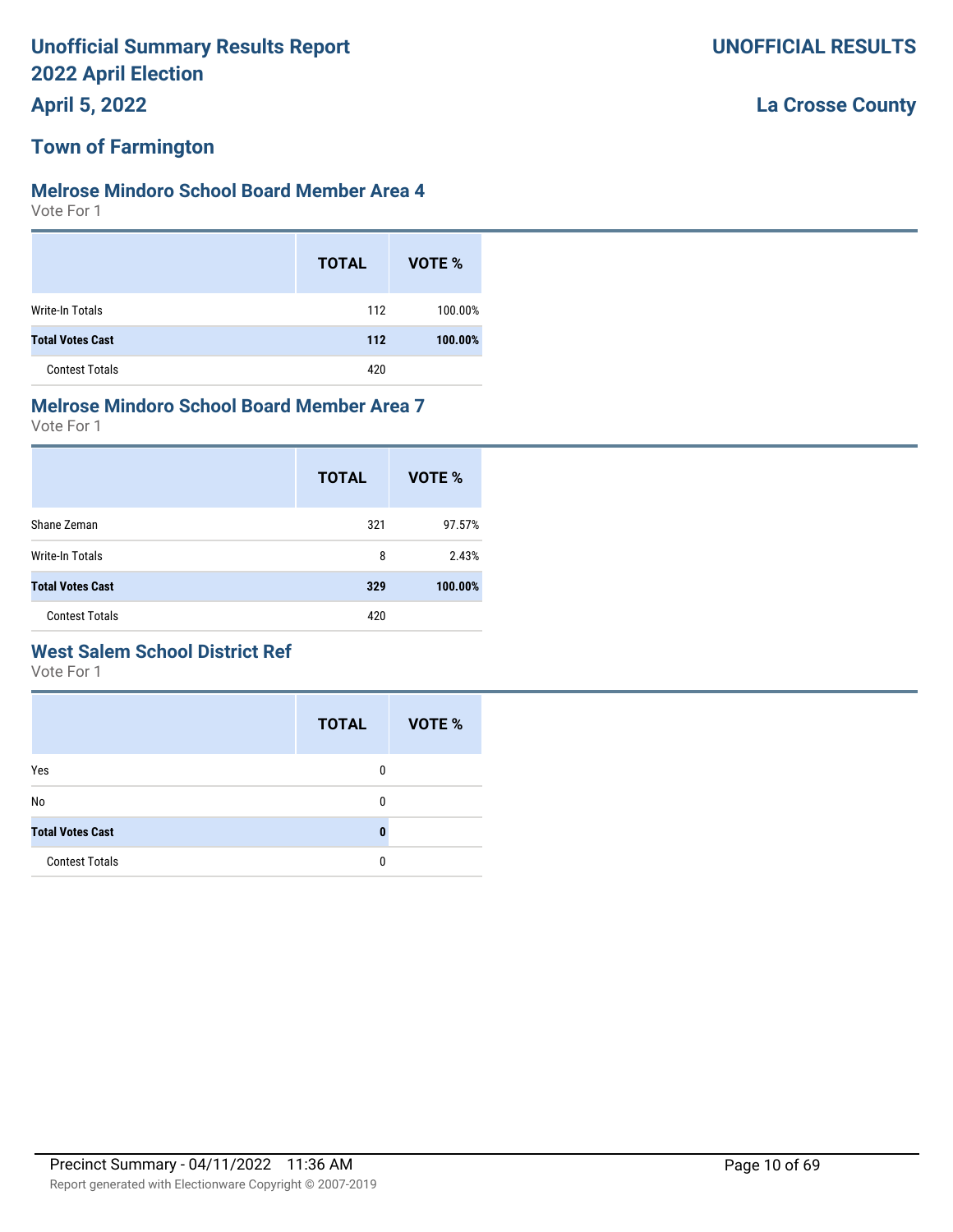**La Crosse County**

# **Town of Farmington**

# **Melrose Mindoro School Board Member Area 4**

Vote For 1

|                         | <b>TOTAL</b> | VOTE %  |
|-------------------------|--------------|---------|
| Write-In Totals         | 112          | 100.00% |
| <b>Total Votes Cast</b> | 112          | 100.00% |
| <b>Contest Totals</b>   | 420          |         |

#### **Melrose Mindoro School Board Member Area 7**

Vote For 1

|                         | <b>TOTAL</b> | VOTE %  |
|-------------------------|--------------|---------|
| Shane Zeman             | 321          | 97.57%  |
| Write-In Totals         | 8            | 2.43%   |
| <b>Total Votes Cast</b> | 329          | 100.00% |
| <b>Contest Totals</b>   | 420          |         |

#### **West Salem School District Ref**

|                         | <b>TOTAL</b> | VOTE % |
|-------------------------|--------------|--------|
| Yes                     | 0            |        |
| No                      | 0            |        |
| <b>Total Votes Cast</b> | 0            |        |
| <b>Contest Totals</b>   | 0            |        |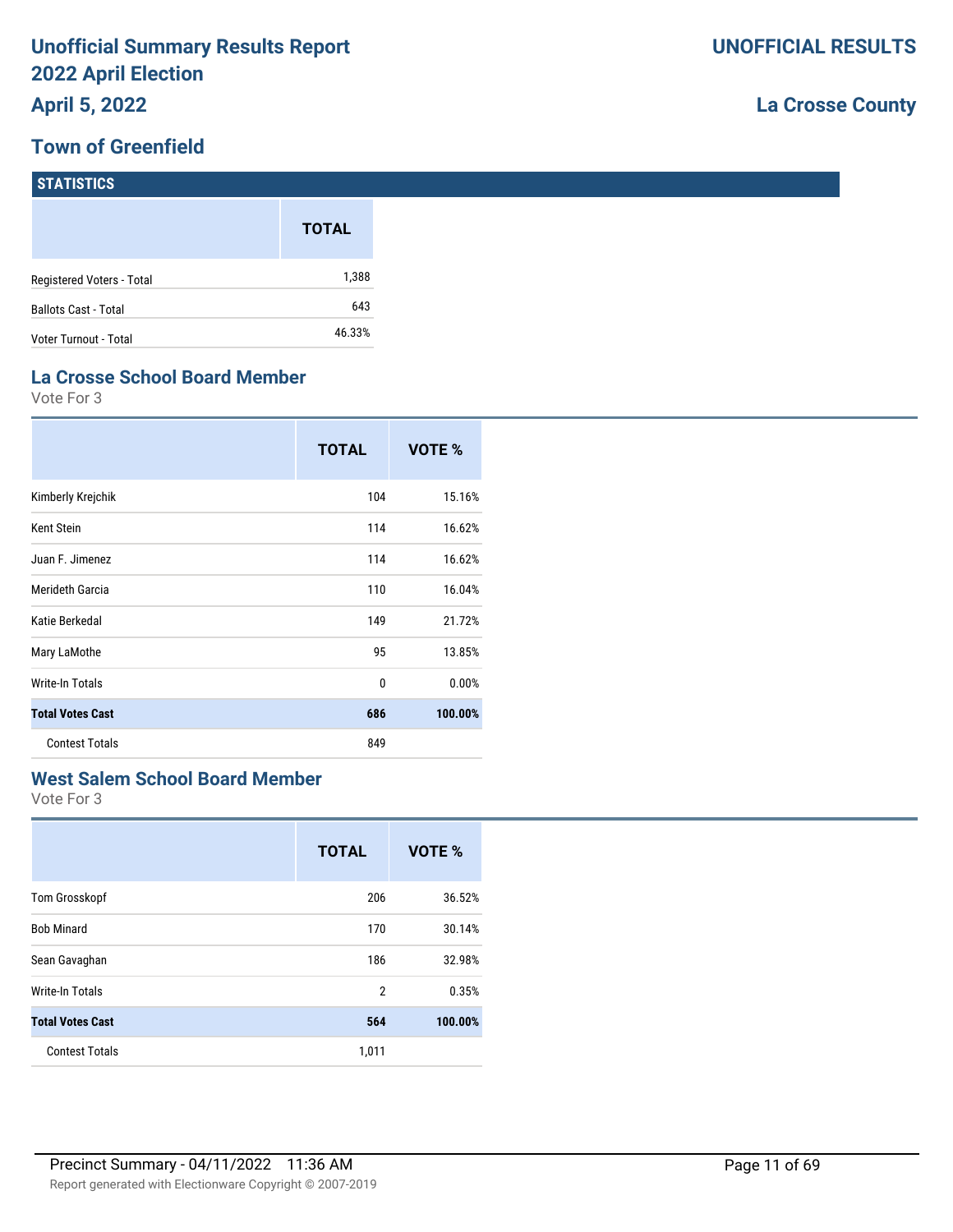# **La Crosse County**

# **Town of Greenfield**

| STATISTICS                |              |
|---------------------------|--------------|
|                           | <b>TOTAL</b> |
| Registered Voters - Total | 1,388        |
| Ballots Cast - Total      | 643          |
| Voter Turnout - Total     | 46.33%       |

#### **La Crosse School Board Member**

Vote For 3

|                         | <b>TOTAL</b> | VOTE %  |
|-------------------------|--------------|---------|
| Kimberly Krejchik       | 104          | 15.16%  |
| <b>Kent Stein</b>       | 114          | 16.62%  |
| Juan F. Jimenez         | 114          | 16.62%  |
| <b>Merideth Garcia</b>  | 110          | 16.04%  |
| Katie Berkedal          | 149          | 21.72%  |
| Mary LaMothe            | 95           | 13.85%  |
| Write-In Totals         | $\mathbf{0}$ | 0.00%   |
| <b>Total Votes Cast</b> | 686          | 100.00% |
| <b>Contest Totals</b>   | 849          |         |

### **West Salem School Board Member**

|                         | <b>TOTAL</b>   | VOTE %  |
|-------------------------|----------------|---------|
| Tom Grosskopf           | 206            | 36.52%  |
| <b>Bob Minard</b>       | 170            | 30.14%  |
| Sean Gavaghan           | 186            | 32.98%  |
| <b>Write-In Totals</b>  | $\overline{2}$ | 0.35%   |
| <b>Total Votes Cast</b> | 564            | 100.00% |
| <b>Contest Totals</b>   | 1,011          |         |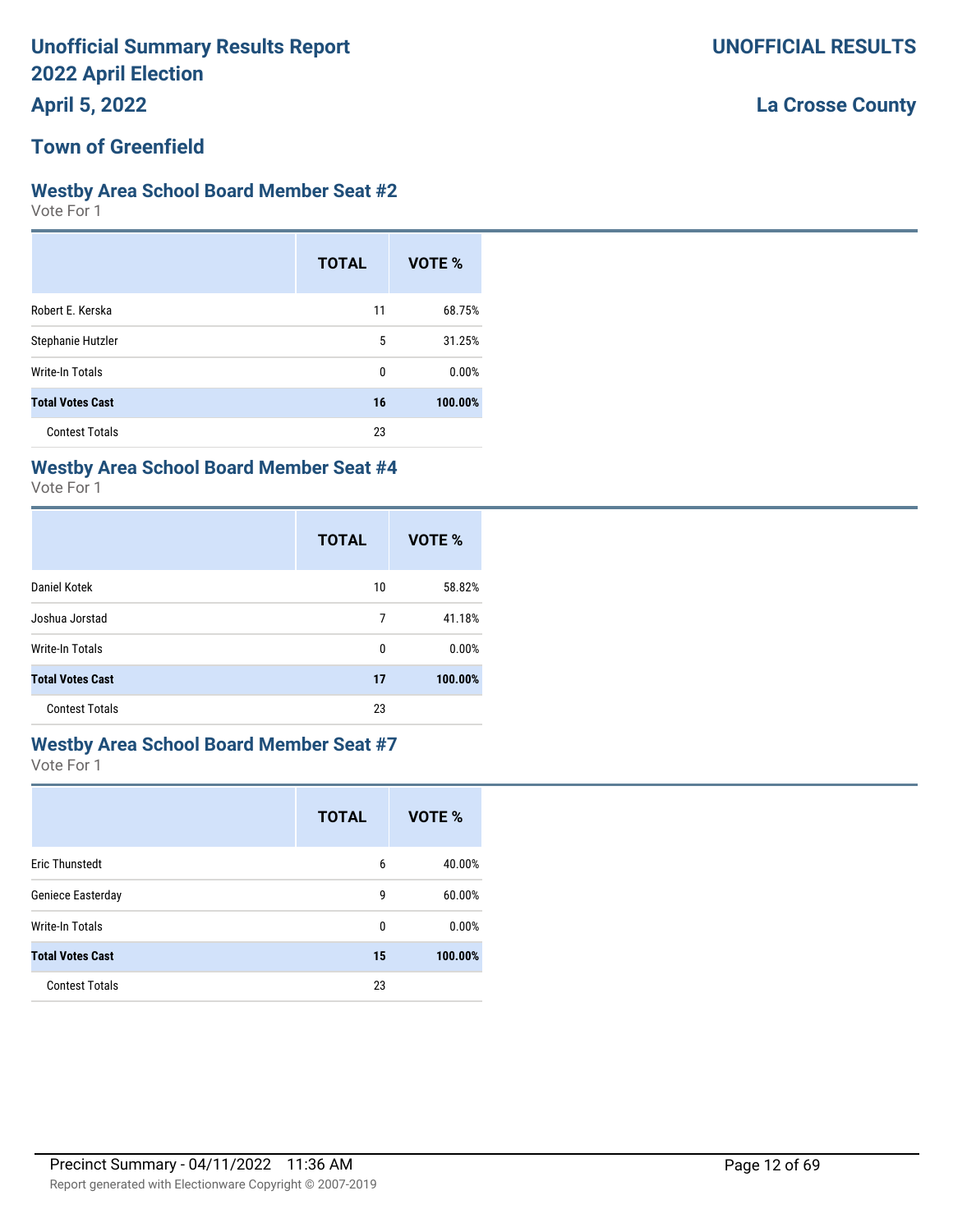# **La Crosse County**

# **Town of Greenfield**

### **Westby Area School Board Member Seat #2**

Vote For 1

|                         | <b>TOTAL</b> | VOTE %  |
|-------------------------|--------------|---------|
| Robert E. Kerska        | 11           | 68.75%  |
| Stephanie Hutzler       | 5            | 31.25%  |
| Write-In Totals         | 0            | 0.00%   |
| <b>Total Votes Cast</b> | 16           | 100.00% |
| <b>Contest Totals</b>   | 23           |         |

# **Westby Area School Board Member Seat #4**

Vote For 1

|                         | <b>TOTAL</b> | VOTE %  |
|-------------------------|--------------|---------|
| Daniel Kotek            | 10           | 58.82%  |
| Joshua Jorstad          | 7            | 41.18%  |
| Write-In Totals         | 0            | 0.00%   |
| <b>Total Votes Cast</b> | 17           | 100.00% |
| <b>Contest Totals</b>   | 23           |         |

#### **Westby Area School Board Member Seat #7**

|                         | <b>TOTAL</b> | VOTE %  |
|-------------------------|--------------|---------|
| <b>Eric Thunstedt</b>   | 6            | 40.00%  |
| Geniece Easterday       | 9            | 60.00%  |
| Write-In Totals         | 0            | 0.00%   |
| <b>Total Votes Cast</b> | 15           | 100.00% |
| <b>Contest Totals</b>   | 23           |         |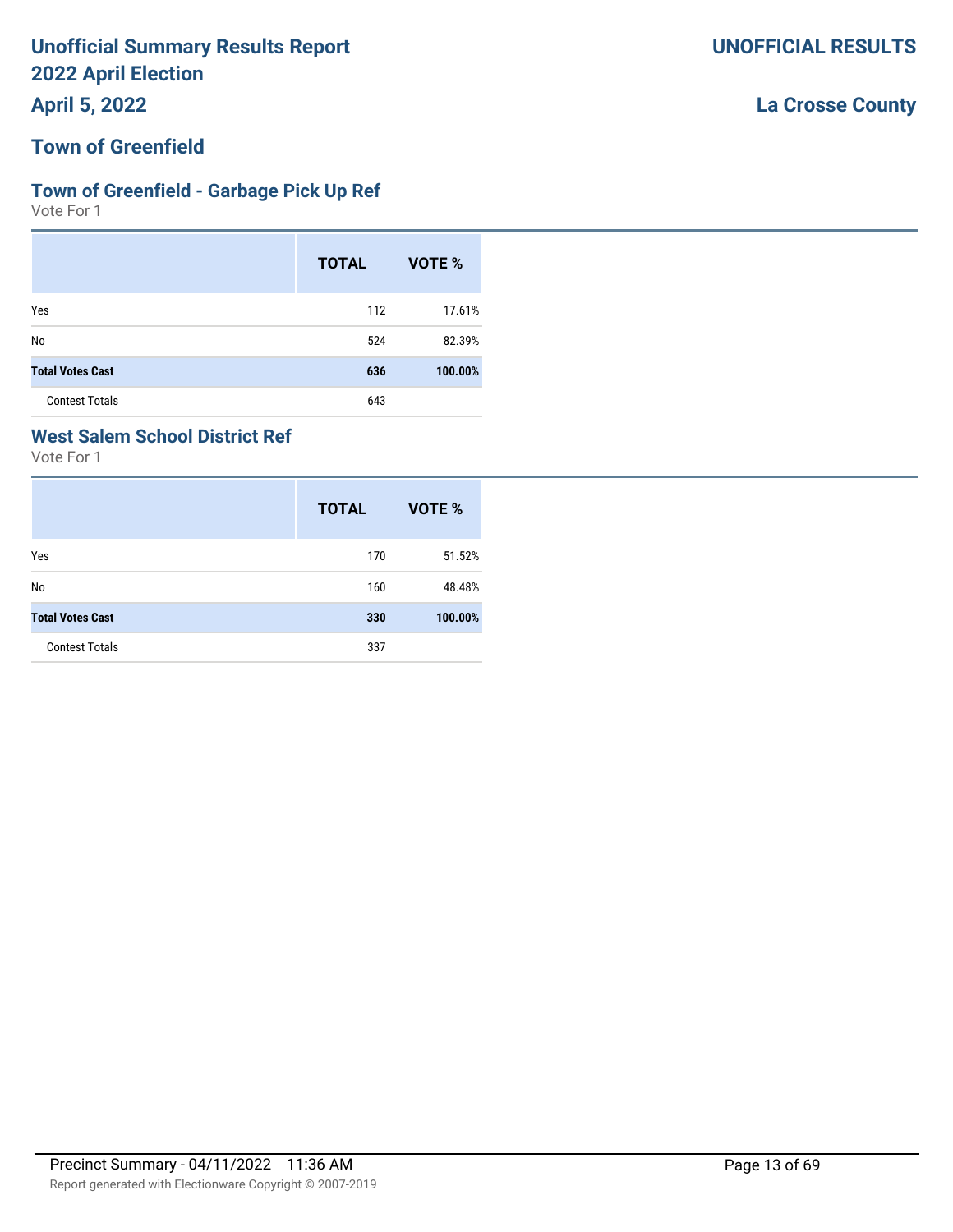**La Crosse County**

#### **Town of Greenfield**

#### **Town of Greenfield - Garbage Pick Up Ref**

Vote For 1

|                         | <b>TOTAL</b> | VOTE %  |
|-------------------------|--------------|---------|
| Yes                     | 112          | 17.61%  |
| No                      | 524          | 82.39%  |
| <b>Total Votes Cast</b> | 636          | 100.00% |
| <b>Contest Totals</b>   | 643          |         |

# **West Salem School District Ref**

|                         | <b>TOTAL</b> | VOTE %  |
|-------------------------|--------------|---------|
| Yes                     | 170          | 51.52%  |
| No                      | 160          | 48.48%  |
| <b>Total Votes Cast</b> | 330          | 100.00% |
| <b>Contest Totals</b>   | 337          |         |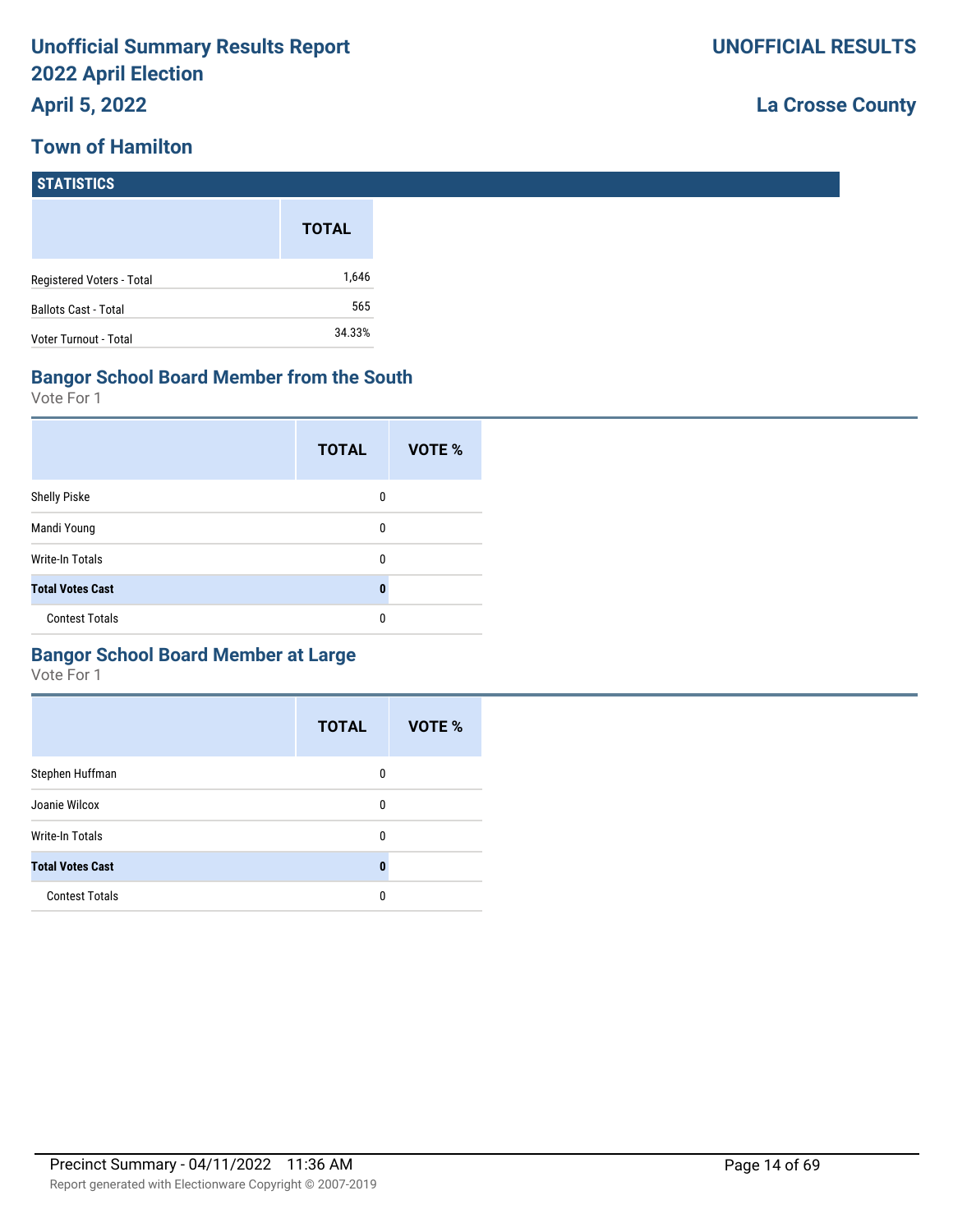# **La Crosse County**

#### **Town of Hamilton**

| STATISTICS                |              |
|---------------------------|--------------|
|                           | <b>TOTAL</b> |
| Registered Voters - Total | 1,646        |
| Ballots Cast - Total      | 565          |
| Voter Turnout - Total     | 34.33%       |

#### **Bangor School Board Member from the South**

Vote For 1

|                         | <b>TOTAL</b> | VOTE % |
|-------------------------|--------------|--------|
| <b>Shelly Piske</b>     | 0            |        |
| Mandi Young             | 0            |        |
| Write-In Totals         | 0            |        |
| <b>Total Votes Cast</b> | 0            |        |
| <b>Contest Totals</b>   | 0            |        |

### **Bangor School Board Member at Large**

|                         | <b>TOTAL</b> | VOTE % |
|-------------------------|--------------|--------|
| Stephen Huffman         | 0            |        |
| Joanie Wilcox           | 0            |        |
| <b>Write-In Totals</b>  | 0            |        |
| <b>Total Votes Cast</b> | 0            |        |
| <b>Contest Totals</b>   | 0            |        |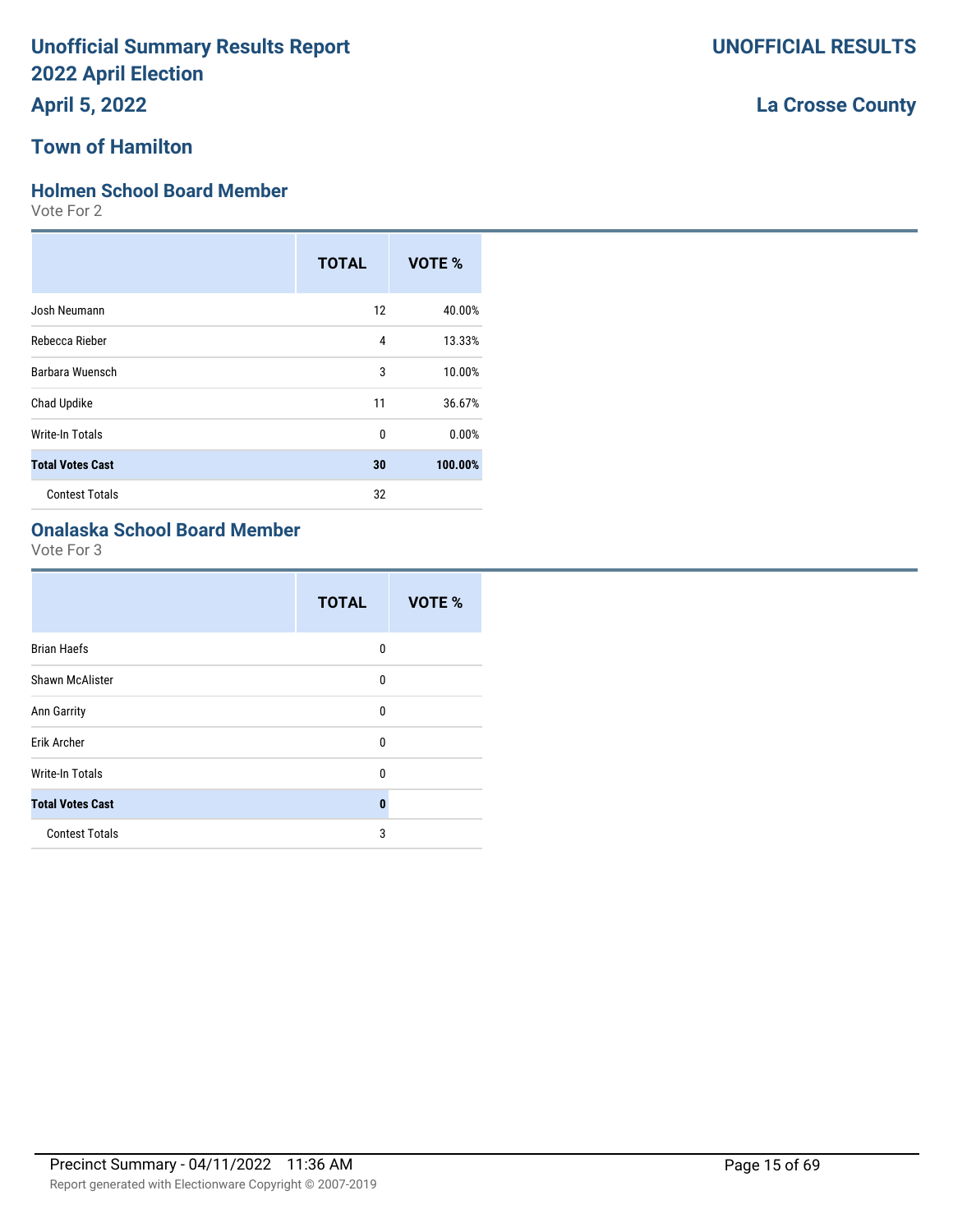# **Town of Hamilton**

#### **Holmen School Board Member**

Vote For 2

|                         | <b>TOTAL</b> | VOTE %  |
|-------------------------|--------------|---------|
| Josh Neumann            | 12           | 40.00%  |
| Rebecca Rieber          | 4            | 13.33%  |
| Barbara Wuensch         | 3            | 10.00%  |
| Chad Updike             | 11           | 36.67%  |
| Write-In Totals         | 0            | 0.00%   |
| <b>Total Votes Cast</b> | 30           | 100.00% |
| <b>Contest Totals</b>   | 32           |         |

#### **Onalaska School Board Member**

Vote For 3

|                         | <b>TOTAL</b> | <b>VOTE %</b> |
|-------------------------|--------------|---------------|
| <b>Brian Haefs</b>      | 0            |               |
| <b>Shawn McAlister</b>  | 0            |               |
| Ann Garrity             | 0            |               |
| Erik Archer             | 0            |               |
| <b>Write-In Totals</b>  | $\mathbf{0}$ |               |
| <b>Total Votes Cast</b> | $\bf{0}$     |               |
| <b>Contest Totals</b>   | 3            |               |

# **La Crosse County**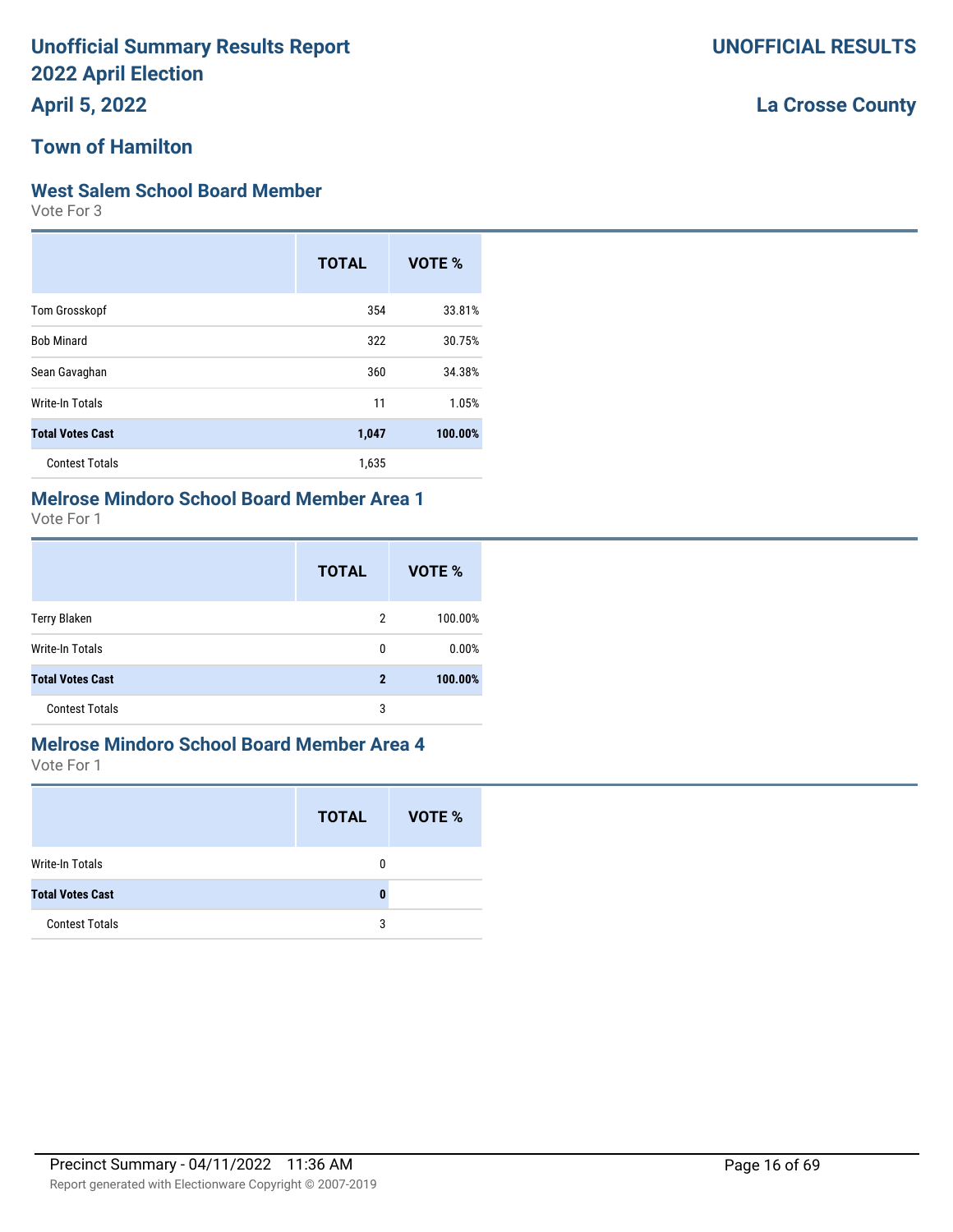#### **Town of Hamilton**

#### **West Salem School Board Member**

Vote For 3

|                         | <b>TOTAL</b> | VOTE %  |
|-------------------------|--------------|---------|
| Tom Grosskopf           | 354          | 33.81%  |
| <b>Bob Minard</b>       | 322          | 30.75%  |
| Sean Gavaghan           | 360          | 34.38%  |
| <b>Write-In Totals</b>  | 11           | 1.05%   |
| <b>Total Votes Cast</b> | 1,047        | 100.00% |
| <b>Contest Totals</b>   | 1,635        |         |

# **Melrose Mindoro School Board Member Area 1**

Vote For 1

|                         | <b>TOTAL</b>   | VOTE %  |
|-------------------------|----------------|---------|
| <b>Terry Blaken</b>     | $\overline{2}$ | 100.00% |
| <b>Write-In Totals</b>  | 0              | 0.00%   |
| <b>Total Votes Cast</b> | $\mathbf 2$    | 100.00% |
| <b>Contest Totals</b>   | 3              |         |

#### **Melrose Mindoro School Board Member Area 4**

|                         | <b>TOTAL</b> | VOTE % |
|-------------------------|--------------|--------|
| <b>Write-In Totals</b>  | 0            |        |
| <b>Total Votes Cast</b> | 0            |        |
| <b>Contest Totals</b>   | 3            |        |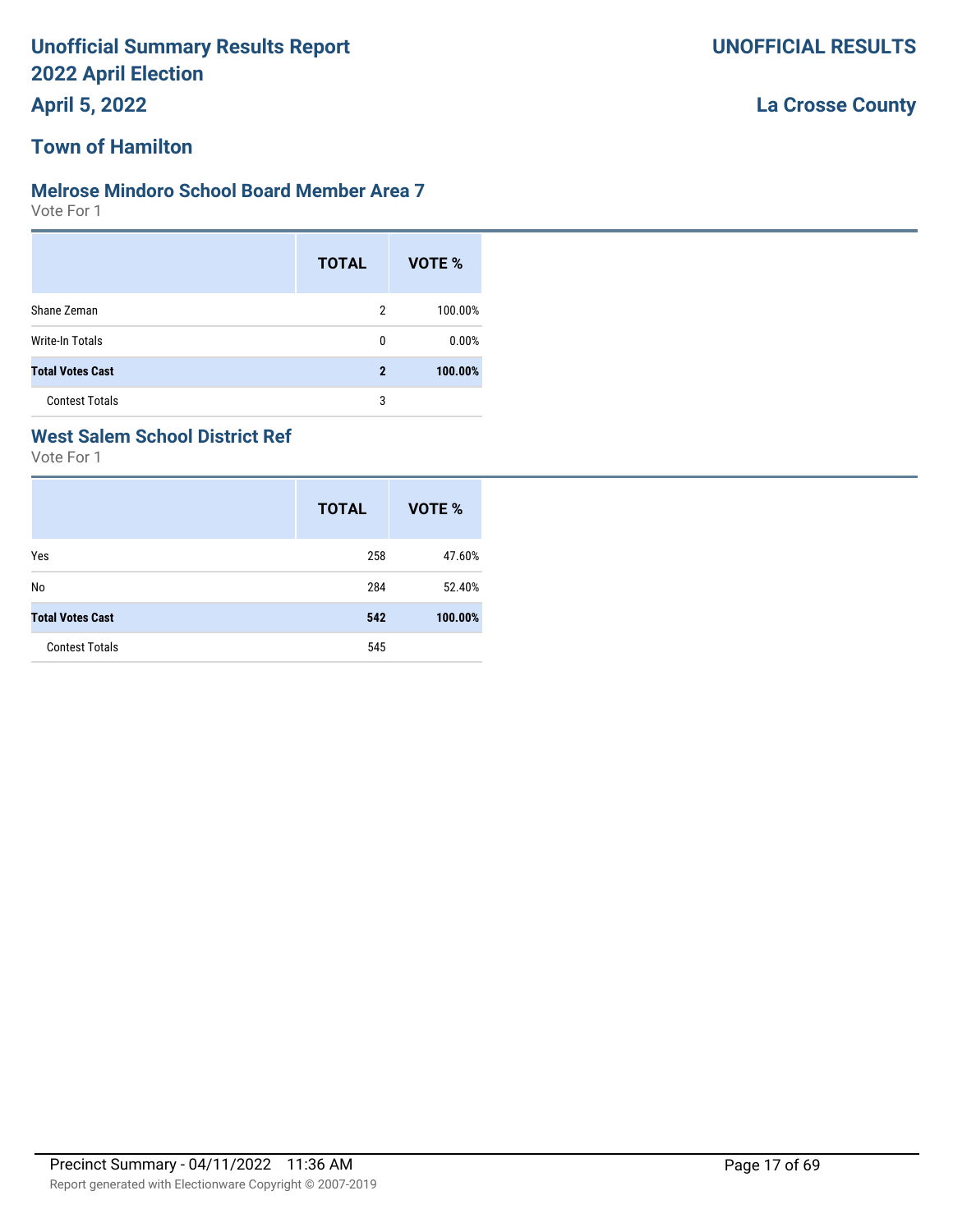**La Crosse County**

#### **Town of Hamilton**

# **Melrose Mindoro School Board Member Area 7**

Vote For 1

|                         | <b>TOTAL</b> | VOTE %  |
|-------------------------|--------------|---------|
| Shane Zeman             | 2            | 100.00% |
| <b>Write-In Totals</b>  | 0            | 0.00%   |
| <b>Total Votes Cast</b> | $\mathbf 2$  | 100.00% |
| <b>Contest Totals</b>   | 3            |         |

#### **West Salem School District Ref**

|                         | <b>TOTAL</b> | VOTE %  |
|-------------------------|--------------|---------|
| Yes                     | 258          | 47.60%  |
| No                      | 284          | 52.40%  |
| <b>Total Votes Cast</b> | 542          | 100.00% |
| <b>Contest Totals</b>   | 545          |         |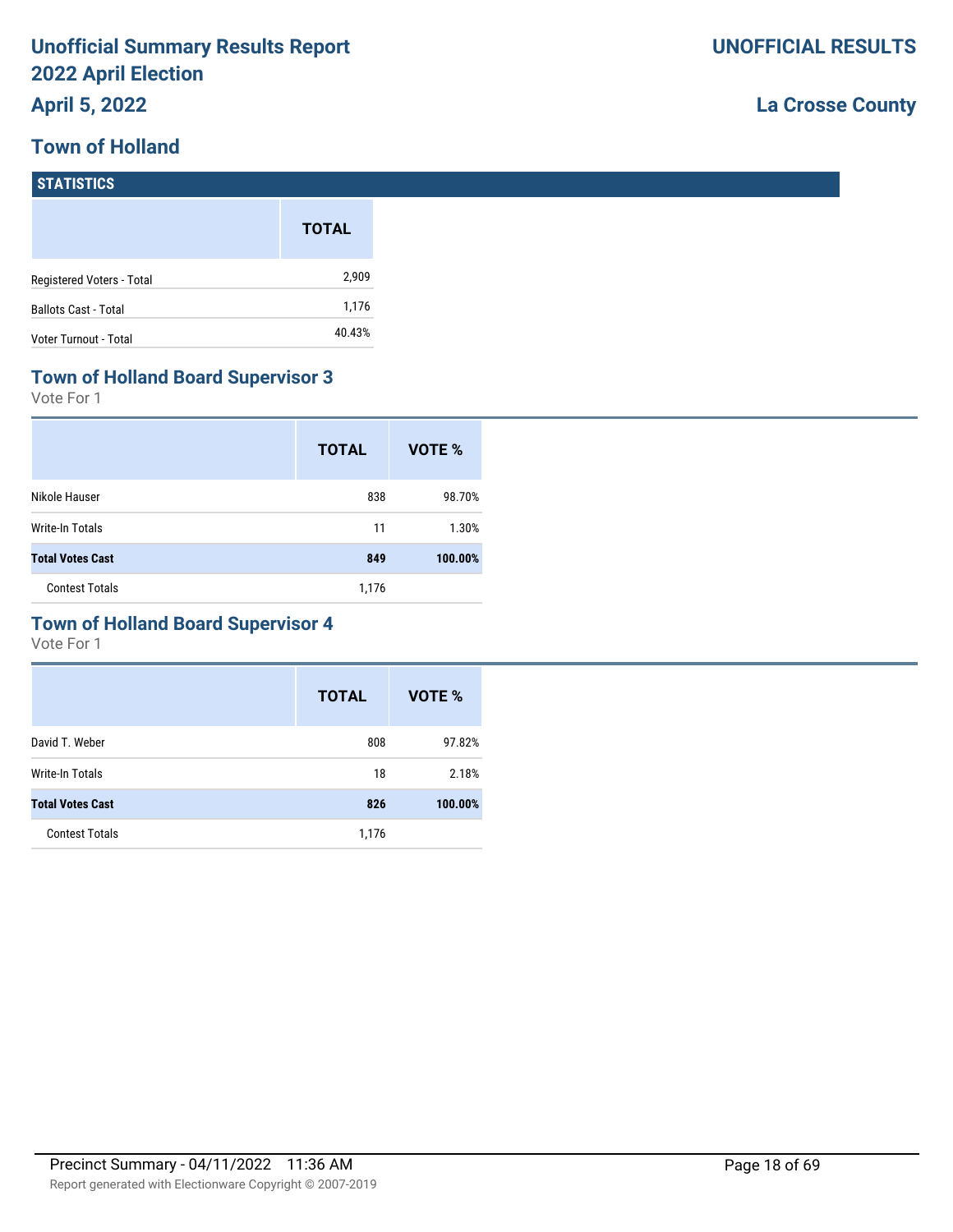#### **Town of Holland**

# **La Crosse County**

| <b>STATISTICS</b> |  |
|-------------------|--|
|                   |  |
|                   |  |

|                             | <b>TOTAL</b> |
|-----------------------------|--------------|
| Registered Voters - Total   | 2,909        |
| <b>Ballots Cast - Total</b> | 1,176        |
| Voter Turnout - Total       | 40.43%       |

#### **Town of Holland Board Supervisor 3**

Vote For 1

|                         | <b>TOTAL</b> | VOTE %  |
|-------------------------|--------------|---------|
| Nikole Hauser           | 838          | 98.70%  |
| Write-In Totals         | 11           | 1.30%   |
| <b>Total Votes Cast</b> | 849          | 100.00% |
| <b>Contest Totals</b>   | 1,176        |         |

### **Town of Holland Board Supervisor 4**

|                         | <b>TOTAL</b> | VOTE %  |
|-------------------------|--------------|---------|
| David T. Weber          | 808          | 97.82%  |
| Write-In Totals         | 18           | 2.18%   |
| <b>Total Votes Cast</b> | 826          | 100.00% |
| <b>Contest Totals</b>   | 1,176        |         |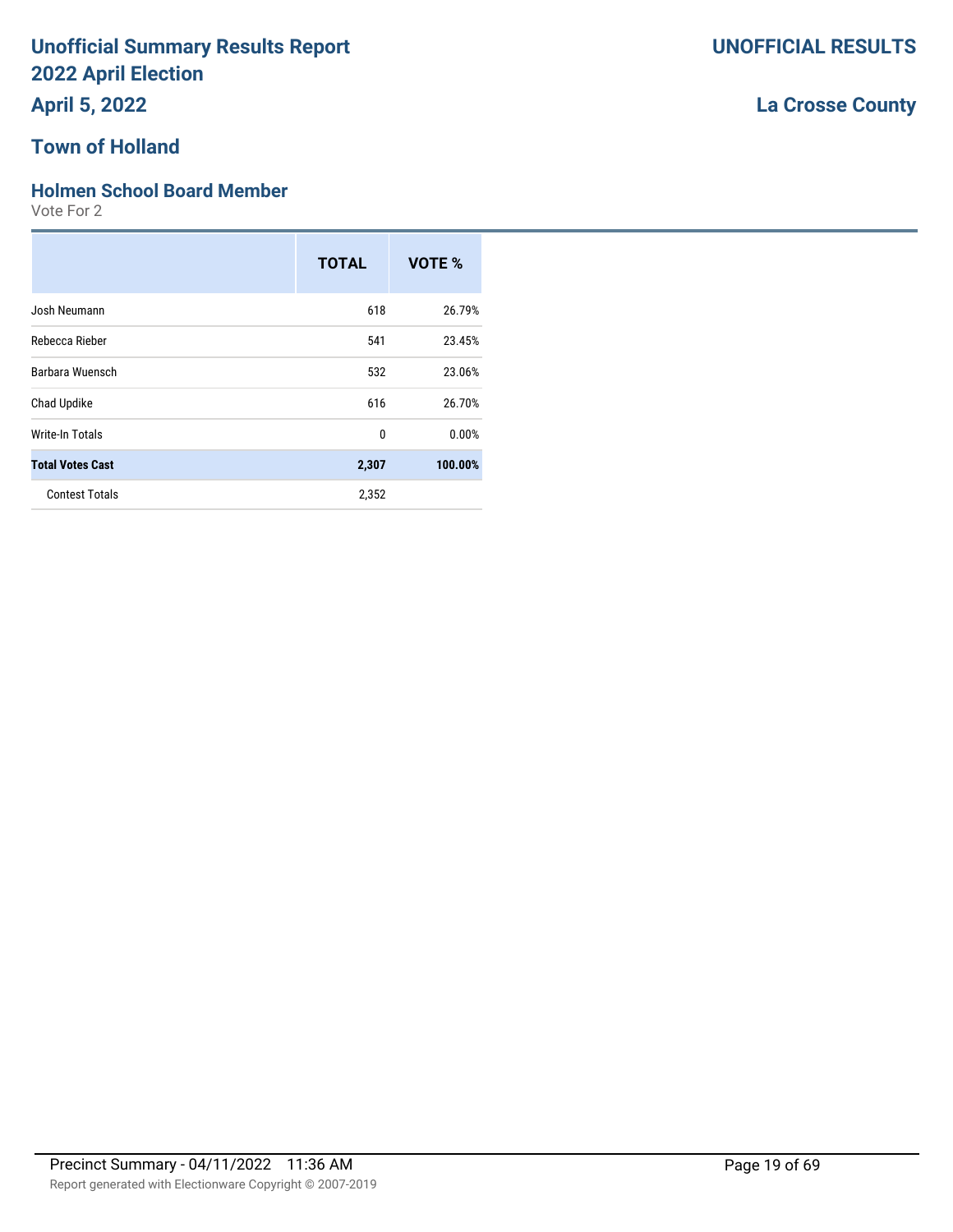#### **Town of Holland**

# **Holmen School Board Member**

Vote For 2

|                         | <b>TOTAL</b> | VOTE %  |
|-------------------------|--------------|---------|
| Josh Neumann            | 618          | 26.79%  |
| Rebecca Rieber          | 541          | 23.45%  |
| Barbara Wuensch         | 532          | 23.06%  |
| Chad Updike             | 616          | 26.70%  |
| <b>Write-In Totals</b>  | 0            | 0.00%   |
| <b>Total Votes Cast</b> | 2,307        | 100.00% |
| <b>Contest Totals</b>   | 2,352        |         |

# **La Crosse County**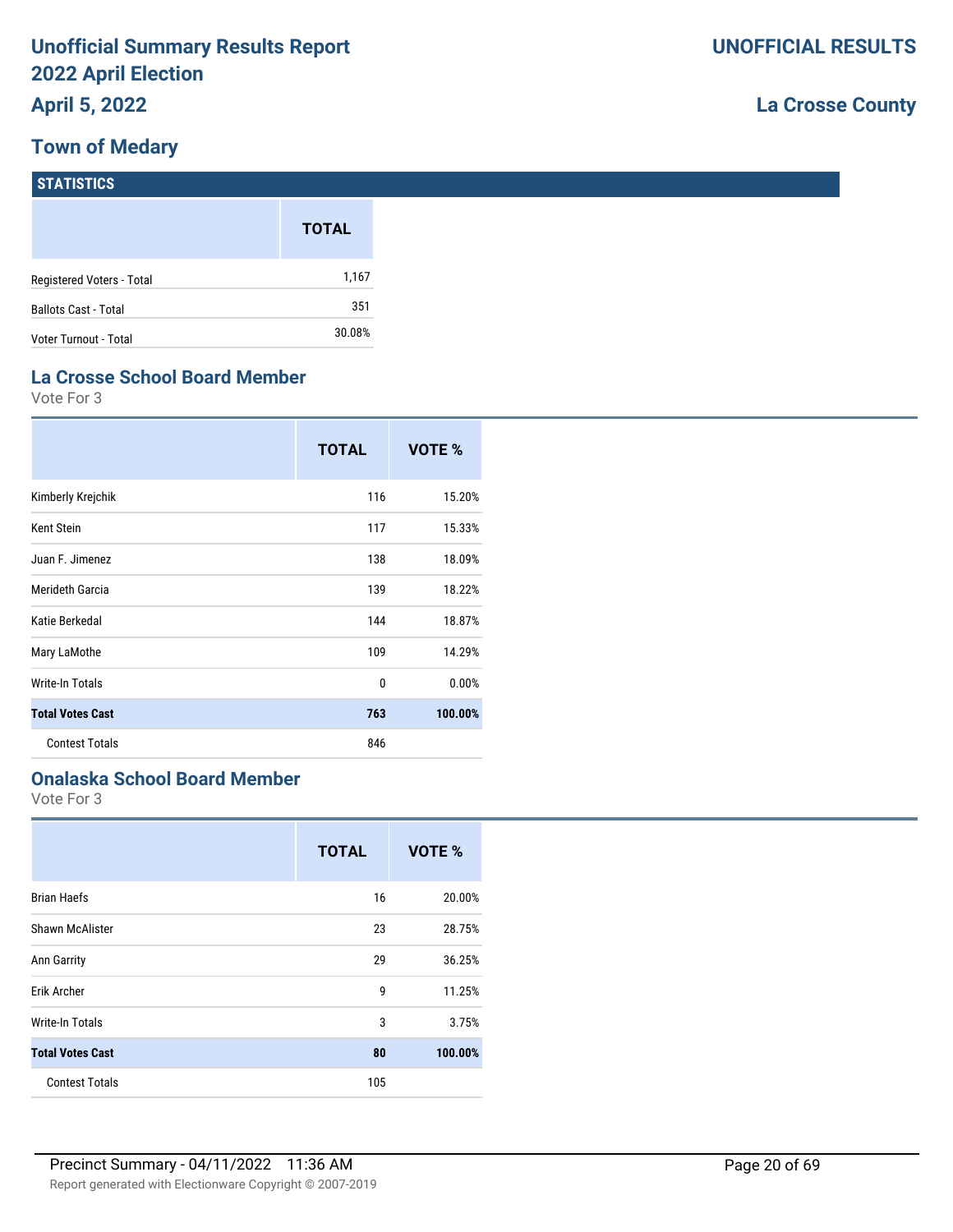### **Town of Medary**

# **La Crosse County**

|                             | <b>TOTAL</b> |
|-----------------------------|--------------|
| Registered Voters - Total   | 1,167        |
| <b>Ballots Cast - Total</b> | 351          |
| Voter Turnout - Total       | 30.08%       |

# **La Crosse School Board Member**

Vote For 3

|                         | <b>TOTAL</b> | VOTE %  |
|-------------------------|--------------|---------|
| Kimberly Krejchik       | 116          | 15.20%  |
| <b>Kent Stein</b>       | 117          | 15.33%  |
| Juan F. Jimenez         | 138          | 18.09%  |
| <b>Merideth Garcia</b>  | 139          | 18.22%  |
| Katie Berkedal          | 144          | 18.87%  |
| Mary LaMothe            | 109          | 14.29%  |
| <b>Write-In Totals</b>  | $\mathbf{0}$ | 0.00%   |
| <b>Total Votes Cast</b> | 763          | 100.00% |
| <b>Contest Totals</b>   | 846          |         |

# **Onalaska School Board Member**

|                         | <b>TOTAL</b> | VOTE %  |
|-------------------------|--------------|---------|
| <b>Brian Haefs</b>      | 16           | 20.00%  |
| <b>Shawn McAlister</b>  | 23           | 28.75%  |
| Ann Garrity             | 29           | 36.25%  |
| <b>Erik Archer</b>      | 9            | 11.25%  |
| Write-In Totals         | 3            | 3.75%   |
| <b>Total Votes Cast</b> | 80           | 100.00% |
| <b>Contest Totals</b>   | 105          |         |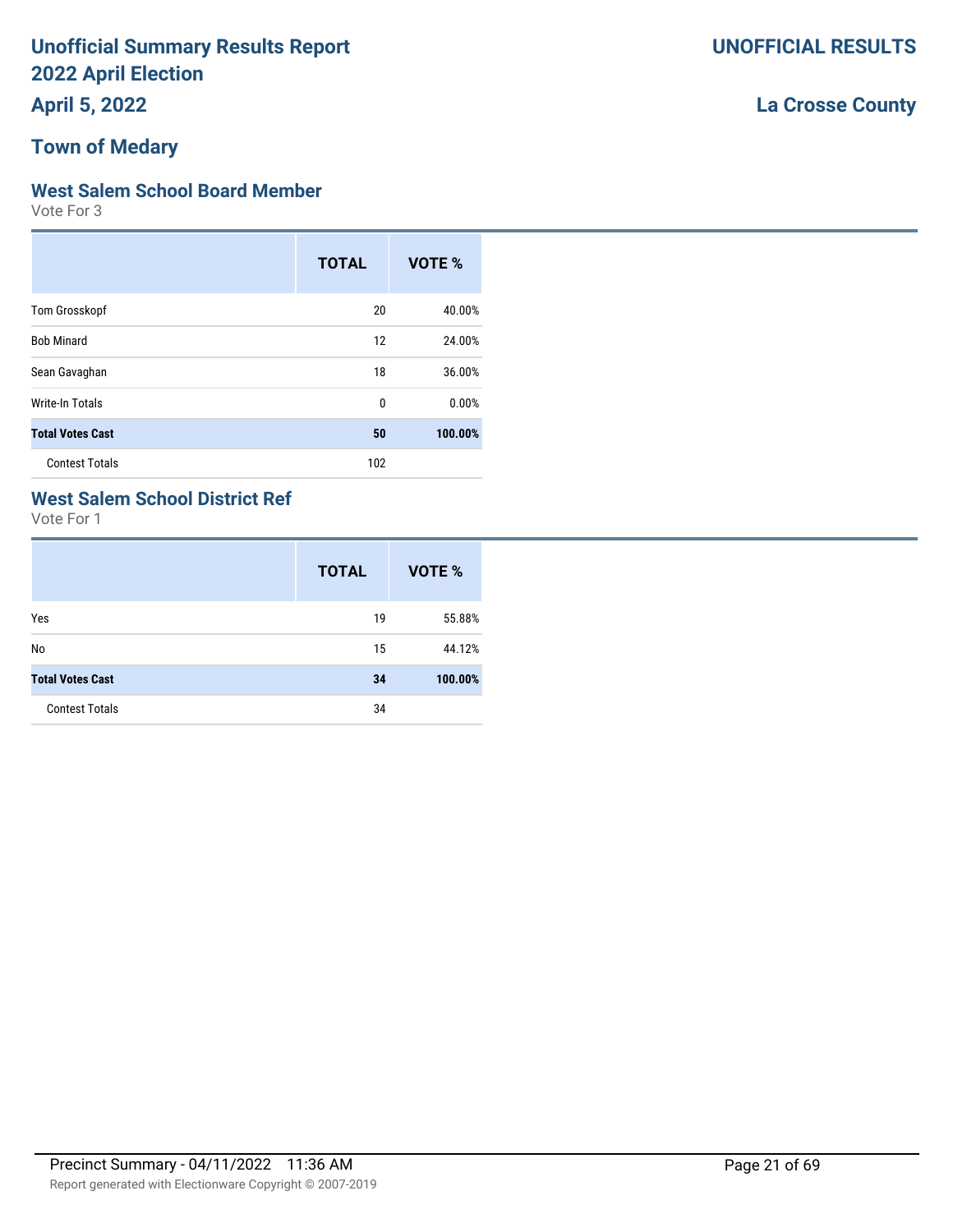### **Town of Medary**

#### **West Salem School Board Member**

Vote For 3

|                         | <b>TOTAL</b> | VOTE %  |
|-------------------------|--------------|---------|
| <b>Tom Grosskopf</b>    | 20           | 40.00%  |
| <b>Bob Minard</b>       | 12           | 24.00%  |
| Sean Gavaghan           | 18           | 36.00%  |
| <b>Write-In Totals</b>  | 0            | 0.00%   |
| <b>Total Votes Cast</b> | 50           | 100.00% |
| <b>Contest Totals</b>   | 102          |         |

# **West Salem School District Ref**

|                         | <b>TOTAL</b> | <b>VOTE %</b> |
|-------------------------|--------------|---------------|
| Yes                     | 19           | 55.88%        |
| No                      | 15           | 44.12%        |
| <b>Total Votes Cast</b> | 34           | 100.00%       |
| <b>Contest Totals</b>   | 34           |               |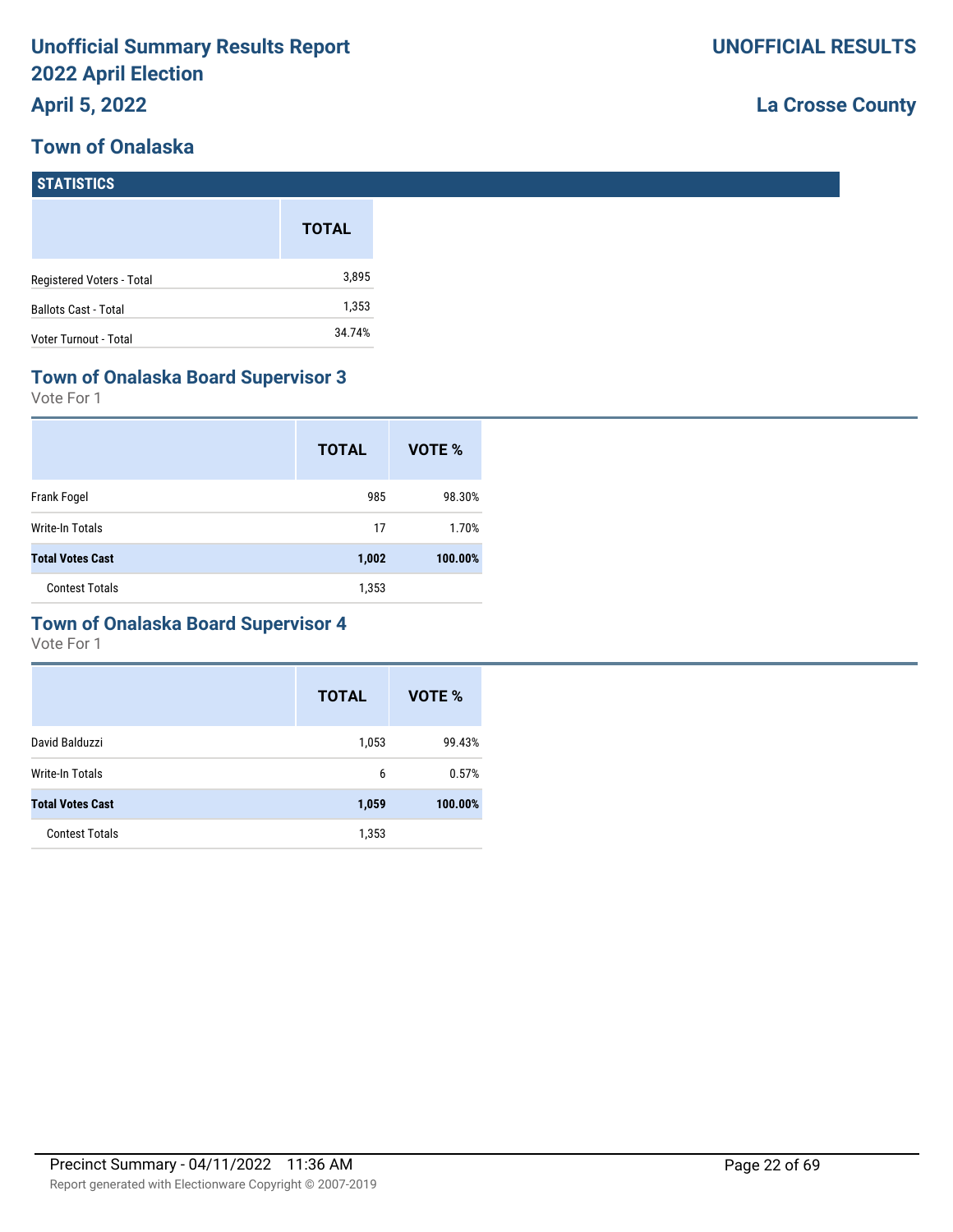# **La Crosse County**

| a av<br>. .<br>., |  |
|-------------------|--|

| <b>TOTAL</b> |
|--------------|
| 3,895        |
| 1,353        |
| 34.74%       |
|              |

### **Town of Onalaska Board Supervisor 3**

Vote For 1

|                         | <b>TOTAL</b> | VOTE %  |
|-------------------------|--------------|---------|
| Frank Fogel             | 985          | 98.30%  |
| Write-In Totals         | 17           | 1.70%   |
| <b>Total Votes Cast</b> | 1,002        | 100.00% |
| <b>Contest Totals</b>   | 1,353        |         |

#### **Town of Onalaska Board Supervisor 4**

|                         | <b>TOTAL</b> | VOTE %  |
|-------------------------|--------------|---------|
| David Balduzzi          | 1,053        | 99.43%  |
| <b>Write-In Totals</b>  | 6            | 0.57%   |
| <b>Total Votes Cast</b> | 1,059        | 100.00% |
| <b>Contest Totals</b>   | 1,353        |         |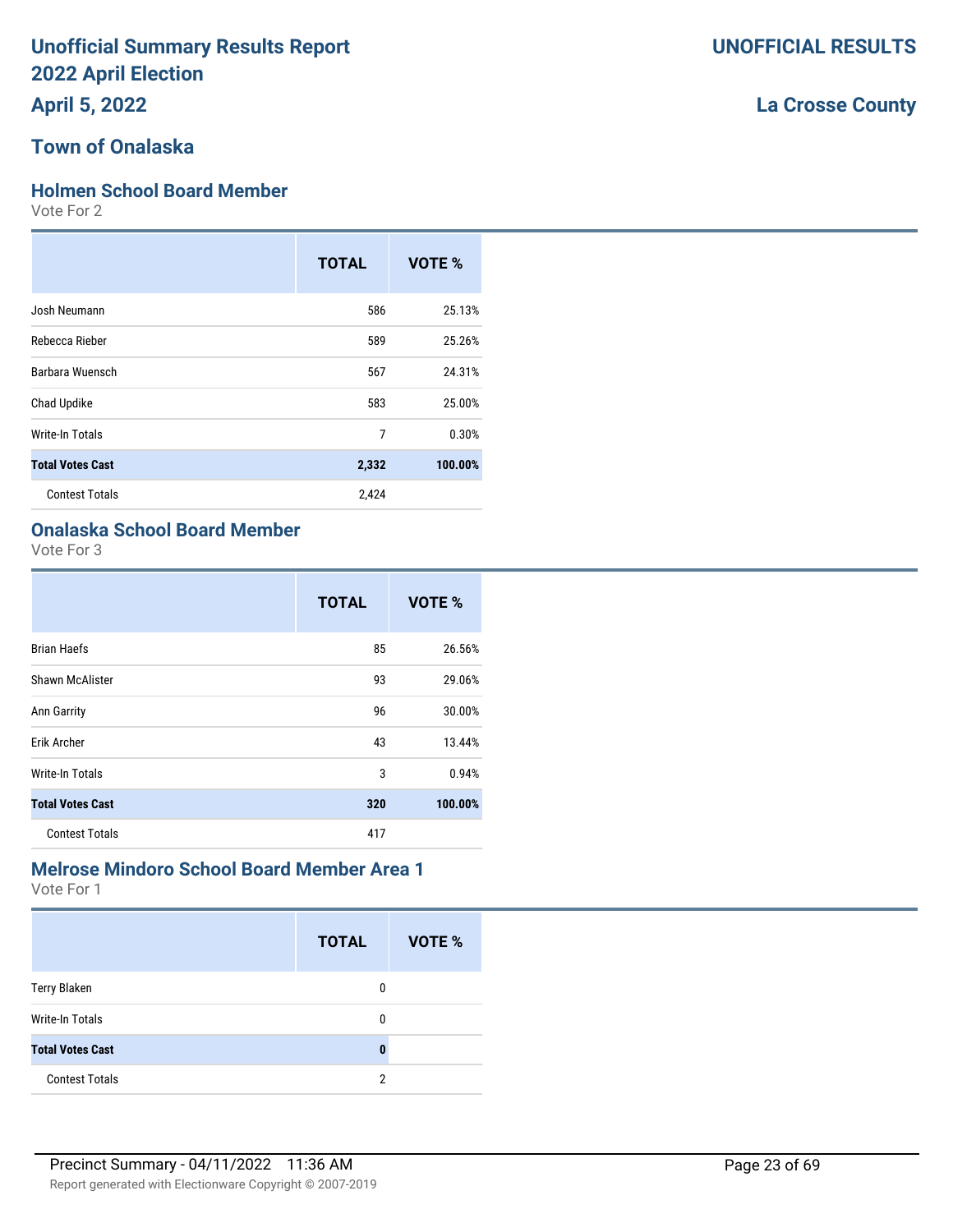#### **Town of Onalaska**

#### **Holmen School Board Member**

Vote For 2

|                         | <b>TOTAL</b> | VOTE %  |
|-------------------------|--------------|---------|
| Josh Neumann            | 586          | 25.13%  |
| Rebecca Rieber          | 589          | 25.26%  |
| Barbara Wuensch         | 567          | 24.31%  |
| Chad Updike             | 583          | 25.00%  |
| Write-In Totals         | 7            | 0.30%   |
| <b>Total Votes Cast</b> | 2,332        | 100.00% |
| <b>Contest Totals</b>   | 2,424        |         |

#### **Onalaska School Board Member**

Vote For 3

|                         | <b>TOTAL</b> | VOTE %  |
|-------------------------|--------------|---------|
| <b>Brian Haefs</b>      | 85           | 26.56%  |
| Shawn McAlister         | 93           | 29.06%  |
| Ann Garrity             | 96           | 30.00%  |
| Erik Archer             | 43           | 13.44%  |
| Write-In Totals         | 3            | 0.94%   |
| <b>Total Votes Cast</b> | 320          | 100.00% |
| <b>Contest Totals</b>   | 417          |         |

# **Melrose Mindoro School Board Member Area 1**

Vote For 1

|                         | <b>TOTAL</b> | <b>VOTE %</b> |
|-------------------------|--------------|---------------|
| <b>Terry Blaken</b>     | 0            |               |
| <b>Write-In Totals</b>  | 0            |               |
| <b>Total Votes Cast</b> | 0            |               |
| <b>Contest Totals</b>   | 2            |               |

# **La Crosse County**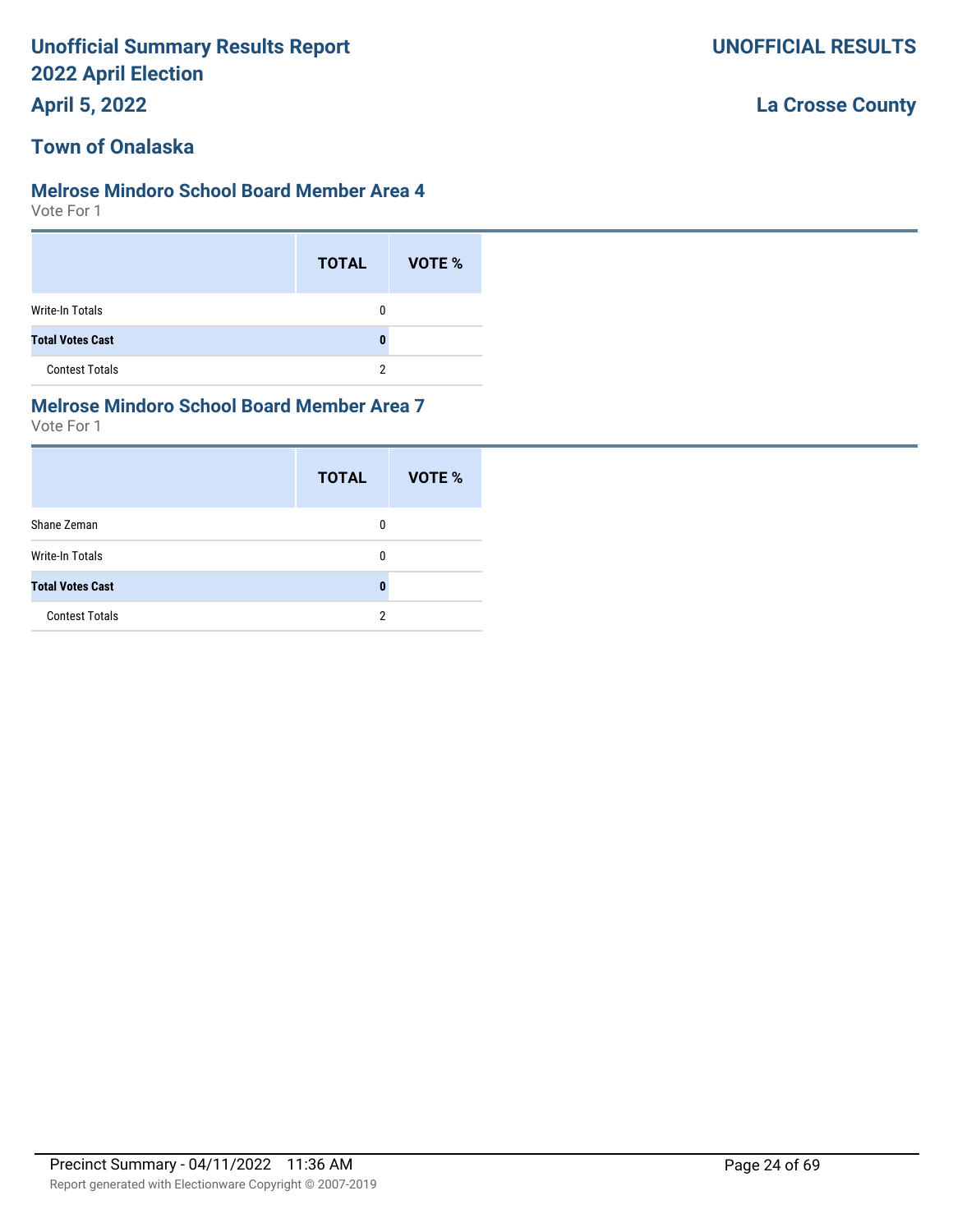**La Crosse County**

#### **Town of Onalaska**

# **Melrose Mindoro School Board Member Area 4**

Vote For 1

|                         | <b>TOTAL</b> | VOTE % |
|-------------------------|--------------|--------|
| <b>Write-In Totals</b>  | 0            |        |
| <b>Total Votes Cast</b> |              |        |
| <b>Contest Totals</b>   | າ            |        |

# **Melrose Mindoro School Board Member Area 7**

|                         | <b>TOTAL</b> | VOTE % |
|-------------------------|--------------|--------|
| Shane Zeman             | 0            |        |
| <b>Write-In Totals</b>  | 0            |        |
| <b>Total Votes Cast</b> | 0            |        |
| <b>Contest Totals</b>   | 2            |        |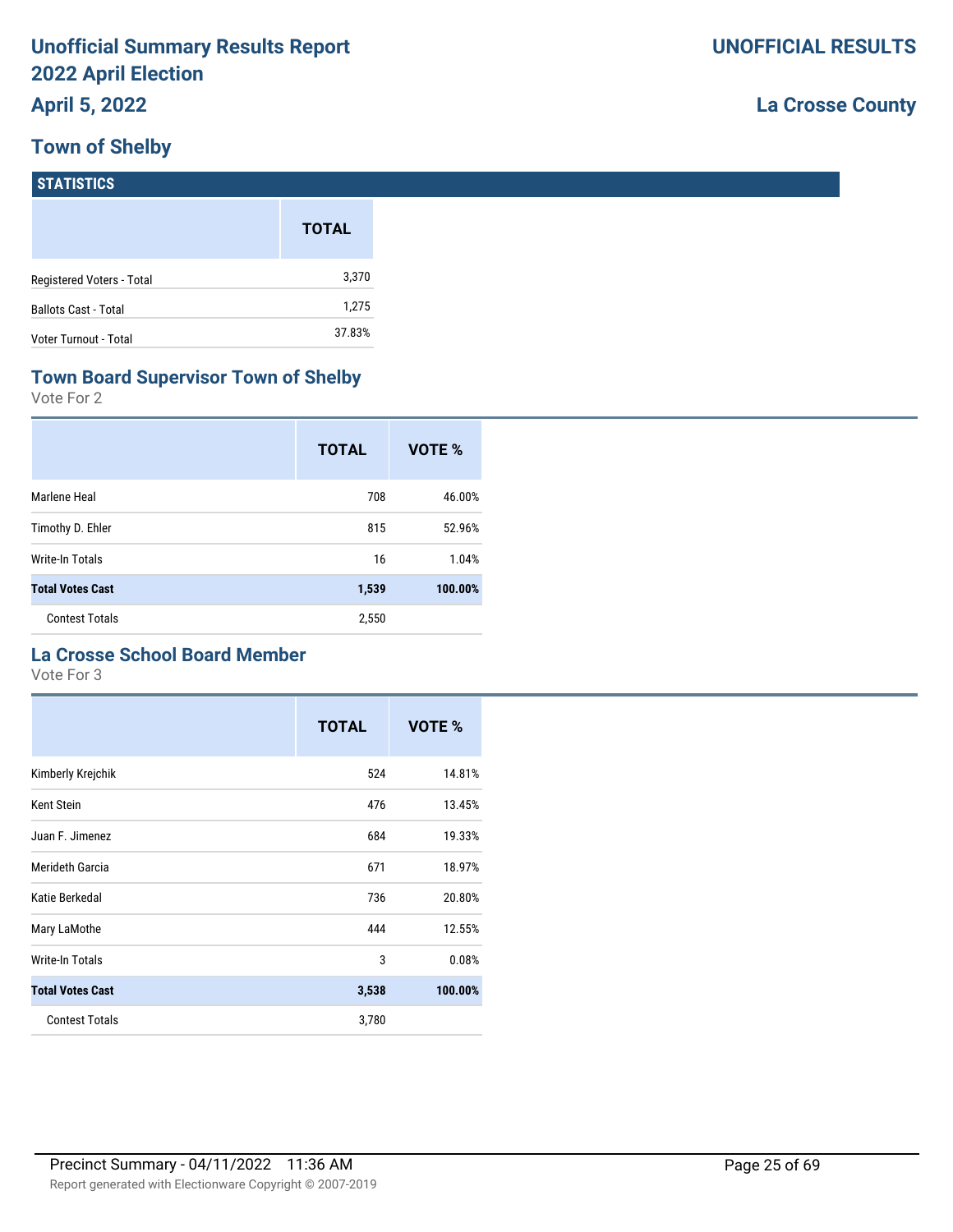### **Town of Shelby**

# **La Crosse County**

|  | <b>ISTATISTICS</b> |
|--|--------------------|
|  |                    |
|  |                    |

|                             | <b>TOTAL</b> |
|-----------------------------|--------------|
| Registered Voters - Total   | 3,370        |
| <b>Ballots Cast - Total</b> | 1,275        |
| Voter Turnout - Total       | 37.83%       |

# **Town Board Supervisor Town of Shelby**

Vote For 2

|                         | <b>TOTAL</b> | VOTE %  |
|-------------------------|--------------|---------|
| Marlene Heal            | 708          | 46.00%  |
| Timothy D. Ehler        | 815          | 52.96%  |
| Write-In Totals         | 16           | 1.04%   |
| <b>Total Votes Cast</b> | 1,539        | 100.00% |
| <b>Contest Totals</b>   | 2,550        |         |

### **La Crosse School Board Member**

|                         | <b>TOTAL</b> | VOTE %  |
|-------------------------|--------------|---------|
| Kimberly Krejchik       | 524          | 14.81%  |
| Kent Stein              | 476          | 13.45%  |
| Juan F. Jimenez         | 684          | 19.33%  |
| Merideth Garcia         | 671          | 18.97%  |
| Katie Berkedal          | 736          | 20.80%  |
| Mary LaMothe            | 444          | 12.55%  |
| <b>Write-In Totals</b>  | 3            | 0.08%   |
| <b>Total Votes Cast</b> | 3,538        | 100.00% |
| <b>Contest Totals</b>   | 3,780        |         |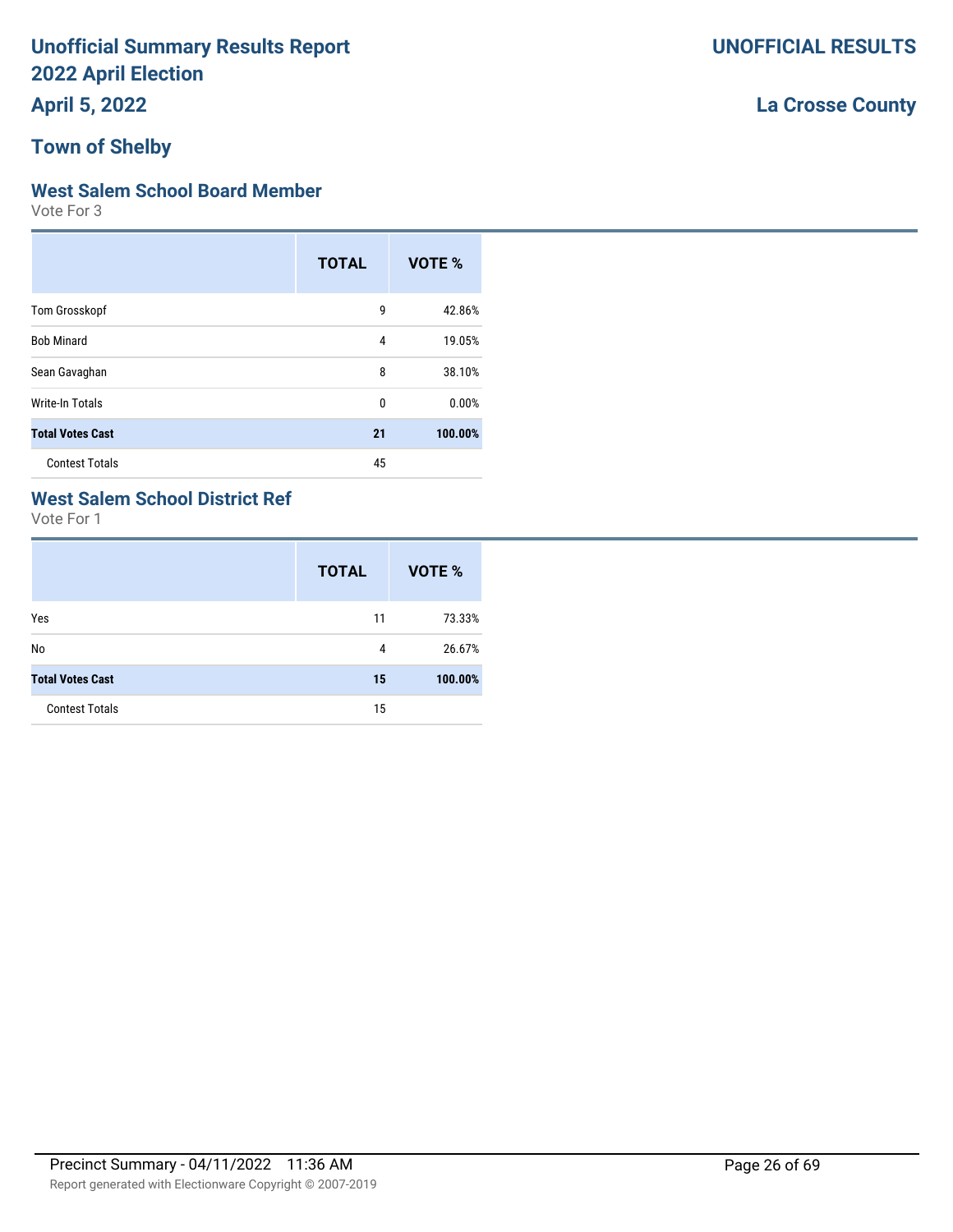# **Town of Shelby**

#### **West Salem School Board Member**

Vote For 3

|                         | <b>TOTAL</b> | VOTE %  |
|-------------------------|--------------|---------|
| Tom Grosskopf           | 9            | 42.86%  |
| <b>Bob Minard</b>       | 4            | 19.05%  |
| Sean Gavaghan           | 8            | 38.10%  |
| Write-In Totals         | 0            | 0.00%   |
| <b>Total Votes Cast</b> | 21           | 100.00% |
| <b>Contest Totals</b>   | 45           |         |

# **West Salem School District Ref**

|                         | <b>TOTAL</b> | <b>VOTE %</b> |
|-------------------------|--------------|---------------|
| Yes                     | 11           | 73.33%        |
| No                      | 4            | 26.67%        |
| <b>Total Votes Cast</b> | 15           | 100.00%       |
| <b>Contest Totals</b>   | 15           |               |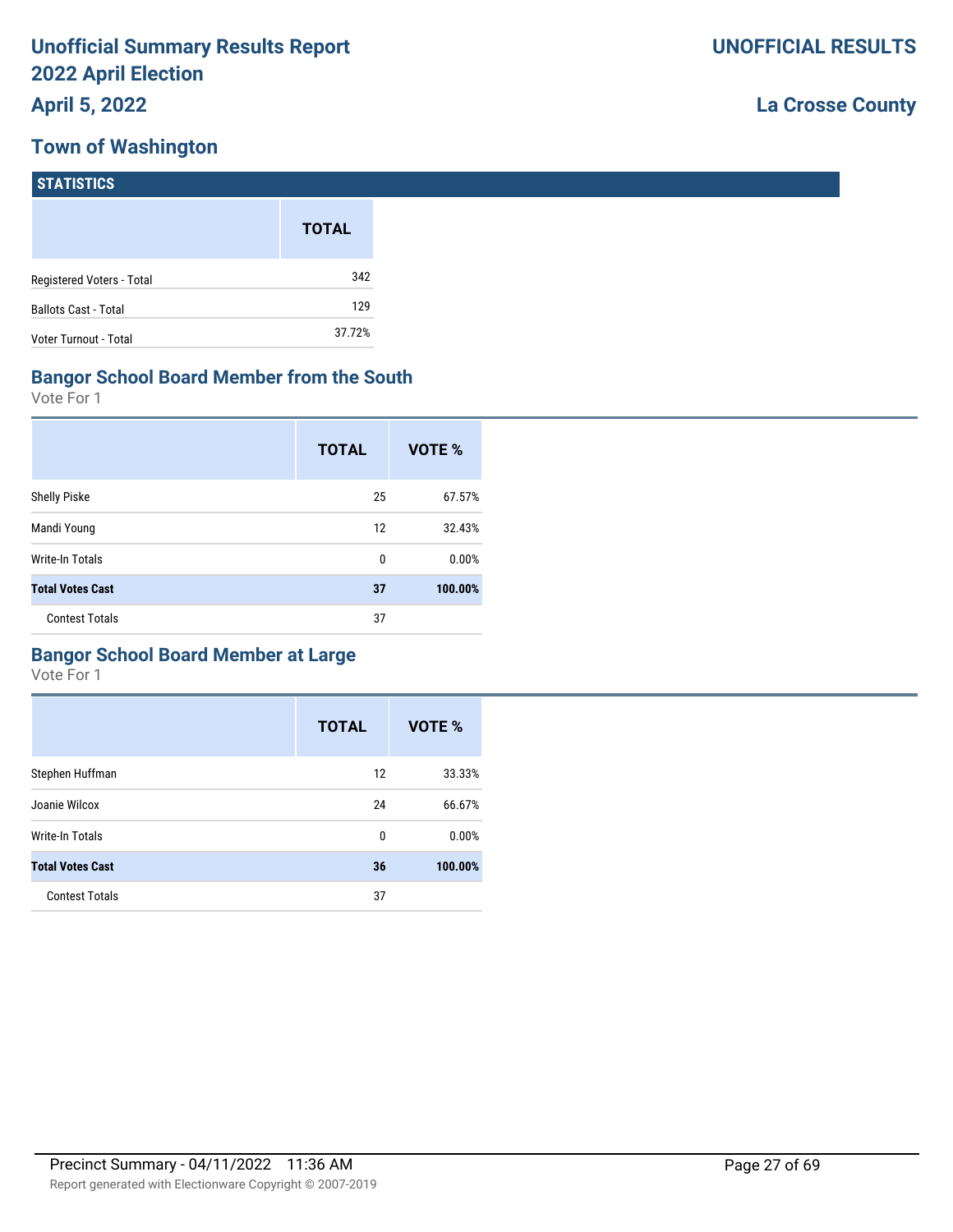# **La Crosse County**

#### **Town of Washington**

| <b>STATISTICS</b>         |              |
|---------------------------|--------------|
|                           | <b>TOTAL</b> |
| Registered Voters - Total | 342          |
| Ballots Cast - Total      | 129          |
| Voter Turnout - Total     | 37.72%       |

#### **Bangor School Board Member from the South**

Vote For 1

|                         | <b>TOTAL</b> | VOTE %  |
|-------------------------|--------------|---------|
| <b>Shelly Piske</b>     | 25           | 67.57%  |
| Mandi Young             | 12           | 32.43%  |
| <b>Write-In Totals</b>  | 0            | 0.00%   |
| <b>Total Votes Cast</b> | 37           | 100.00% |
| <b>Contest Totals</b>   | 37           |         |

#### **Bangor School Board Member at Large**

|                         | <b>TOTAL</b> | VOTE %  |
|-------------------------|--------------|---------|
| Stephen Huffman         | 12           | 33.33%  |
| Joanie Wilcox           | 24           | 66.67%  |
| <b>Write-In Totals</b>  | 0            | 0.00%   |
| <b>Total Votes Cast</b> | 36           | 100.00% |
| <b>Contest Totals</b>   | 37           |         |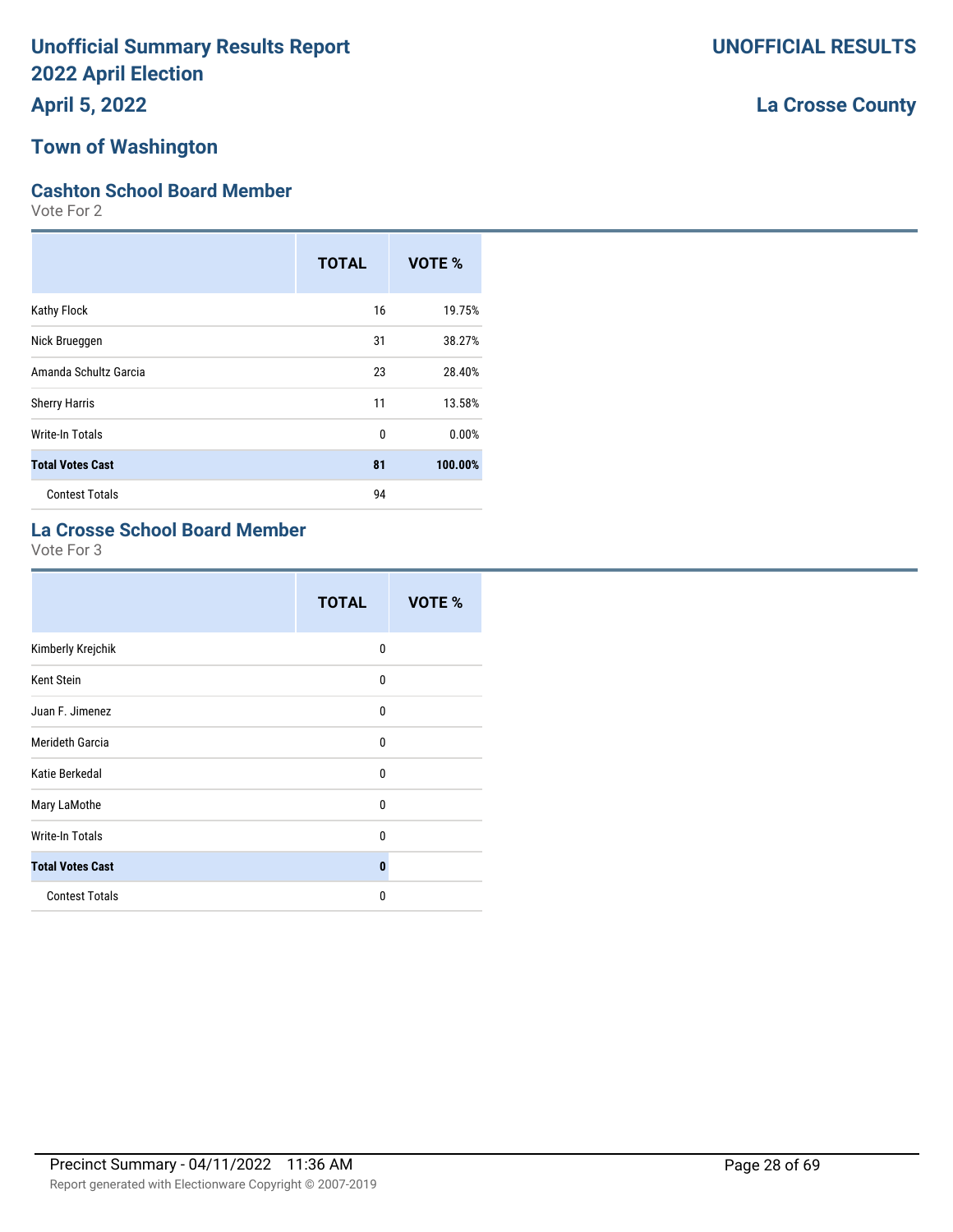#### **Town of Washington**

# **Cashton School Board Member**

Vote For 2

|                         | <b>TOTAL</b> | VOTE %  |
|-------------------------|--------------|---------|
| <b>Kathy Flock</b>      | 16           | 19.75%  |
| Nick Brueggen           | 31           | 38.27%  |
| Amanda Schultz Garcia   | 23           | 28.40%  |
| <b>Sherry Harris</b>    | 11           | 13.58%  |
| Write-In Totals         | 0            | 0.00%   |
| <b>Total Votes Cast</b> | 81           | 100.00% |
| <b>Contest Totals</b>   | 94           |         |

#### **La Crosse School Board Member**

Vote For 3

|                         | <b>TOTAL</b> | <b>VOTE %</b> |
|-------------------------|--------------|---------------|
| Kimberly Krejchik       |              | $\mathbf{0}$  |
| Kent Stein              |              | 0             |
| Juan F. Jimenez         |              | $\mathbf{0}$  |
| <b>Merideth Garcia</b>  |              | 0             |
| Katie Berkedal          |              | $\mathbf{0}$  |
| Mary LaMothe            |              | $\Omega$      |
| Write-In Totals         |              | $\mathbf{0}$  |
| <b>Total Votes Cast</b> |              | 0             |
| <b>Contest Totals</b>   |              | $\Omega$      |

**La Crosse County**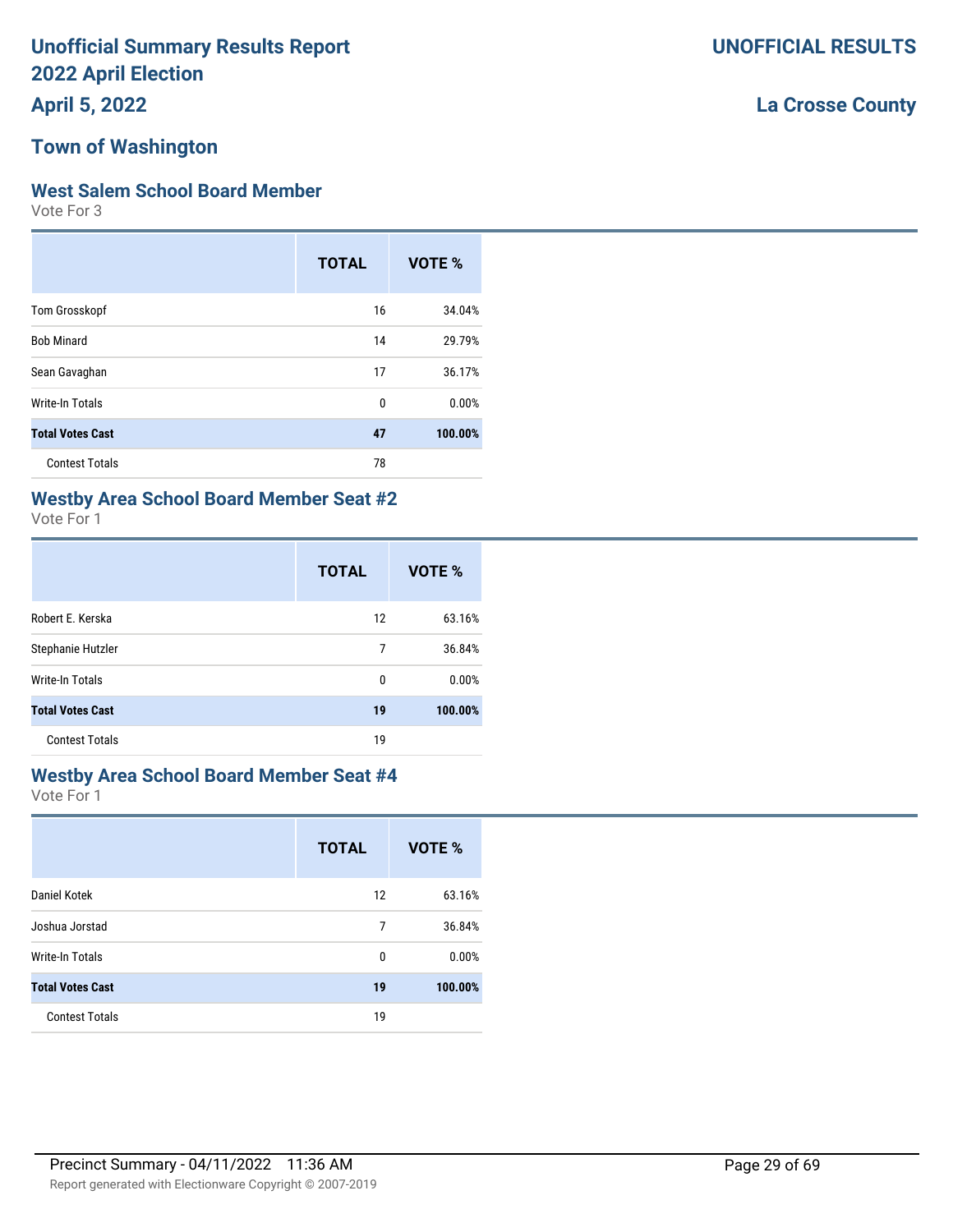#### **Town of Washington**

#### **West Salem School Board Member**

Vote For 3

|                         | <b>TOTAL</b> | VOTE %  |
|-------------------------|--------------|---------|
| <b>Tom Grosskopf</b>    | 16           | 34.04%  |
| <b>Bob Minard</b>       | 14           | 29.79%  |
| Sean Gavaghan           | 17           | 36.17%  |
| <b>Write-In Totals</b>  | 0            | 0.00%   |
| <b>Total Votes Cast</b> | 47           | 100.00% |
| <b>Contest Totals</b>   | 78           |         |

#### **Westby Area School Board Member Seat #2**

Vote For 1

|                         | <b>TOTAL</b> | VOTE %  |
|-------------------------|--------------|---------|
| Robert E. Kerska        | 12           | 63.16%  |
| Stephanie Hutzler       | 7            | 36.84%  |
| <b>Write-In Totals</b>  | 0            | 0.00%   |
| <b>Total Votes Cast</b> | 19           | 100.00% |
| <b>Contest Totals</b>   | 19           |         |

# **Westby Area School Board Member Seat #4**

|                         | <b>TOTAL</b> | VOTE %  |
|-------------------------|--------------|---------|
| Daniel Kotek            | 12           | 63.16%  |
| Joshua Jorstad          | 7            | 36.84%  |
| Write-In Totals         | 0            | 0.00%   |
| <b>Total Votes Cast</b> | 19           | 100.00% |
| <b>Contest Totals</b>   | 19           |         |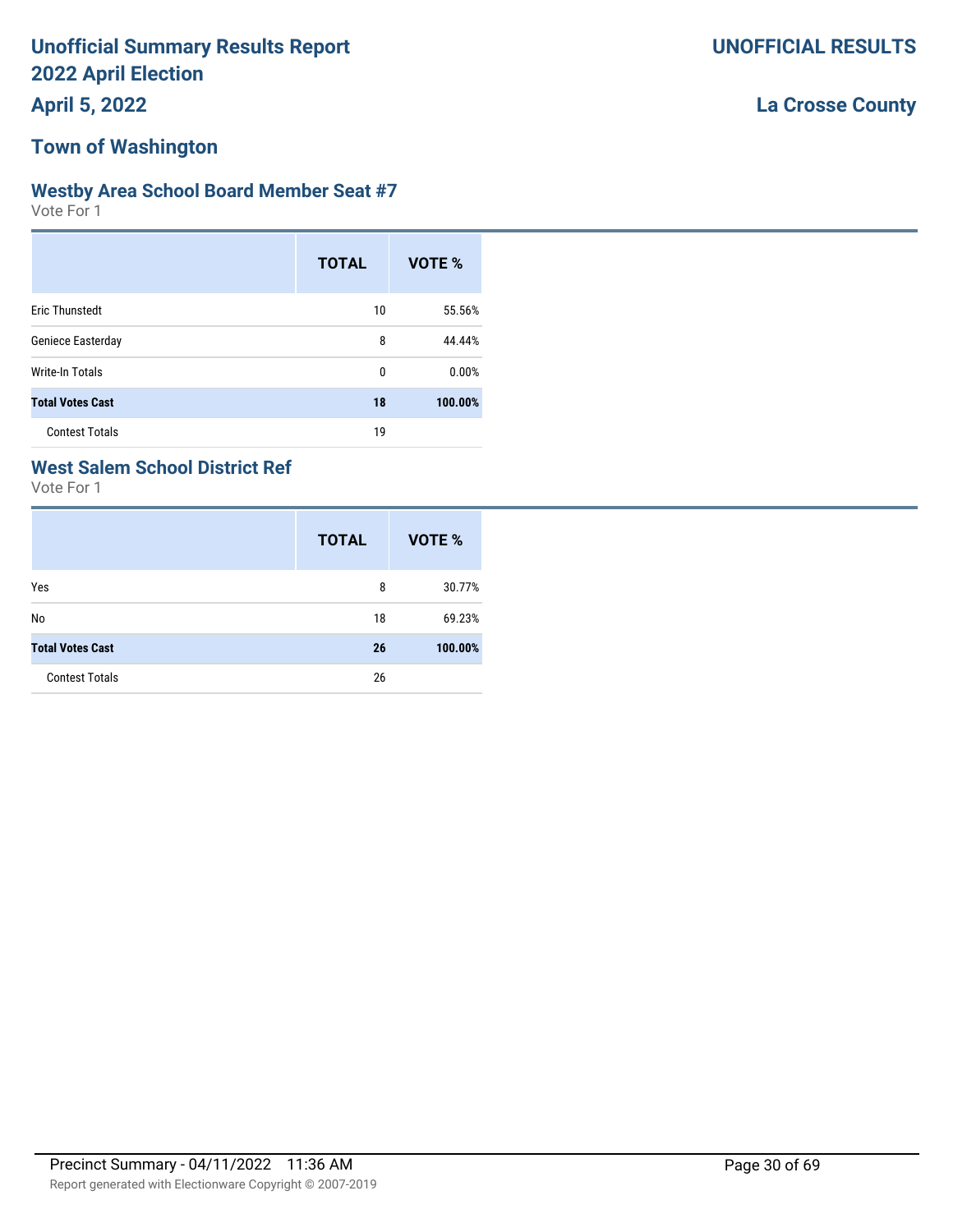# **La Crosse County**

# **Town of Washington**

### **Westby Area School Board Member Seat #7**

Vote For 1

|                         | <b>TOTAL</b> | VOTE %  |
|-------------------------|--------------|---------|
| <b>Eric Thunstedt</b>   | 10           | 55.56%  |
| Geniece Easterday       | 8            | 44.44%  |
| Write-In Totals         | 0            | 0.00%   |
| <b>Total Votes Cast</b> | 18           | 100.00% |
| <b>Contest Totals</b>   | 19           |         |

# **West Salem School District Ref**

|                         | <b>TOTAL</b> | VOTE %  |
|-------------------------|--------------|---------|
| Yes                     | 8            | 30.77%  |
| No                      | 18           | 69.23%  |
| <b>Total Votes Cast</b> | 26           | 100.00% |
| <b>Contest Totals</b>   | 26           |         |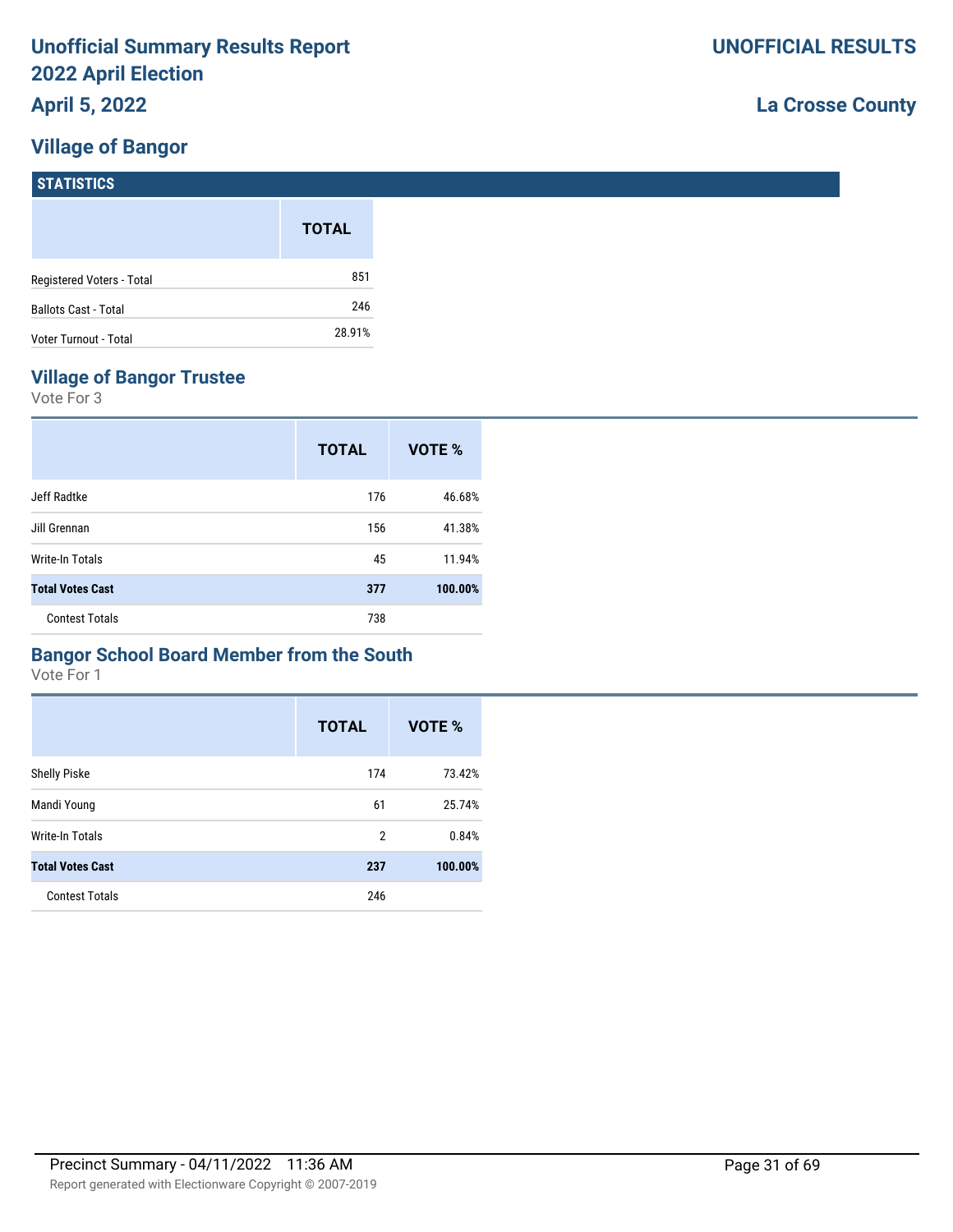# **Village of Bangor**

### **La Crosse County**

| <b>STATISTICS</b>           |              |
|-----------------------------|--------------|
|                             | <b>TOTAL</b> |
| Registered Voters - Total   | 851          |
| <b>Ballots Cast - Total</b> | 246          |
| Voter Turnout - Total       | 28.91%       |

#### **Village of Bangor Trustee**

Vote For 3

|                         | <b>TOTAL</b> | VOTE %  |
|-------------------------|--------------|---------|
| Jeff Radtke             | 176          | 46.68%  |
| Jill Grennan            | 156          | 41.38%  |
| <b>Write-In Totals</b>  | 45           | 11.94%  |
| <b>Total Votes Cast</b> | 377          | 100.00% |
| <b>Contest Totals</b>   | 738          |         |

#### **Bangor School Board Member from the South**

|                         | <b>TOTAL</b>   | VOTE %  |
|-------------------------|----------------|---------|
| <b>Shelly Piske</b>     | 174            | 73.42%  |
| Mandi Young             | 61             | 25.74%  |
| <b>Write-In Totals</b>  | $\overline{2}$ | 0.84%   |
| <b>Total Votes Cast</b> | 237            | 100.00% |
| <b>Contest Totals</b>   | 246            |         |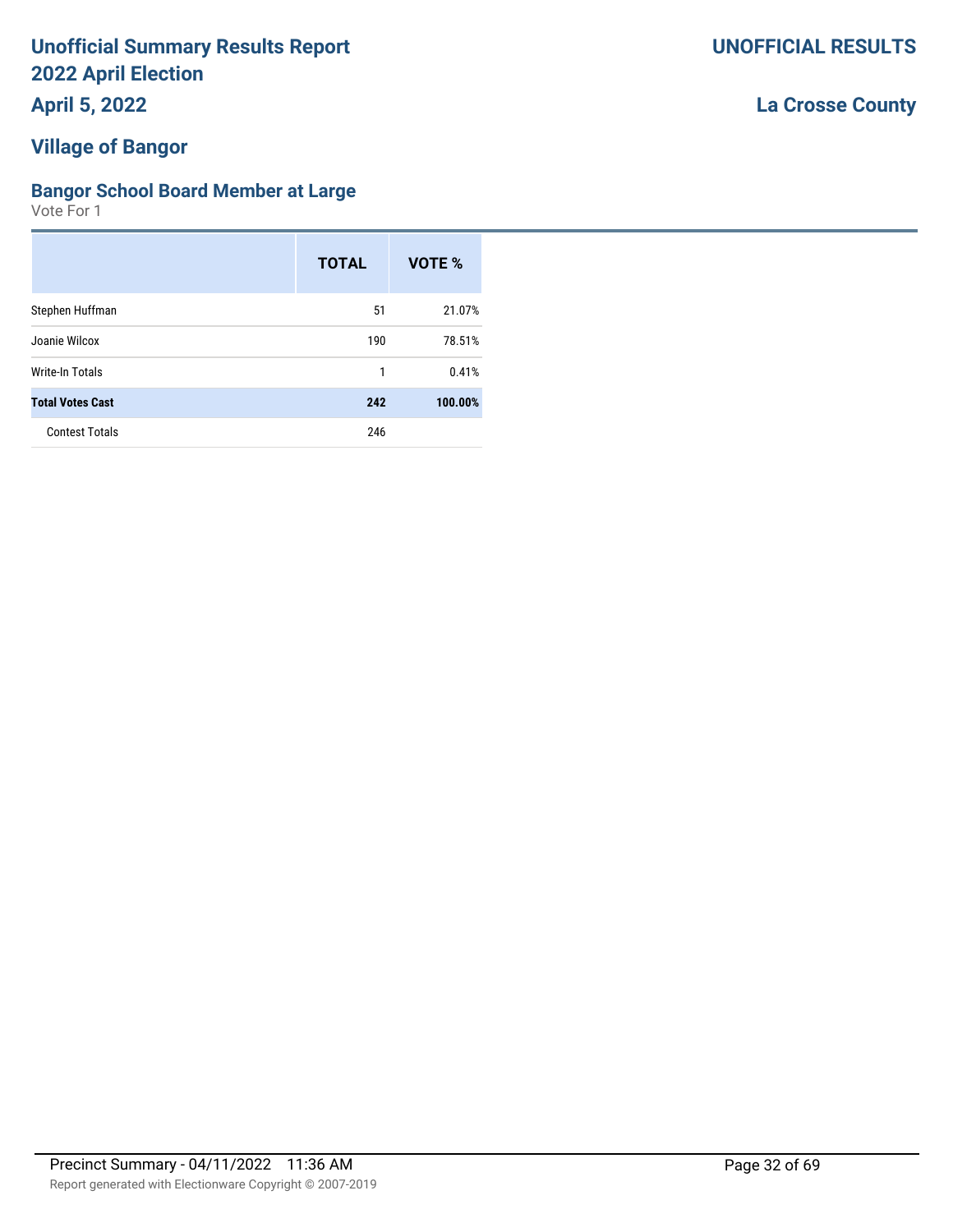#### **Village of Bangor**

#### **Bangor School Board Member at Large**

Vote For 1

|                         | <b>TOTAL</b> | VOTE %  |
|-------------------------|--------------|---------|
| Stephen Huffman         | 51           | 21.07%  |
| Joanie Wilcox           | 190          | 78.51%  |
| Write-In Totals         | 1            | 0.41%   |
| <b>Total Votes Cast</b> | 242          | 100.00% |
| <b>Contest Totals</b>   | 246          |         |

# **La Crosse County**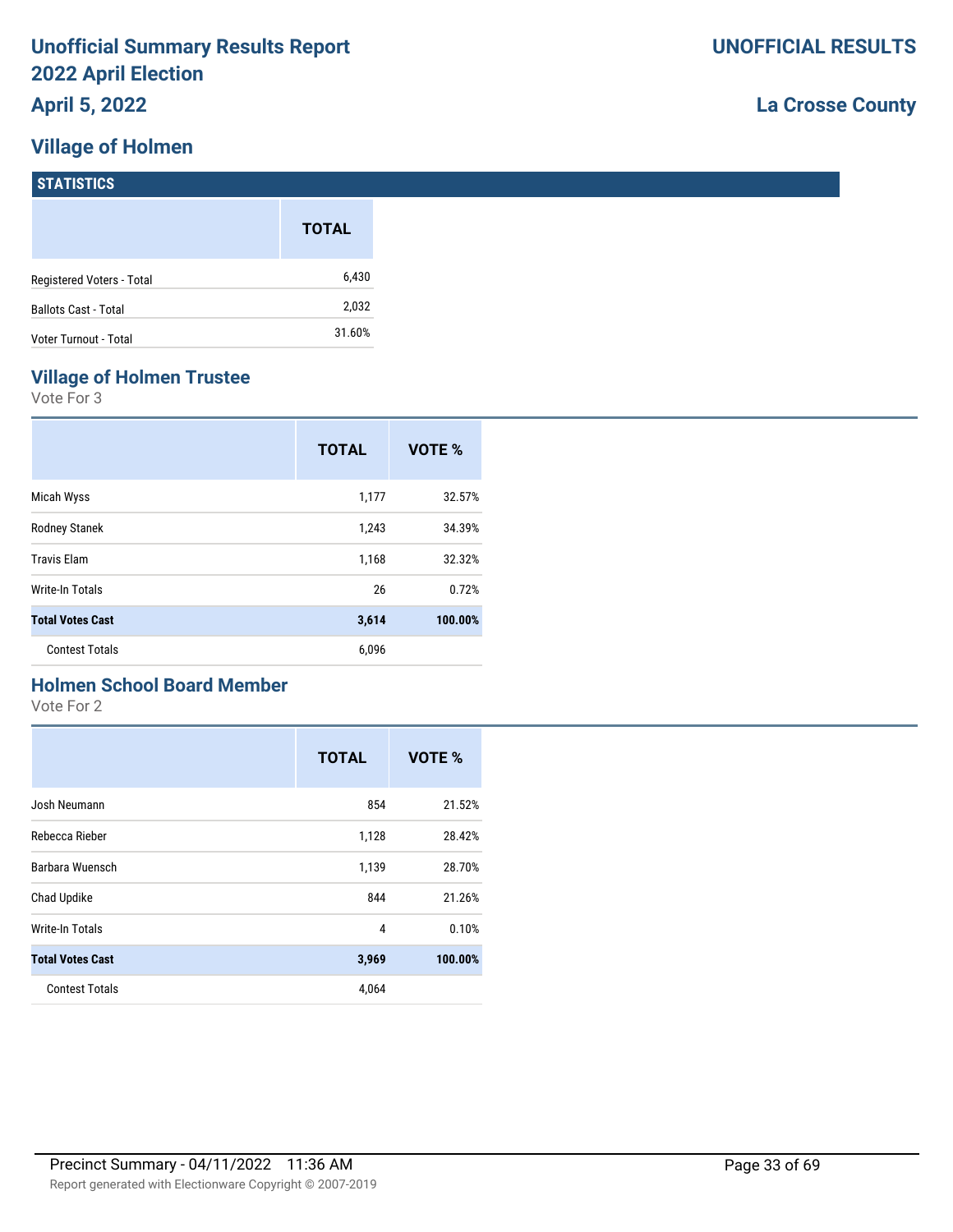# **Village of Holmen**

# **La Crosse County**

| <b>STATISTICS</b> |  |  |
|-------------------|--|--|
|                   |  |  |
|                   |  |  |

|                             | <b>TOTAL</b> |
|-----------------------------|--------------|
| Registered Voters - Total   | 6,430        |
| <b>Ballots Cast - Total</b> | 2,032        |
| Voter Turnout - Total       | 31.60%       |

#### **Village of Holmen Trustee**

Vote For 3

|                         | <b>TOTAL</b> | VOTE %  |
|-------------------------|--------------|---------|
| Micah Wyss              | 1,177        | 32.57%  |
| <b>Rodney Stanek</b>    | 1,243        | 34.39%  |
| <b>Travis Elam</b>      | 1,168        | 32.32%  |
| Write-In Totals         | 26           | 0.72%   |
| <b>Total Votes Cast</b> | 3,614        | 100.00% |
| <b>Contest Totals</b>   | 6,096        |         |

#### **Holmen School Board Member**

|                         | <b>TOTAL</b> | VOTE %  |
|-------------------------|--------------|---------|
| Josh Neumann            | 854          | 21.52%  |
| Rebecca Rieber          | 1,128        | 28.42%  |
| Barbara Wuensch         | 1,139        | 28.70%  |
| Chad Updike             | 844          | 21.26%  |
| Write-In Totals         | 4            | 0.10%   |
| <b>Total Votes Cast</b> | 3,969        | 100.00% |
| <b>Contest Totals</b>   | 4,064        |         |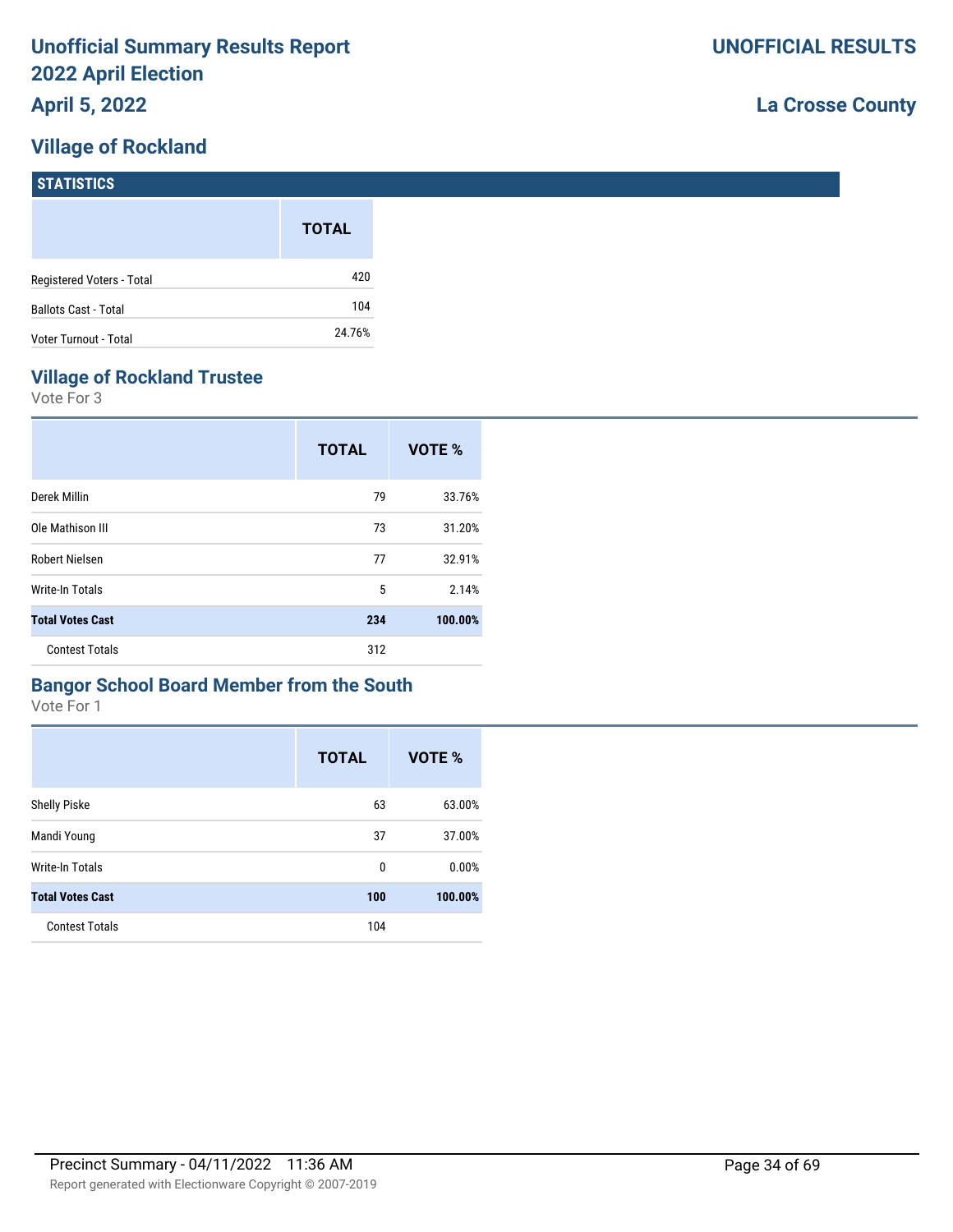# **La Crosse County**

### **Village of Rockland**

| STATISTICS                  |              |
|-----------------------------|--------------|
|                             | <b>TOTAL</b> |
| Registered Voters - Total   | 420          |
| <b>Ballots Cast - Total</b> | 104          |
| Voter Turnout - Total       | 24.76%       |

#### **Village of Rockland Trustee**

Vote For 3

|                         | <b>TOTAL</b> | VOTE %  |
|-------------------------|--------------|---------|
| Derek Millin            | 79           | 33.76%  |
| Ole Mathison III        | 73           | 31.20%  |
| <b>Robert Nielsen</b>   | 77           | 32.91%  |
| Write-In Totals         | 5            | 2.14%   |
| <b>Total Votes Cast</b> | 234          | 100.00% |
| <b>Contest Totals</b>   | 312          |         |

#### **Bangor School Board Member from the South**

|                         | <b>TOTAL</b> | VOTE %  |
|-------------------------|--------------|---------|
| <b>Shelly Piske</b>     | 63           | 63.00%  |
| Mandi Young             | 37           | 37.00%  |
| Write-In Totals         | 0            | 0.00%   |
| <b>Total Votes Cast</b> | 100          | 100.00% |
| <b>Contest Totals</b>   | 104          |         |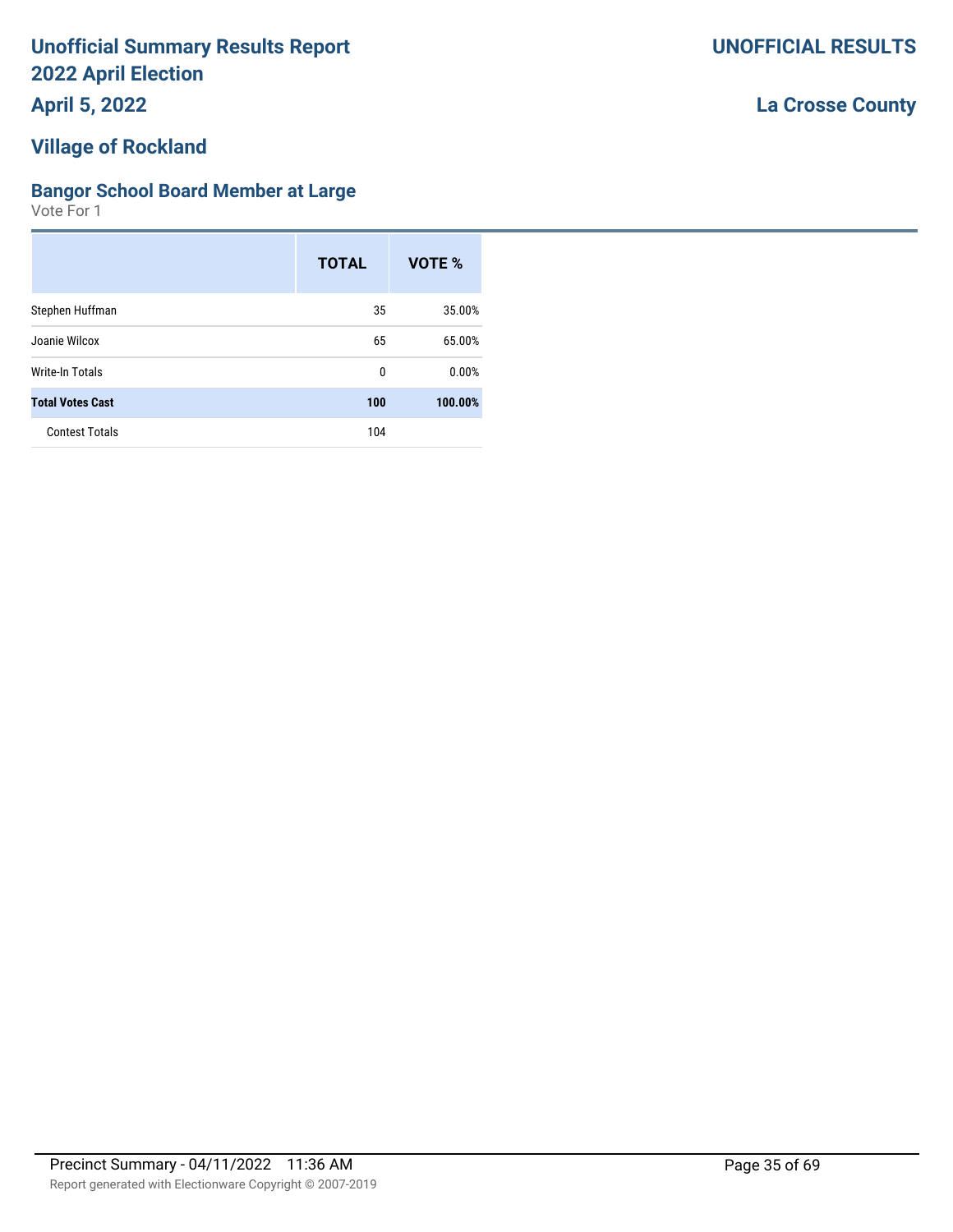### **Village of Rockland**

#### **Bangor School Board Member at Large**

Vote For 1

|                         | <b>TOTAL</b> | VOTE %  |
|-------------------------|--------------|---------|
| Stephen Huffman         | 35           | 35.00%  |
| Joanie Wilcox           | 65           | 65.00%  |
| Write-In Totals         | 0            | 0.00%   |
| <b>Total Votes Cast</b> | 100          | 100.00% |
| <b>Contest Totals</b>   | 104          |         |

# **La Crosse County**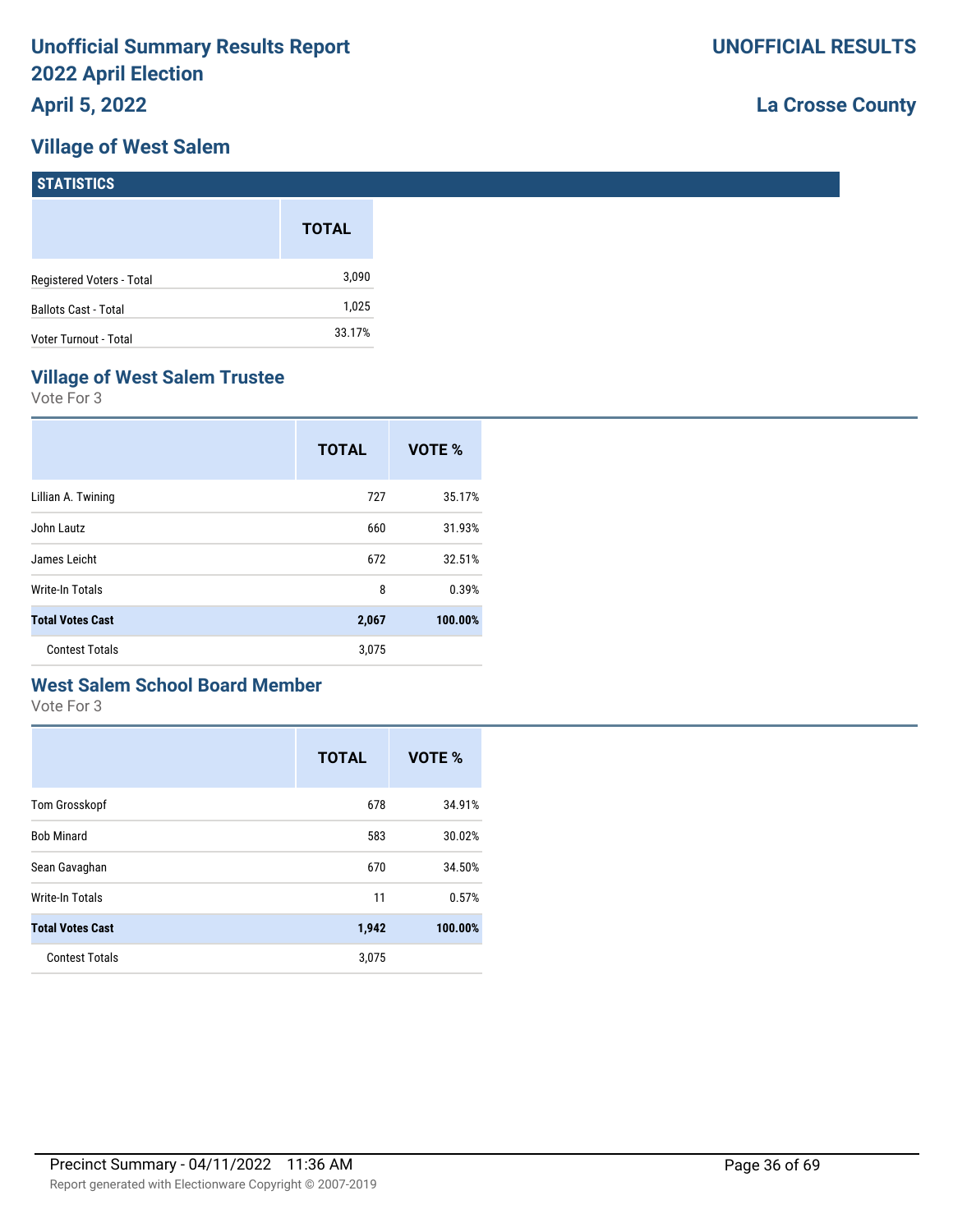# **Village of West Salem**

| <b>STATISTICS</b>           |              |
|-----------------------------|--------------|
|                             | <b>TOTAL</b> |
| Registered Voters - Total   | 3,090        |
| <b>Ballots Cast - Total</b> | 1,025        |
| Voter Turnout - Total       | 33.17%       |

#### **Village of West Salem Trustee**

Vote For 3

|                         | <b>TOTAL</b> | VOTE %  |
|-------------------------|--------------|---------|
| Lillian A. Twining      | 727          | 35.17%  |
| John Lautz              | 660          | 31.93%  |
| James Leicht            | 672          | 32.51%  |
| Write-In Totals         | 8            | 0.39%   |
| <b>Total Votes Cast</b> | 2,067        | 100.00% |
| <b>Contest Totals</b>   | 3,075        |         |

#### **West Salem School Board Member**

|                         | <b>TOTAL</b> | VOTE %  |
|-------------------------|--------------|---------|
| Tom Grosskopf           | 678          | 34.91%  |
| <b>Bob Minard</b>       | 583          | 30.02%  |
| Sean Gavaghan           | 670          | 34.50%  |
| Write-In Totals         | 11           | 0.57%   |
| <b>Total Votes Cast</b> | 1,942        | 100.00% |
| <b>Contest Totals</b>   | 3,075        |         |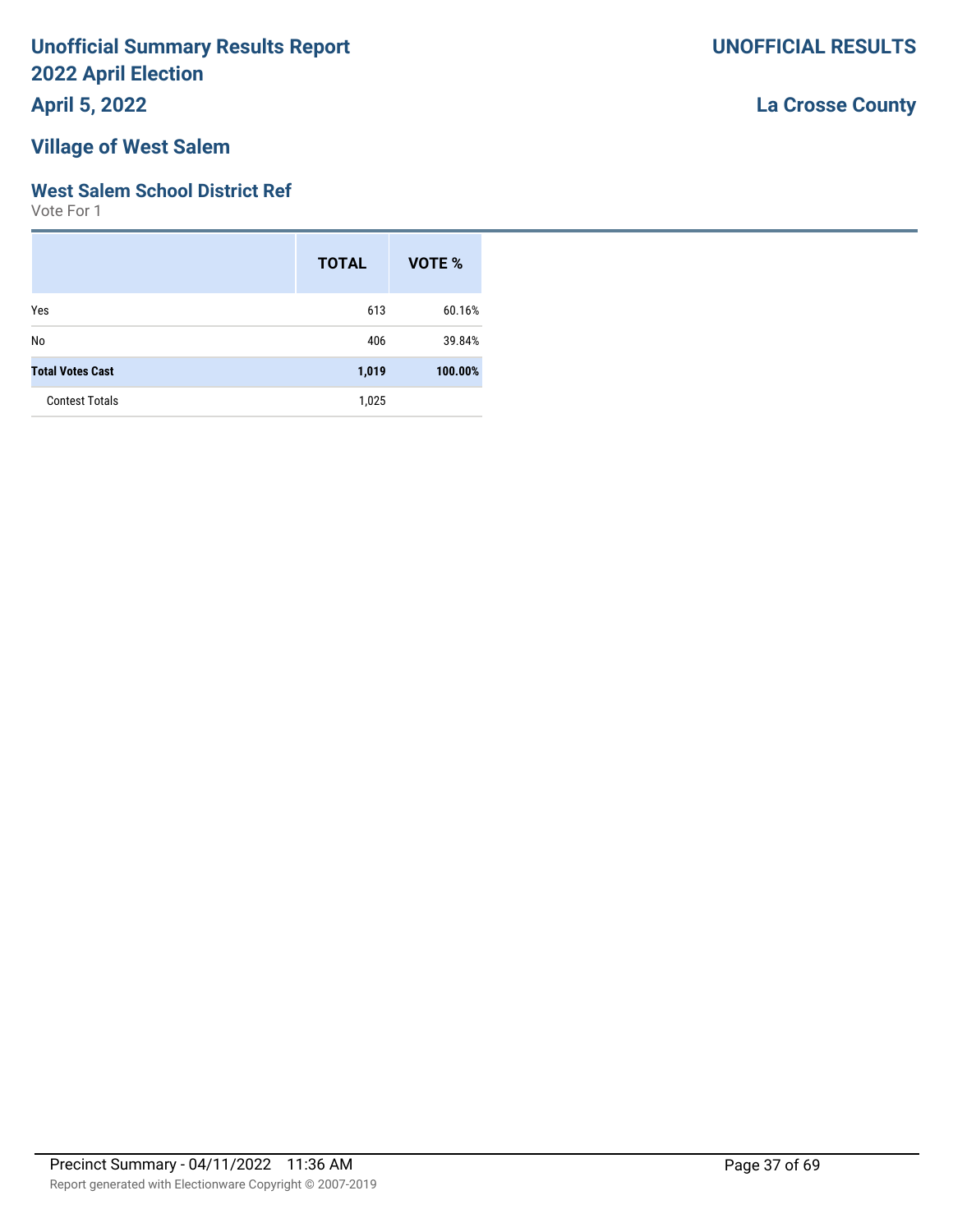# **Village of West Salem**

#### **West Salem School District Ref**

Vote For 1

|                         | <b>TOTAL</b> | VOTE %  |
|-------------------------|--------------|---------|
| Yes                     | 613          | 60.16%  |
| No                      | 406          | 39.84%  |
| <b>Total Votes Cast</b> | 1,019        | 100.00% |
| <b>Contest Totals</b>   | 1,025        |         |

# **La Crosse County**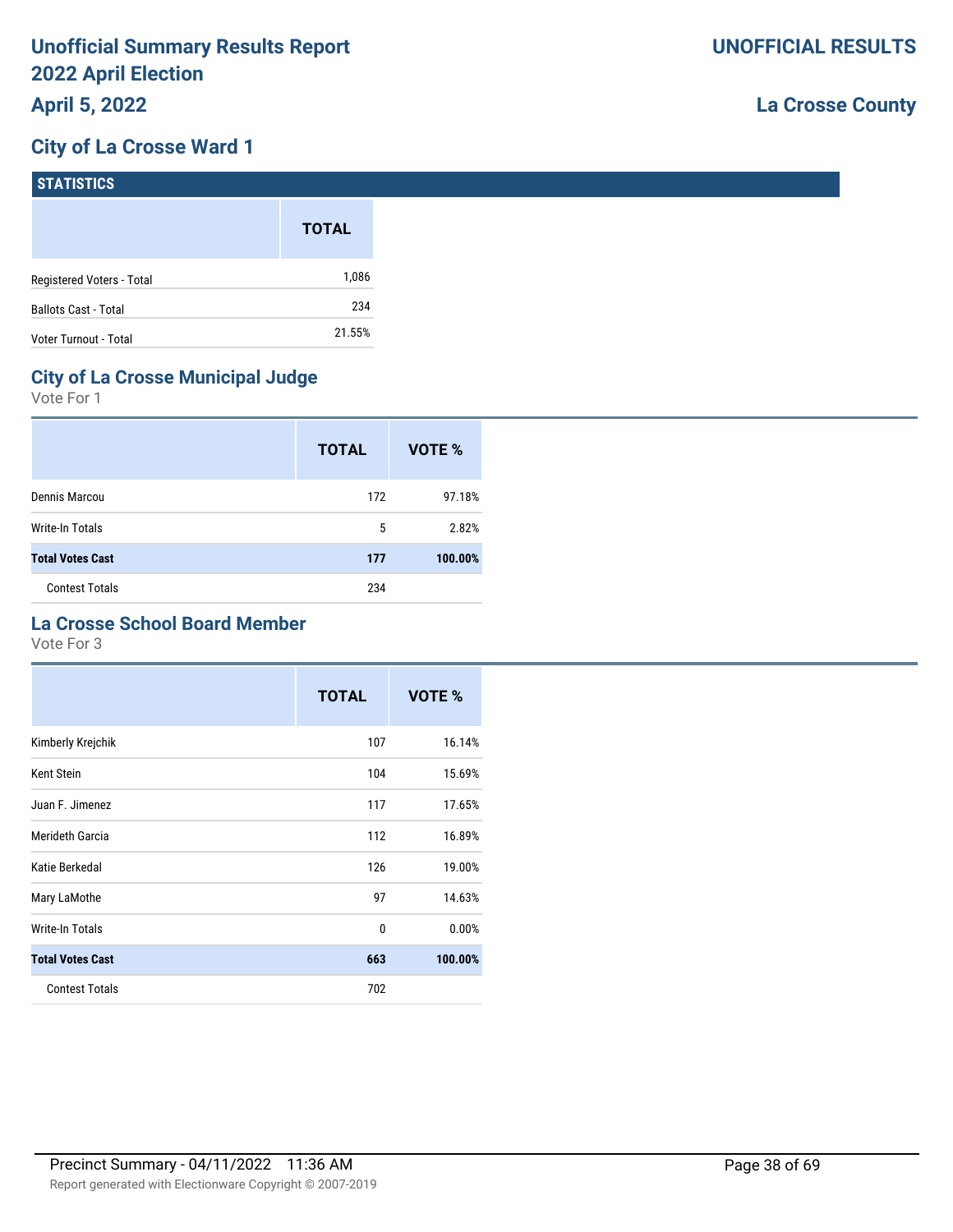# **City of La Crosse Ward 1**

| <b>STATISTICS</b>         |              |
|---------------------------|--------------|
|                           | <b>TOTAL</b> |
| Registered Voters - Total | 1,086        |
| Ballots Cast - Total      | 234          |
| Voter Turnout - Total     | 21.55%       |

#### **City of La Crosse Municipal Judge**

Vote For 1

|                         | <b>TOTAL</b> | VOTE %  |
|-------------------------|--------------|---------|
| Dennis Marcou           | 172          | 97.18%  |
| Write-In Totals         | 5            | 2.82%   |
| <b>Total Votes Cast</b> | 177          | 100.00% |
| <b>Contest Totals</b>   | 234          |         |

#### **La Crosse School Board Member**

|                         | <b>TOTAL</b> | VOTE %  |
|-------------------------|--------------|---------|
| Kimberly Krejchik       | 107          | 16.14%  |
| Kent Stein              | 104          | 15.69%  |
| Juan F. Jimenez         | 117          | 17.65%  |
| Merideth Garcia         | 112          | 16.89%  |
| Katie Berkedal          | 126          | 19.00%  |
| Mary LaMothe            | 97           | 14.63%  |
| Write-In Totals         | 0            | 0.00%   |
| <b>Total Votes Cast</b> | 663          | 100.00% |
| <b>Contest Totals</b>   | 702          |         |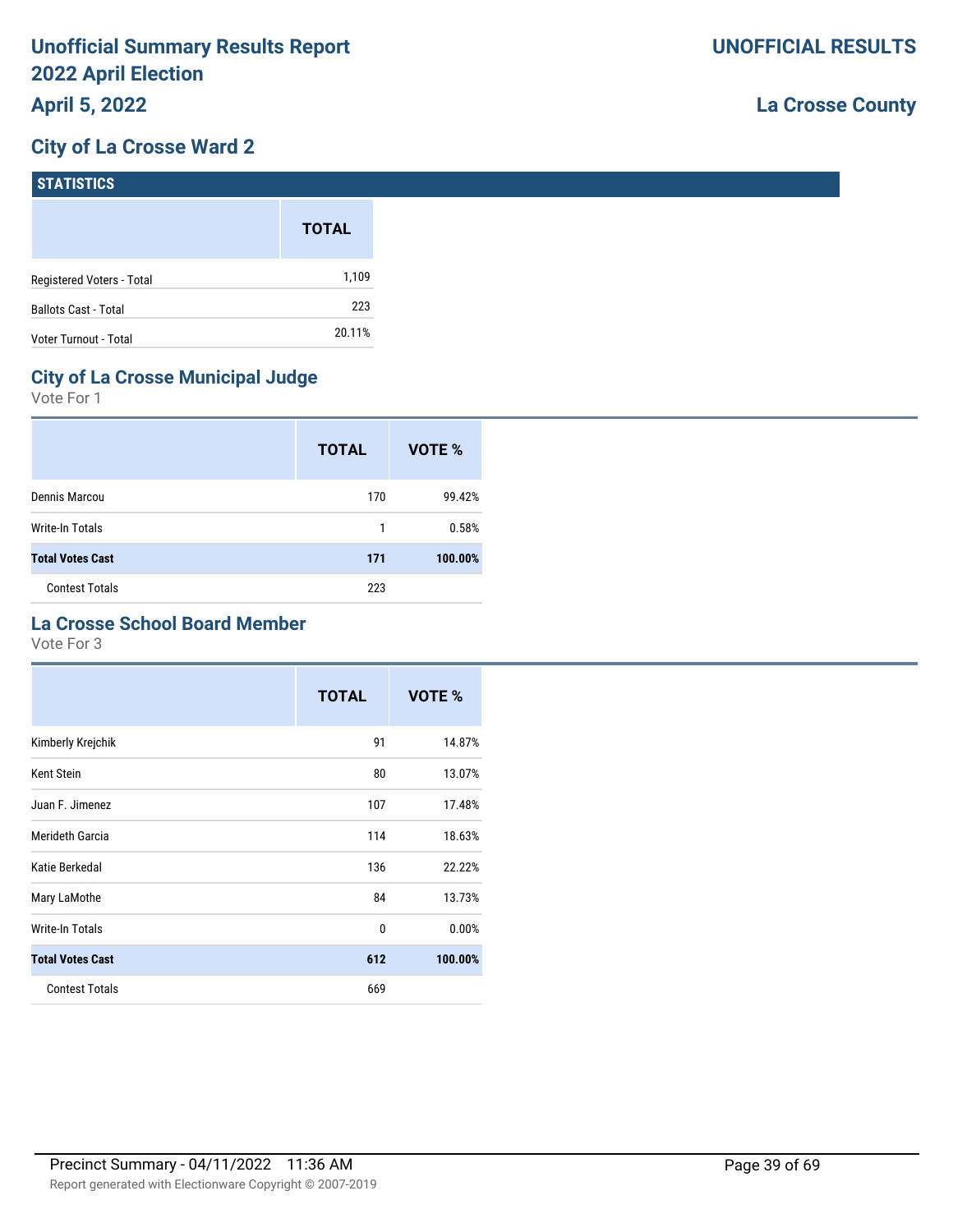# **City of La Crosse Ward 2**

| <b>STATISTICS</b>         |              |
|---------------------------|--------------|
|                           | <b>TOTAL</b> |
| Registered Voters - Total | 1,109        |
| Ballots Cast - Total      | 223          |
| Voter Turnout - Total     | 20.11%       |

#### **City of La Crosse Municipal Judge**

Vote For 1

|                         | <b>TOTAL</b> | VOTE %  |
|-------------------------|--------------|---------|
| Dennis Marcou           | 170          | 99.42%  |
| Write-In Totals         | 1            | 0.58%   |
| <b>Total Votes Cast</b> | 171          | 100.00% |
| <b>Contest Totals</b>   | 223          |         |

#### **La Crosse School Board Member**

|                         | <b>TOTAL</b> | VOTE %  |
|-------------------------|--------------|---------|
| Kimberly Krejchik       | 91           | 14.87%  |
| Kent Stein              | 80           | 13.07%  |
| Juan F. Jimenez         | 107          | 17.48%  |
| <b>Merideth Garcia</b>  | 114          | 18.63%  |
| Katie Berkedal          | 136          | 22.22%  |
| Mary LaMothe            | 84           | 13.73%  |
| Write-In Totals         | 0            | 0.00%   |
| <b>Total Votes Cast</b> | 612          | 100.00% |
| <b>Contest Totals</b>   | 669          |         |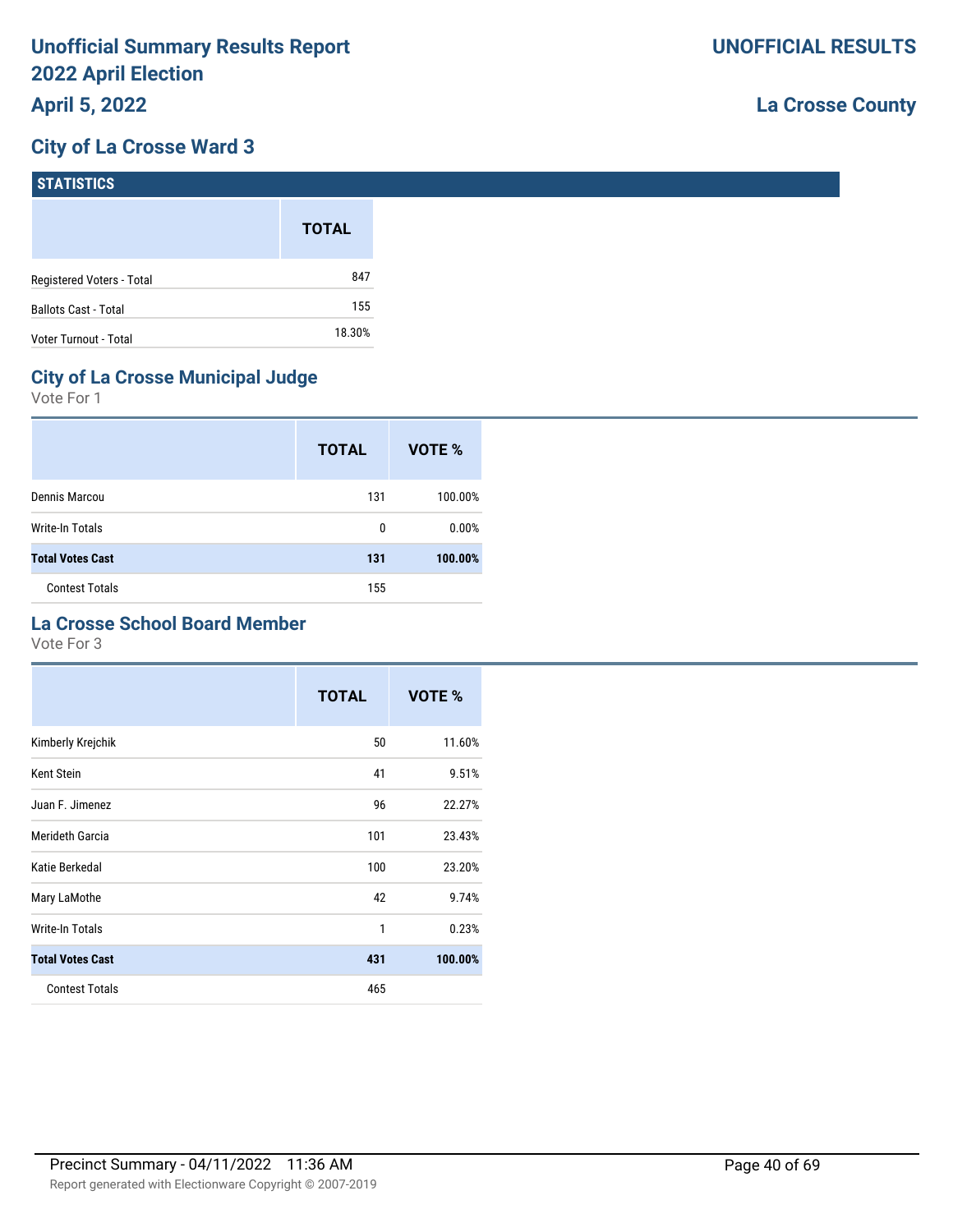# **City of La Crosse Ward 3**

| <b>STATISTICS</b>         |               |
|---------------------------|---------------|
|                           | <b>TOTAL</b>  |
| Registered Voters - Total | 847           |
| Ballots Cast - Total      | 155           |
| Voter Turnout - Total     | 18.30%<br>___ |

#### **City of La Crosse Municipal Judge**

Vote For 1

|                         | <b>TOTAL</b> | VOTE %  |
|-------------------------|--------------|---------|
| Dennis Marcou           | 131          | 100.00% |
| Write-In Totals         | 0            | 0.00%   |
| <b>Total Votes Cast</b> | 131          | 100.00% |
| <b>Contest Totals</b>   | 155          |         |

#### **La Crosse School Board Member**

|                         | <b>TOTAL</b> | VOTE %  |
|-------------------------|--------------|---------|
| Kimberly Krejchik       | 50           | 11.60%  |
| <b>Kent Stein</b>       | 41           | 9.51%   |
| Juan F. Jimenez         | 96           | 22.27%  |
| <b>Merideth Garcia</b>  | 101          | 23.43%  |
| Katie Berkedal          | 100          | 23.20%  |
| Mary LaMothe            | 42           | 9.74%   |
| Write-In Totals         | 1            | 0.23%   |
| <b>Total Votes Cast</b> | 431          | 100.00% |
| <b>Contest Totals</b>   | 465          |         |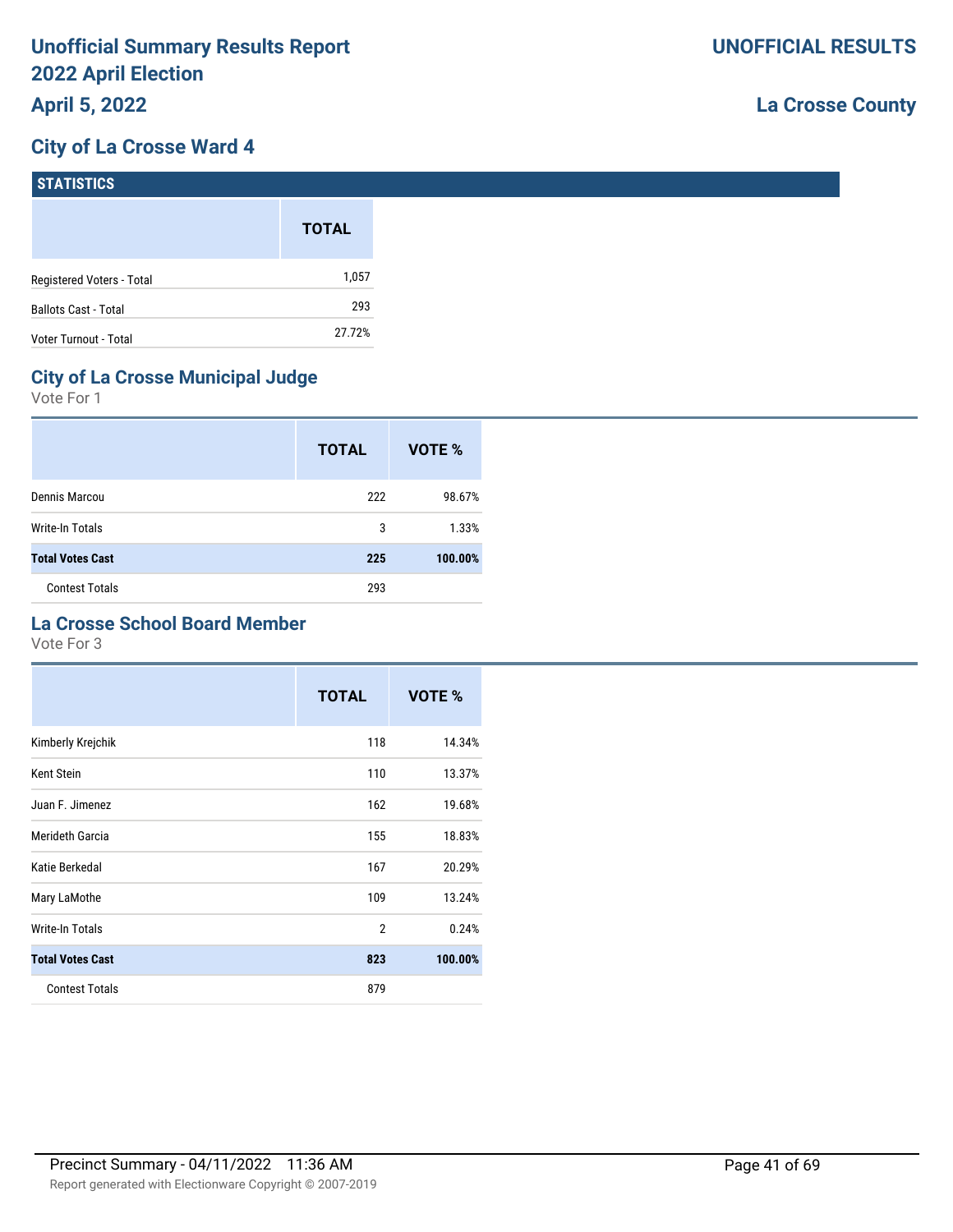# **City of La Crosse Ward 4**

| STATISTICS                |              |
|---------------------------|--------------|
|                           | <b>TOTAL</b> |
| Registered Voters - Total | 1,057        |
| Ballots Cast - Total      | 293          |
| Voter Turnout - Total     | 27.72%       |

#### **City of La Crosse Municipal Judge**

Vote For 1

|                         | <b>TOTAL</b> | VOTE %  |
|-------------------------|--------------|---------|
| Dennis Marcou           | 222          | 98.67%  |
| Write-In Totals         | 3            | 1.33%   |
| <b>Total Votes Cast</b> | 225          | 100.00% |
| <b>Contest Totals</b>   | 293          |         |

#### **La Crosse School Board Member**

|                         | <b>TOTAL</b>   | VOTE %  |
|-------------------------|----------------|---------|
| Kimberly Krejchik       | 118            | 14.34%  |
| Kent Stein              | 110            | 13.37%  |
| Juan F. Jimenez         | 162            | 19.68%  |
| Merideth Garcia         | 155            | 18.83%  |
| Katie Berkedal          | 167            | 20.29%  |
| Mary LaMothe            | 109            | 13.24%  |
| Write-In Totals         | $\overline{2}$ | 0.24%   |
| <b>Total Votes Cast</b> | 823            | 100.00% |
| <b>Contest Totals</b>   | 879            |         |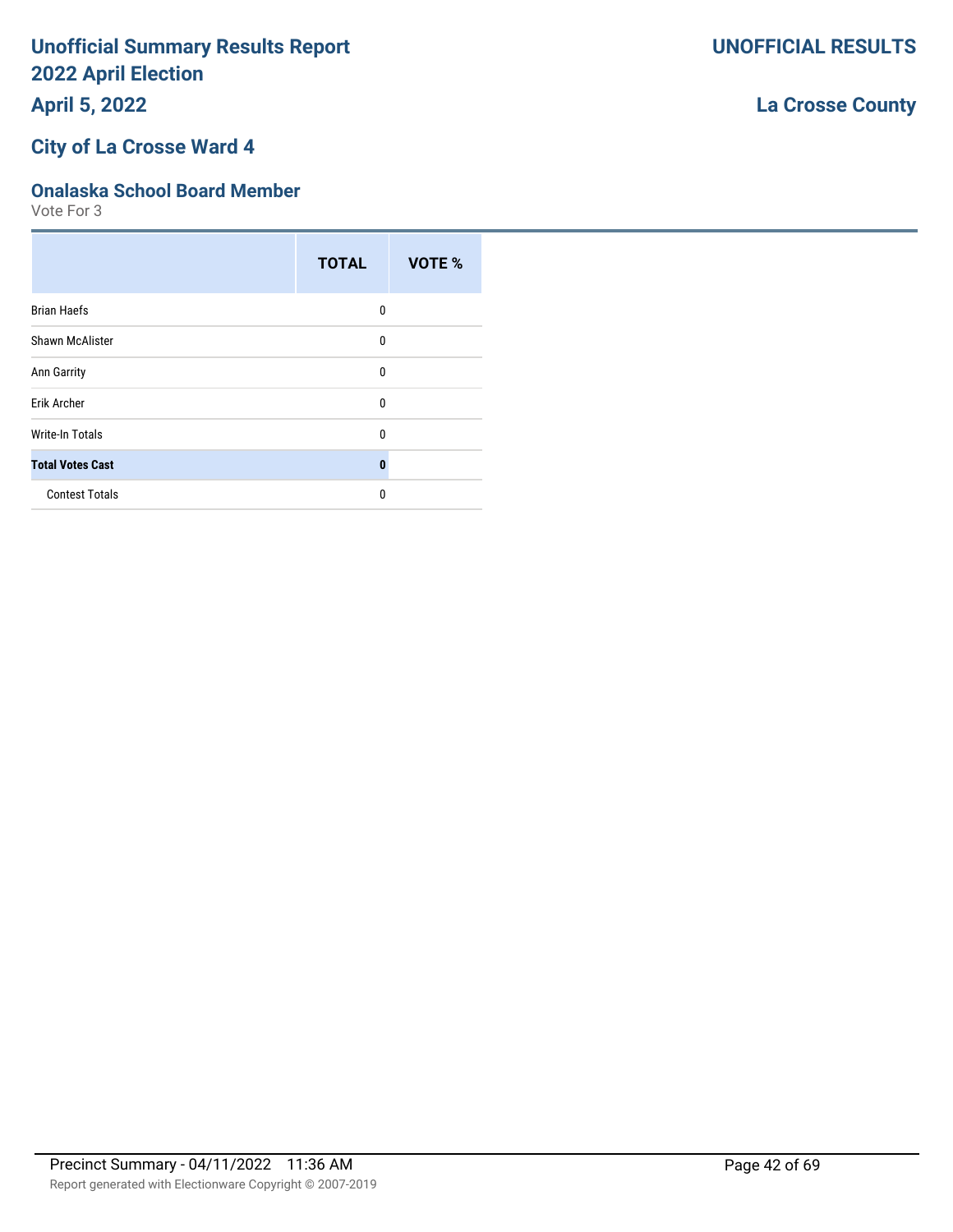# **La Crosse County**

# **City of La Crosse Ward 4**

# **Onalaska School Board Member**

|                         | <b>TOTAL</b> | <b>VOTE %</b> |
|-------------------------|--------------|---------------|
| <b>Brian Haefs</b>      | 0            |               |
| <b>Shawn McAlister</b>  | 0            |               |
| Ann Garrity             | 0            |               |
| Erik Archer             | 0            |               |
| <b>Write-In Totals</b>  | $\Omega$     |               |
| <b>Total Votes Cast</b> | $\bf{0}$     |               |
| <b>Contest Totals</b>   | 0            |               |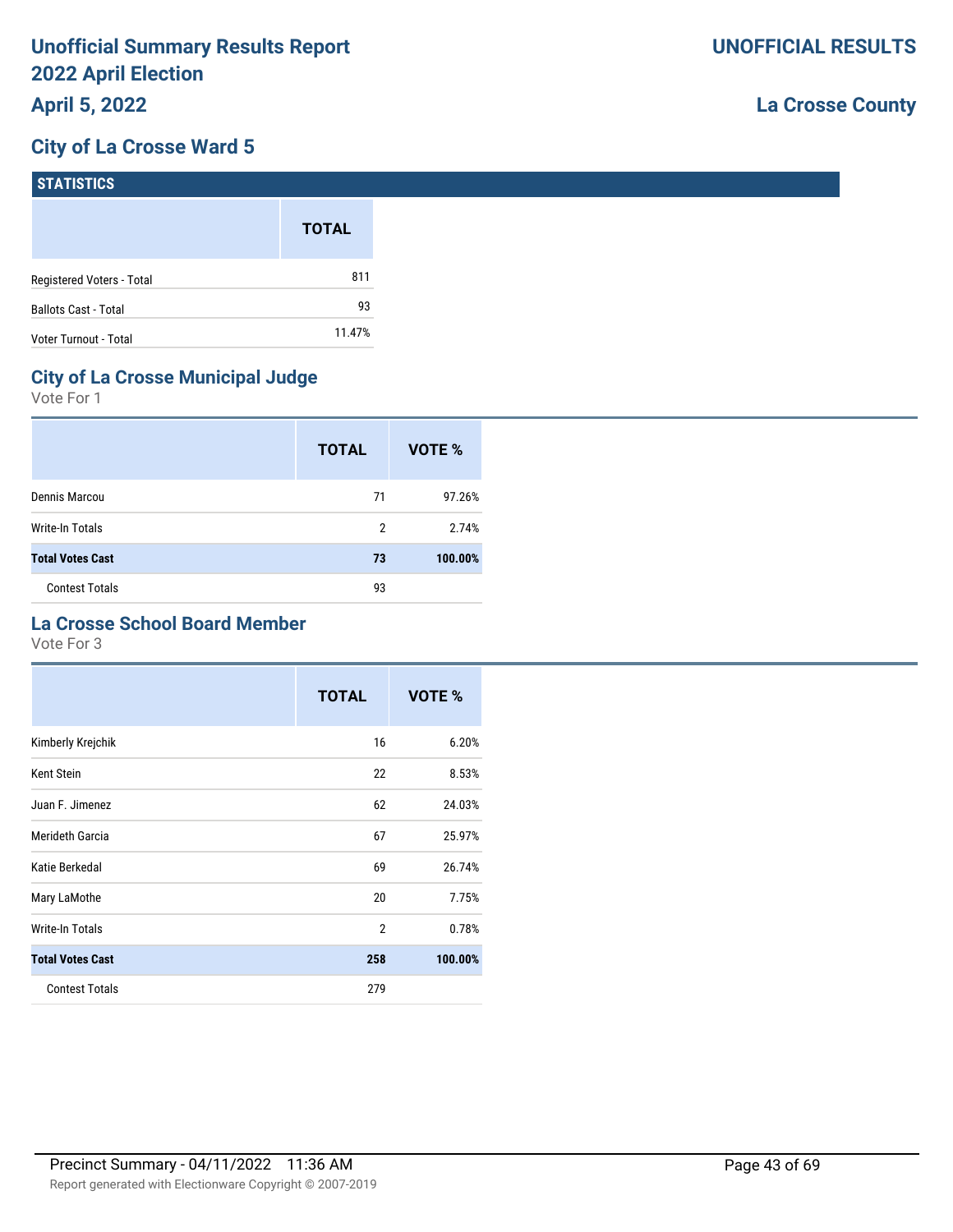# **City of La Crosse Ward 5**

| STATISTICS                  |              |
|-----------------------------|--------------|
|                             | <b>TOTAL</b> |
| Registered Voters - Total   | 811          |
| <b>Ballots Cast - Total</b> | 93           |
| Voter Turnout - Total       | 11.47%       |

#### **City of La Crosse Municipal Judge**

Vote For 1

|                         | <b>TOTAL</b> | VOTE %  |
|-------------------------|--------------|---------|
| Dennis Marcou           | 71           | 97.26%  |
| Write-In Totals         | 2            | 2.74%   |
| <b>Total Votes Cast</b> | 73           | 100.00% |
| <b>Contest Totals</b>   | 93           |         |

#### **La Crosse School Board Member**

|                         | <b>TOTAL</b>   | VOTE %  |
|-------------------------|----------------|---------|
| Kimberly Krejchik       | 16             | 6.20%   |
| Kent Stein              | 22             | 8.53%   |
| Juan F. Jimenez         | 62             | 24.03%  |
| Merideth Garcia         | 67             | 25.97%  |
| Katie Berkedal          | 69             | 26.74%  |
| Mary LaMothe            | 20             | 7.75%   |
| Write-In Totals         | $\overline{2}$ | 0.78%   |
| <b>Total Votes Cast</b> | 258            | 100.00% |
| <b>Contest Totals</b>   | 279            |         |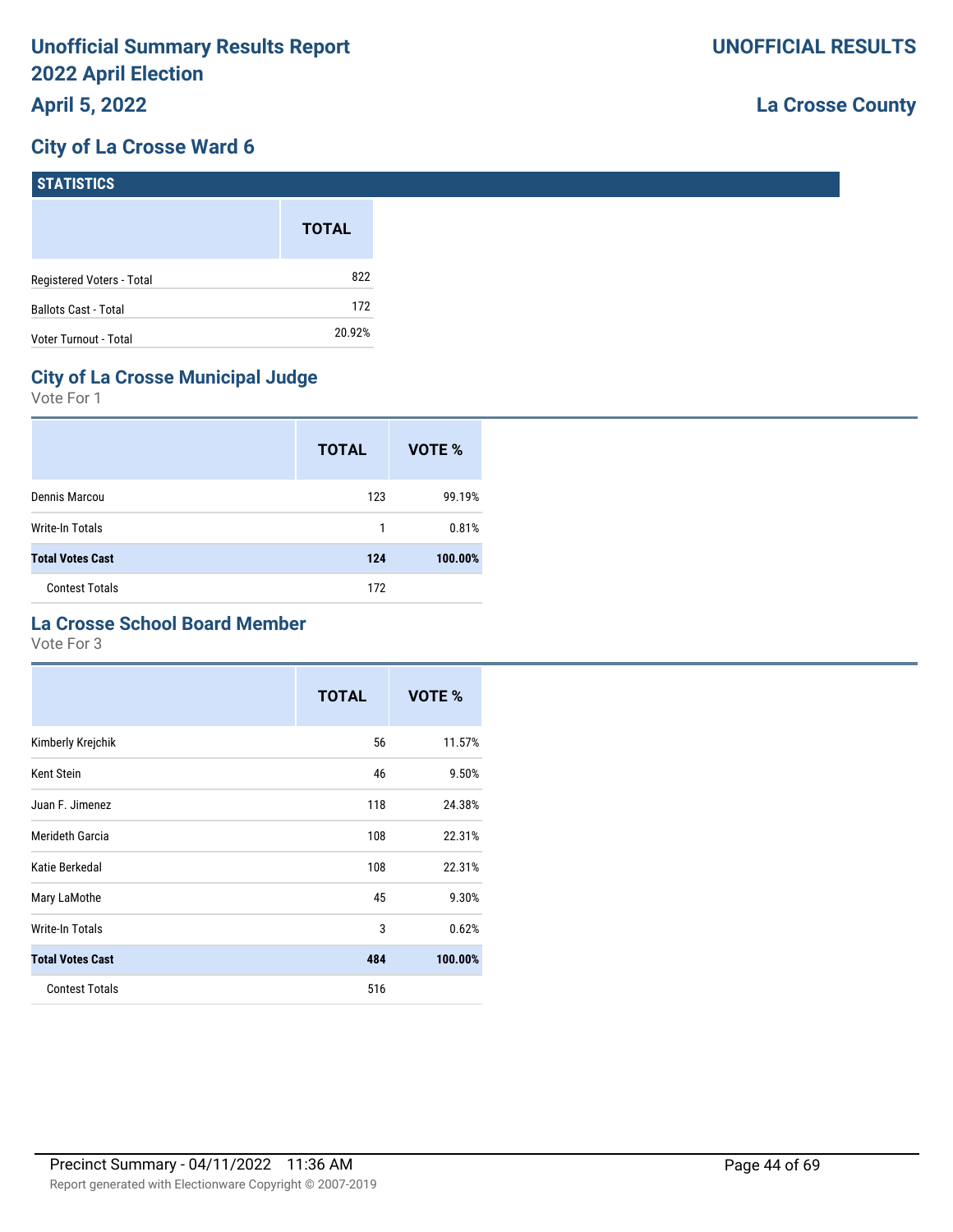# **City of La Crosse Ward 6**

| STATISTICS                |              |
|---------------------------|--------------|
|                           | <b>TOTAL</b> |
| Registered Voters - Total | 822          |
| Ballots Cast - Total      | 172          |
| Voter Turnout - Total     | 20.92%       |

#### **City of La Crosse Municipal Judge**

Vote For 1

|                         | <b>TOTAL</b> | VOTE %  |
|-------------------------|--------------|---------|
| Dennis Marcou           | 123          | 99.19%  |
| Write-In Totals         | 1            | 0.81%   |
| <b>Total Votes Cast</b> | 124          | 100.00% |
| <b>Contest Totals</b>   | 172          |         |

#### **La Crosse School Board Member**

|                         | <b>TOTAL</b> | VOTE %  |
|-------------------------|--------------|---------|
| Kimberly Krejchik       | 56           | 11.57%  |
| Kent Stein              | 46           | 9.50%   |
| Juan F. Jimenez         | 118          | 24.38%  |
| Merideth Garcia         | 108          | 22.31%  |
| Katie Berkedal          | 108          | 22.31%  |
| Mary LaMothe            | 45           | 9.30%   |
| Write-In Totals         | 3            | 0.62%   |
| <b>Total Votes Cast</b> | 484          | 100.00% |
| <b>Contest Totals</b>   | 516          |         |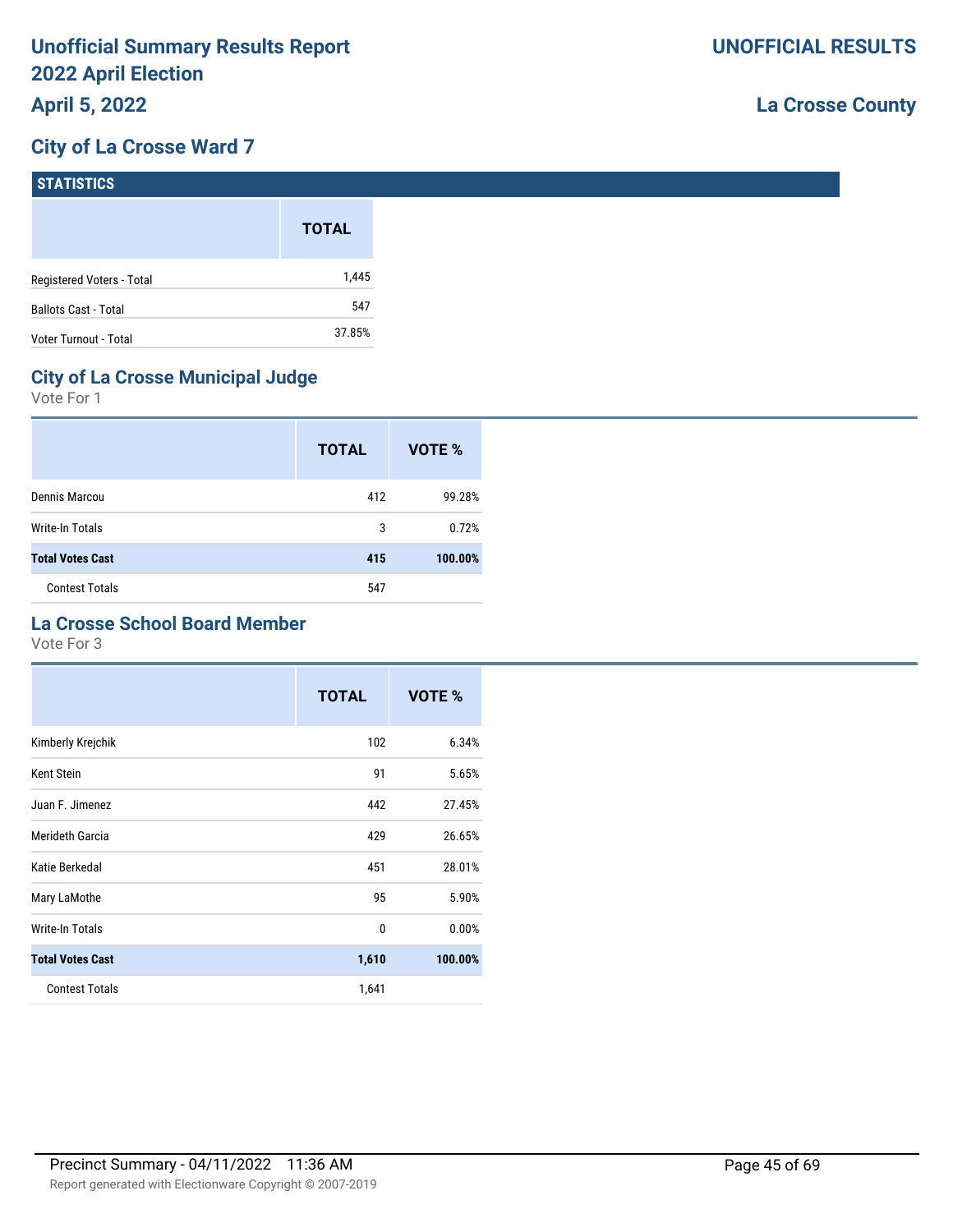# **City of La Crosse Ward 7**

| <b>STATISTICS</b>         |              |
|---------------------------|--------------|
|                           | <b>TOTAL</b> |
| Registered Voters - Total | 1,445        |
| Ballots Cast - Total      | 547          |
| Voter Turnout - Total     | 37.85%       |

#### **City of La Crosse Municipal Judge**

Vote For 1

|                         | <b>TOTAL</b> | VOTE %  |
|-------------------------|--------------|---------|
| Dennis Marcou           | 412          | 99.28%  |
| Write-In Totals         | 3            | 0.72%   |
| <b>Total Votes Cast</b> | 415          | 100.00% |
| <b>Contest Totals</b>   | 547          |         |

#### **La Crosse School Board Member**

|                         | <b>TOTAL</b> | VOTE %  |
|-------------------------|--------------|---------|
| Kimberly Krejchik       | 102          | 6.34%   |
| Kent Stein              | 91           | 5.65%   |
| Juan F. Jimenez         | 442          | 27.45%  |
| Merideth Garcia         | 429          | 26.65%  |
| Katie Berkedal          | 451          | 28.01%  |
| Mary LaMothe            | 95           | 5.90%   |
| Write-In Totals         | 0            | 0.00%   |
| <b>Total Votes Cast</b> | 1,610        | 100.00% |
| <b>Contest Totals</b>   | 1,641        |         |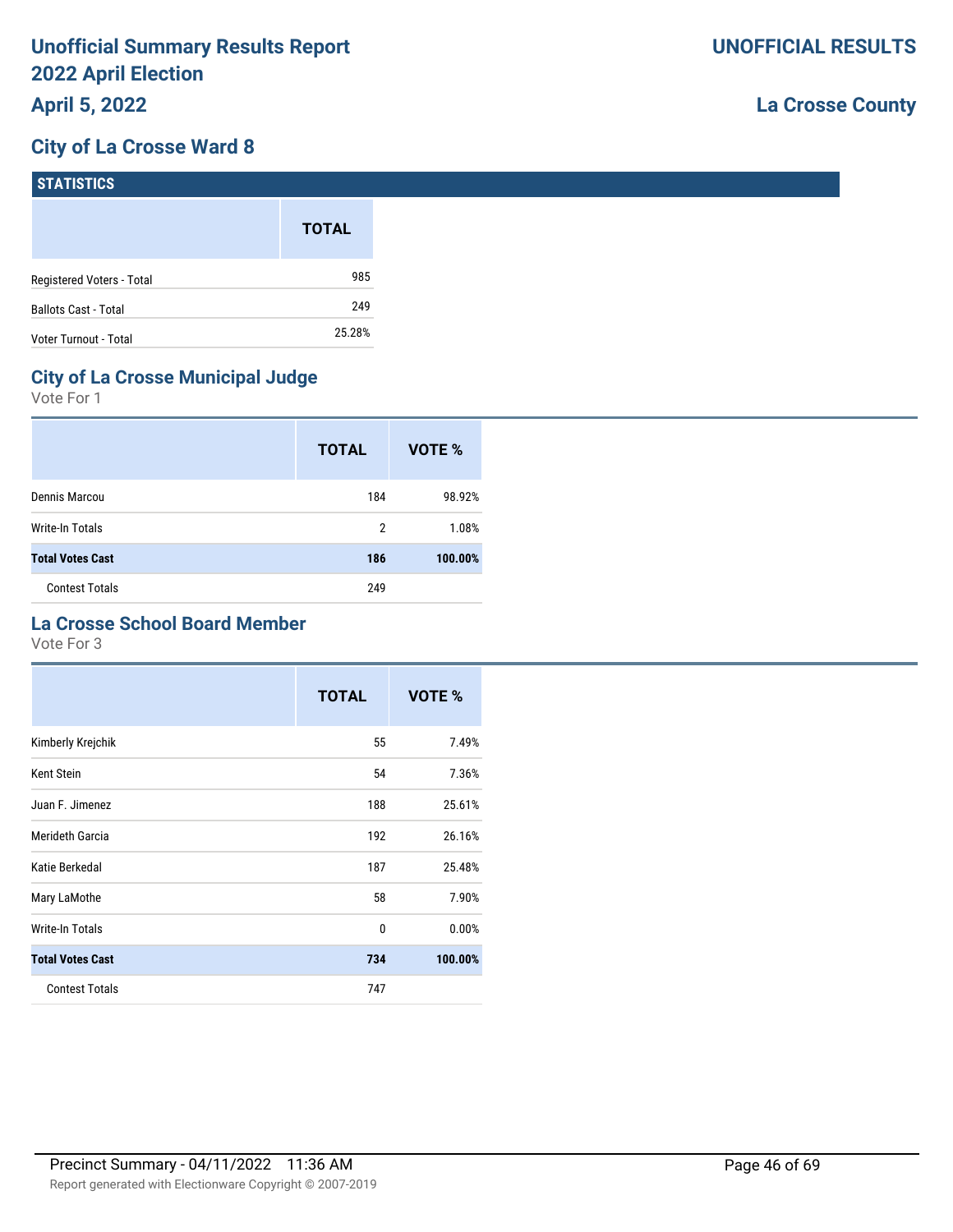# **City of La Crosse Ward 8**

| <b>STATISTICS</b>         |              |
|---------------------------|--------------|
|                           | <b>TOTAL</b> |
| Registered Voters - Total | 985          |
| Ballots Cast - Total      | 249          |
| Voter Turnout - Total     | 25.28%       |

#### **City of La Crosse Municipal Judge**

Vote For 1

|                         | <b>TOTAL</b> | VOTE %  |
|-------------------------|--------------|---------|
| Dennis Marcou           | 184          | 98.92%  |
| Write-In Totals         | 2            | 1.08%   |
| <b>Total Votes Cast</b> | 186          | 100.00% |
| <b>Contest Totals</b>   | 249          |         |

#### **La Crosse School Board Member**

|                         | <b>TOTAL</b> | VOTE %  |
|-------------------------|--------------|---------|
| Kimberly Krejchik       | 55           | 7.49%   |
| Kent Stein              | 54           | 7.36%   |
| Juan F. Jimenez         | 188          | 25.61%  |
| Merideth Garcia         | 192          | 26.16%  |
| Katie Berkedal          | 187          | 25.48%  |
| Mary LaMothe            | 58           | 7.90%   |
| Write-In Totals         | 0            | 0.00%   |
| <b>Total Votes Cast</b> | 734          | 100.00% |
| <b>Contest Totals</b>   | 747          |         |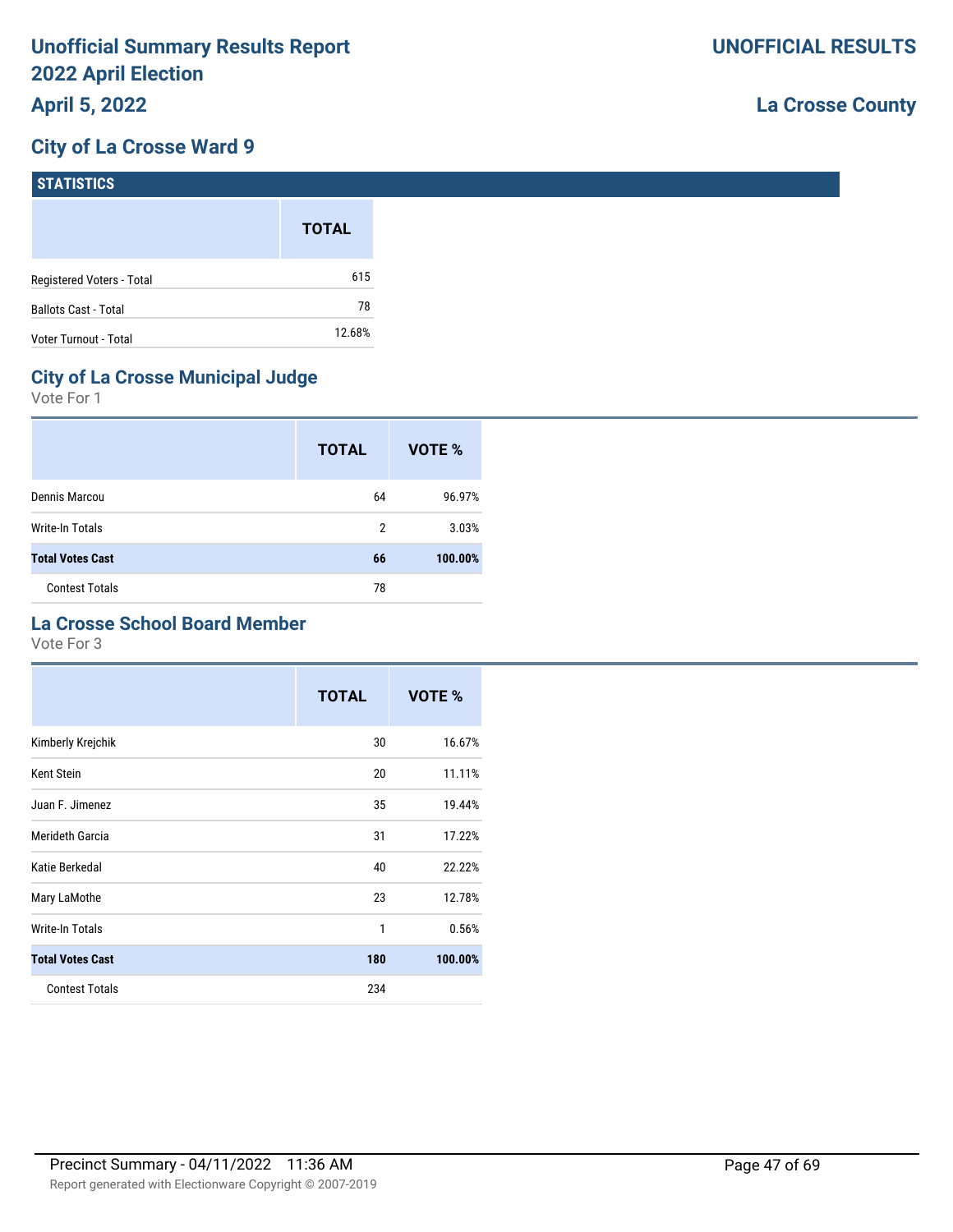# **City of La Crosse Ward 9**

| <b>STATISTICS</b>         |              |
|---------------------------|--------------|
|                           | <b>TOTAL</b> |
| Registered Voters - Total | 615          |
| Ballots Cast - Total      | 78           |
| Voter Turnout - Total     | 12.68%       |

#### **City of La Crosse Municipal Judge**

Vote For 1

|                         | <b>TOTAL</b> | VOTE %  |
|-------------------------|--------------|---------|
| Dennis Marcou           | 64           | 96.97%  |
| Write-In Totals         | 2            | 3.03%   |
| <b>Total Votes Cast</b> | 66           | 100.00% |
| <b>Contest Totals</b>   | 78           |         |

#### **La Crosse School Board Member**

|                         | <b>TOTAL</b> | VOTE %  |
|-------------------------|--------------|---------|
| Kimberly Krejchik       | 30           | 16.67%  |
| Kent Stein              | 20           | 11.11%  |
| Juan F. Jimenez         | 35           | 19.44%  |
| Merideth Garcia         | 31           | 17.22%  |
| Katie Berkedal          | 40           | 22.22%  |
| Mary LaMothe            | 23           | 12.78%  |
| Write-In Totals         | 1            | 0.56%   |
| <b>Total Votes Cast</b> | 180          | 100.00% |
| <b>Contest Totals</b>   | 234          |         |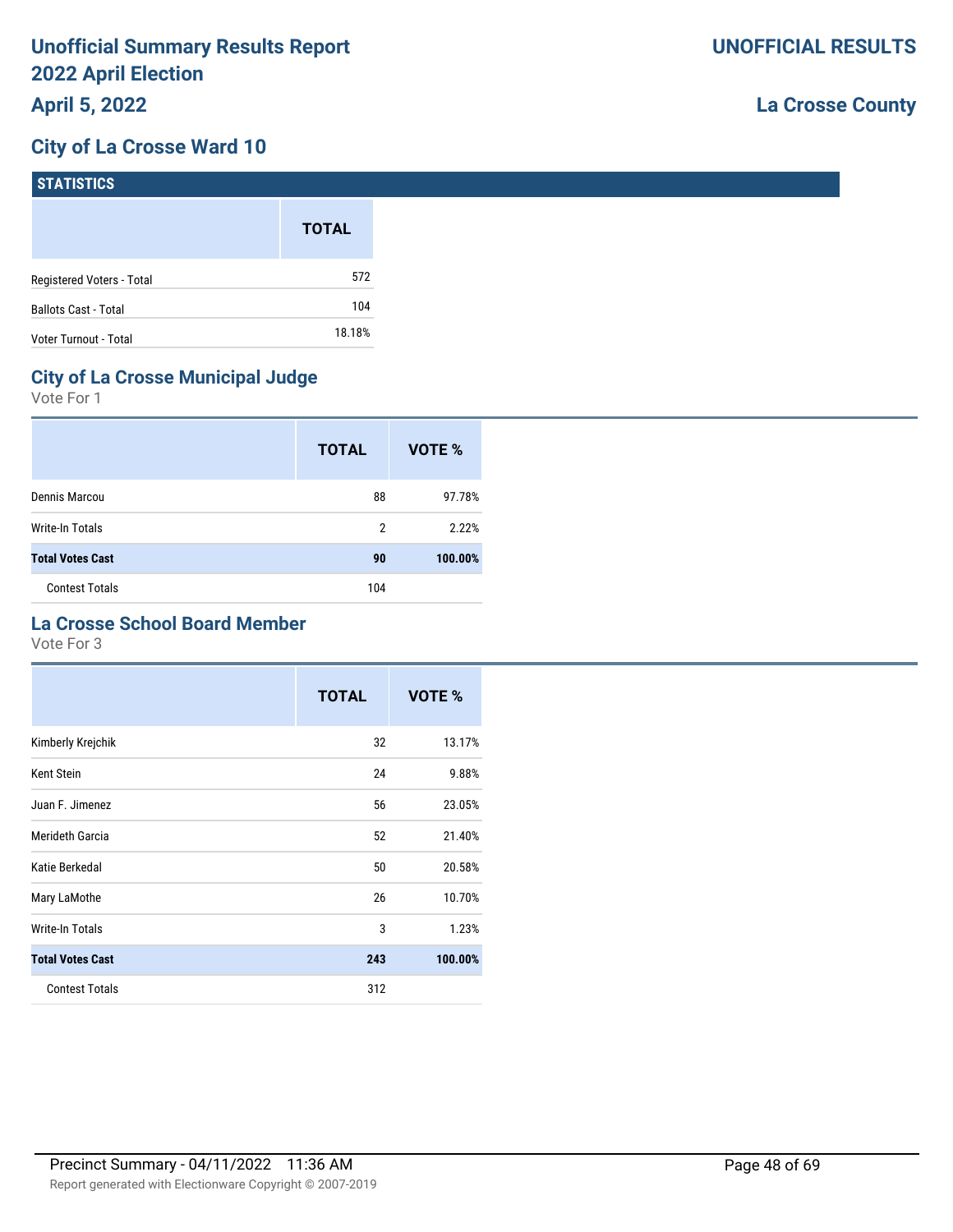# **City of La Crosse Ward 10**

| <b>STATISTICS</b>         |              |
|---------------------------|--------------|
|                           | <b>TOTAL</b> |
| Registered Voters - Total | 572          |
| Ballots Cast - Total      | 104          |
| Voter Turnout - Total     | 18.18%       |

#### **City of La Crosse Municipal Judge**

Vote For 1

|                         | <b>TOTAL</b> | VOTE %  |
|-------------------------|--------------|---------|
| Dennis Marcou           | 88           | 97.78%  |
| Write-In Totals         | 2            | 2.22%   |
| <b>Total Votes Cast</b> | 90           | 100.00% |
| <b>Contest Totals</b>   | 104          |         |

#### **La Crosse School Board Member**

|                         | <b>TOTAL</b> | VOTE %  |
|-------------------------|--------------|---------|
| Kimberly Krejchik       | 32           | 13.17%  |
| <b>Kent Stein</b>       | 24           | 9.88%   |
| Juan F. Jimenez         | 56           | 23.05%  |
| <b>Merideth Garcia</b>  | 52           | 21.40%  |
| Katie Berkedal          | 50           | 20.58%  |
| Mary LaMothe            | 26           | 10.70%  |
| <b>Write-In Totals</b>  | 3            | 1.23%   |
| <b>Total Votes Cast</b> | 243          | 100.00% |
| <b>Contest Totals</b>   | 312          |         |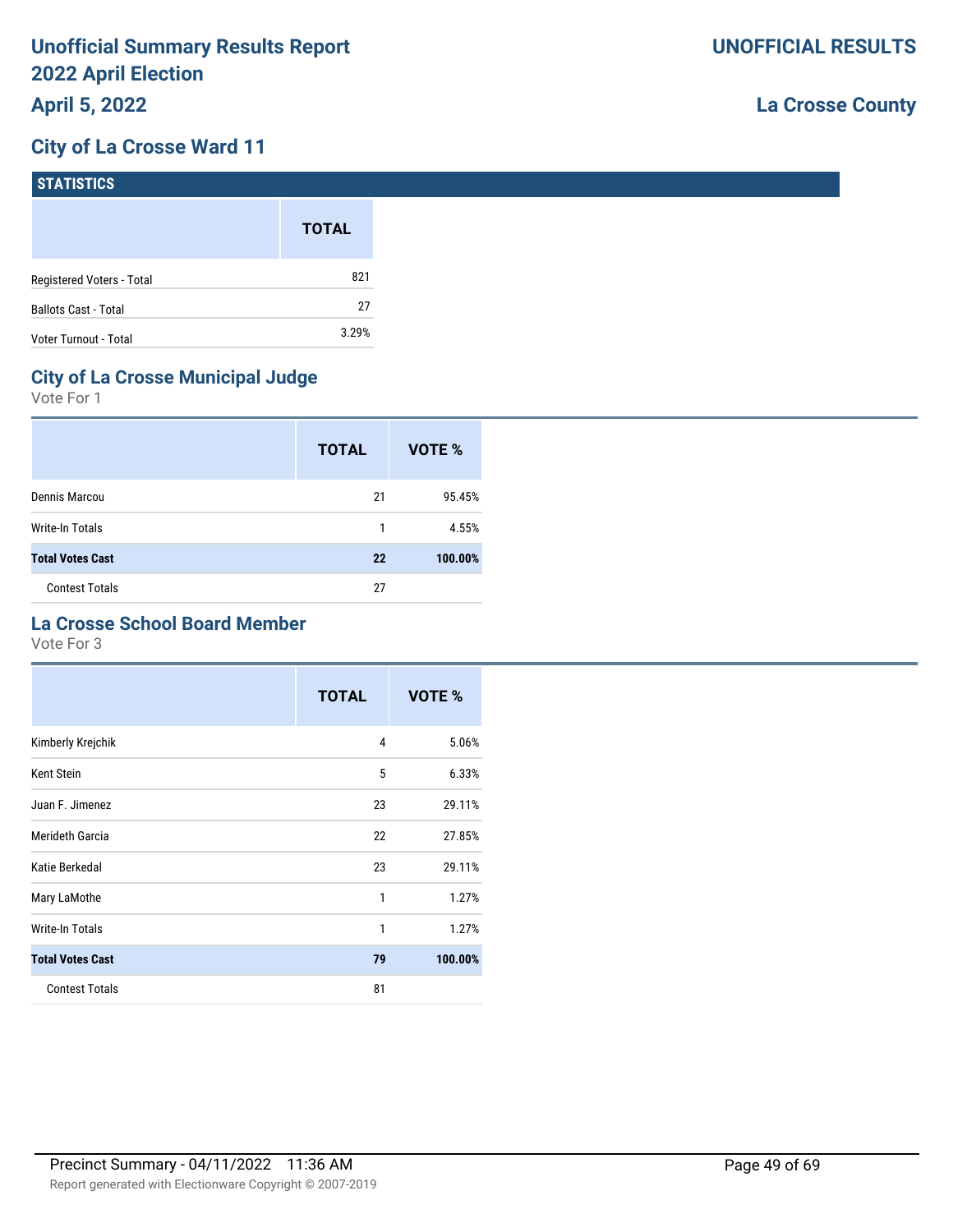# **City of La Crosse Ward 11**

| STATISTICS                  |              |
|-----------------------------|--------------|
|                             | <b>TOTAL</b> |
| Registered Voters - Total   | 821          |
| <b>Ballots Cast - Total</b> | 27           |
| Voter Turnout - Total       | 3.29%        |

#### **City of La Crosse Municipal Judge**

Vote For 1

|                         | <b>TOTAL</b> | VOTE %  |
|-------------------------|--------------|---------|
| Dennis Marcou           | 21           | 95.45%  |
| Write-In Totals         | 1            | 4.55%   |
| <b>Total Votes Cast</b> | 22           | 100.00% |
| <b>Contest Totals</b>   | 27           |         |

#### **La Crosse School Board Member**

|                         | <b>TOTAL</b> | VOTE %  |
|-------------------------|--------------|---------|
| Kimberly Krejchik       | 4            | 5.06%   |
| Kent Stein              | 5            | 6.33%   |
| Juan F. Jimenez         | 23           | 29.11%  |
| <b>Merideth Garcia</b>  | 22           | 27.85%  |
| Katie Berkedal          | 23           | 29.11%  |
| Mary LaMothe            | 1            | 1.27%   |
| Write-In Totals         | 1            | 1.27%   |
| <b>Total Votes Cast</b> | 79           | 100.00% |
| <b>Contest Totals</b>   | 81           |         |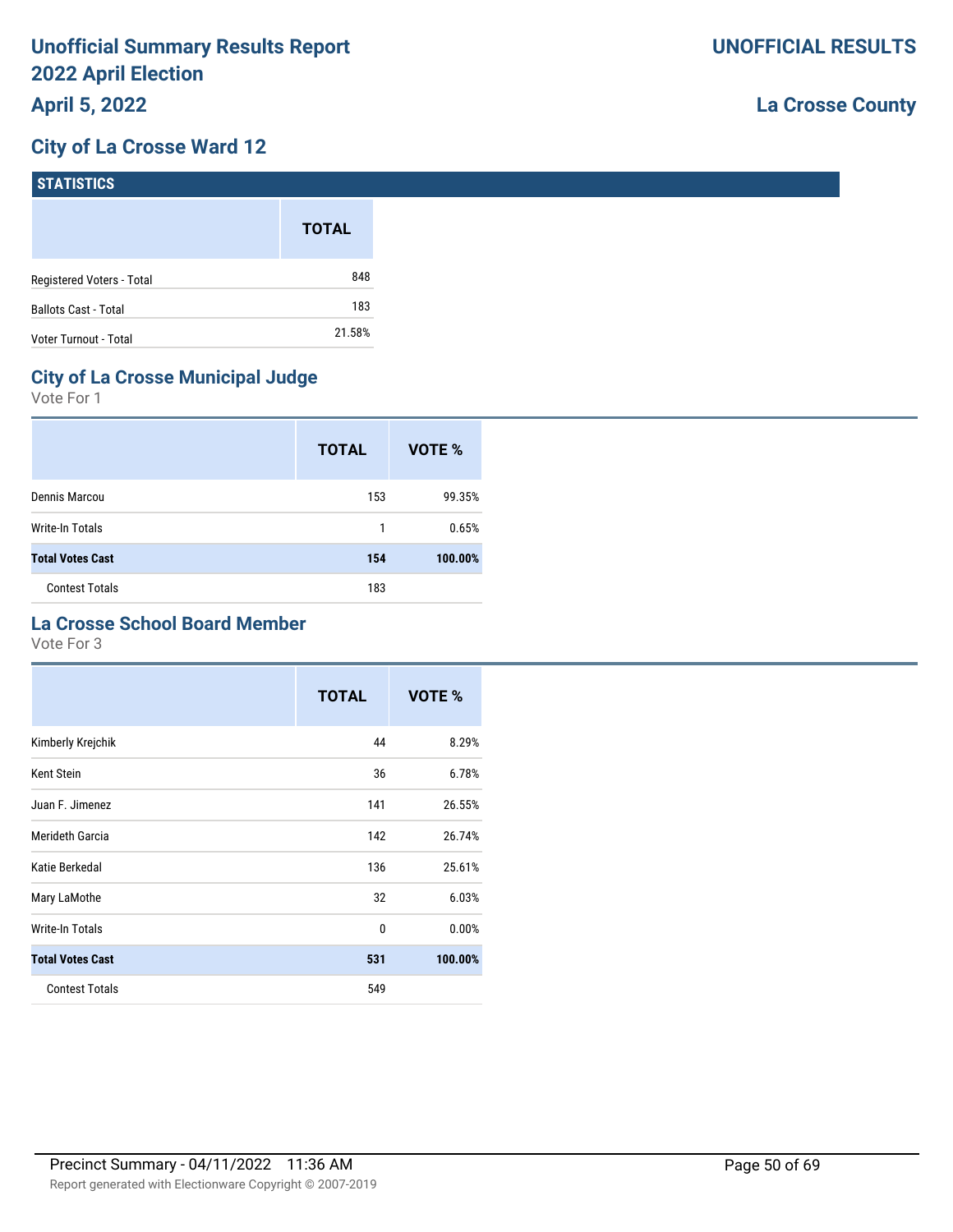# **City of La Crosse Ward 12**

| <b>STATISTICS</b>           |              |
|-----------------------------|--------------|
|                             | <b>TOTAL</b> |
| Registered Voters - Total   | 848          |
| <b>Ballots Cast - Total</b> | 183          |
| Voter Turnout - Total       | 21.58%       |

#### **City of La Crosse Municipal Judge**

Vote For 1

|                         | <b>TOTAL</b> | VOTE %  |
|-------------------------|--------------|---------|
| Dennis Marcou           | 153          | 99.35%  |
| Write-In Totals         | 1            | 0.65%   |
| <b>Total Votes Cast</b> | 154          | 100.00% |
| <b>Contest Totals</b>   | 183          |         |

#### **La Crosse School Board Member**

|                         | <b>TOTAL</b> | VOTE %  |
|-------------------------|--------------|---------|
| Kimberly Krejchik       | 44           | 8.29%   |
| Kent Stein              | 36           | 6.78%   |
| Juan F. Jimenez         | 141          | 26.55%  |
| <b>Merideth Garcia</b>  | 142          | 26.74%  |
| Katie Berkedal          | 136          | 25.61%  |
| Mary LaMothe            | 32           | 6.03%   |
| Write-In Totals         | 0            | 0.00%   |
| <b>Total Votes Cast</b> | 531          | 100.00% |
| <b>Contest Totals</b>   | 549          |         |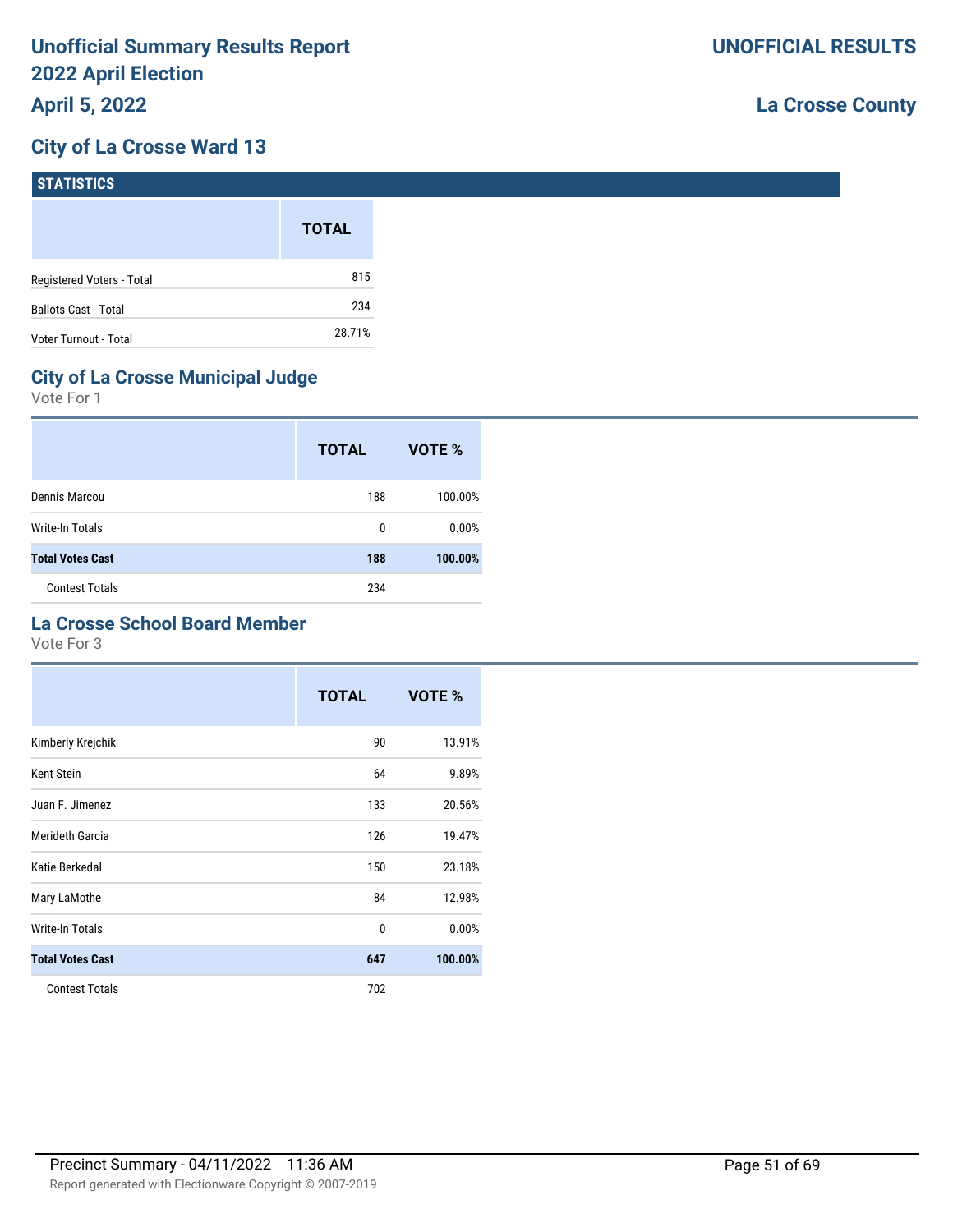# **City of La Crosse Ward 13**

| <b>STATISTICS</b>         |              |
|---------------------------|--------------|
|                           | <b>TOTAL</b> |
| Registered Voters - Total | 815          |
| Ballots Cast - Total      | 234          |
| Voter Turnout - Total     | 28.71%       |

#### **City of La Crosse Municipal Judge**

Vote For 1

|                         | <b>TOTAL</b> | VOTE %  |
|-------------------------|--------------|---------|
| Dennis Marcou           | 188          | 100.00% |
| Write-In Totals         | 0            | 0.00%   |
| <b>Total Votes Cast</b> | 188          | 100.00% |
| <b>Contest Totals</b>   | 234          |         |

#### **La Crosse School Board Member**

|                         | <b>TOTAL</b> | VOTE %  |
|-------------------------|--------------|---------|
| Kimberly Krejchik       | 90           | 13.91%  |
| <b>Kent Stein</b>       | 64           | 9.89%   |
| Juan F. Jimenez         | 133          | 20.56%  |
| <b>Merideth Garcia</b>  | 126          | 19.47%  |
| Katie Berkedal          | 150          | 23.18%  |
| Mary LaMothe            | 84           | 12.98%  |
| <b>Write-In Totals</b>  | 0            | 0.00%   |
| <b>Total Votes Cast</b> | 647          | 100.00% |
| <b>Contest Totals</b>   | 702          |         |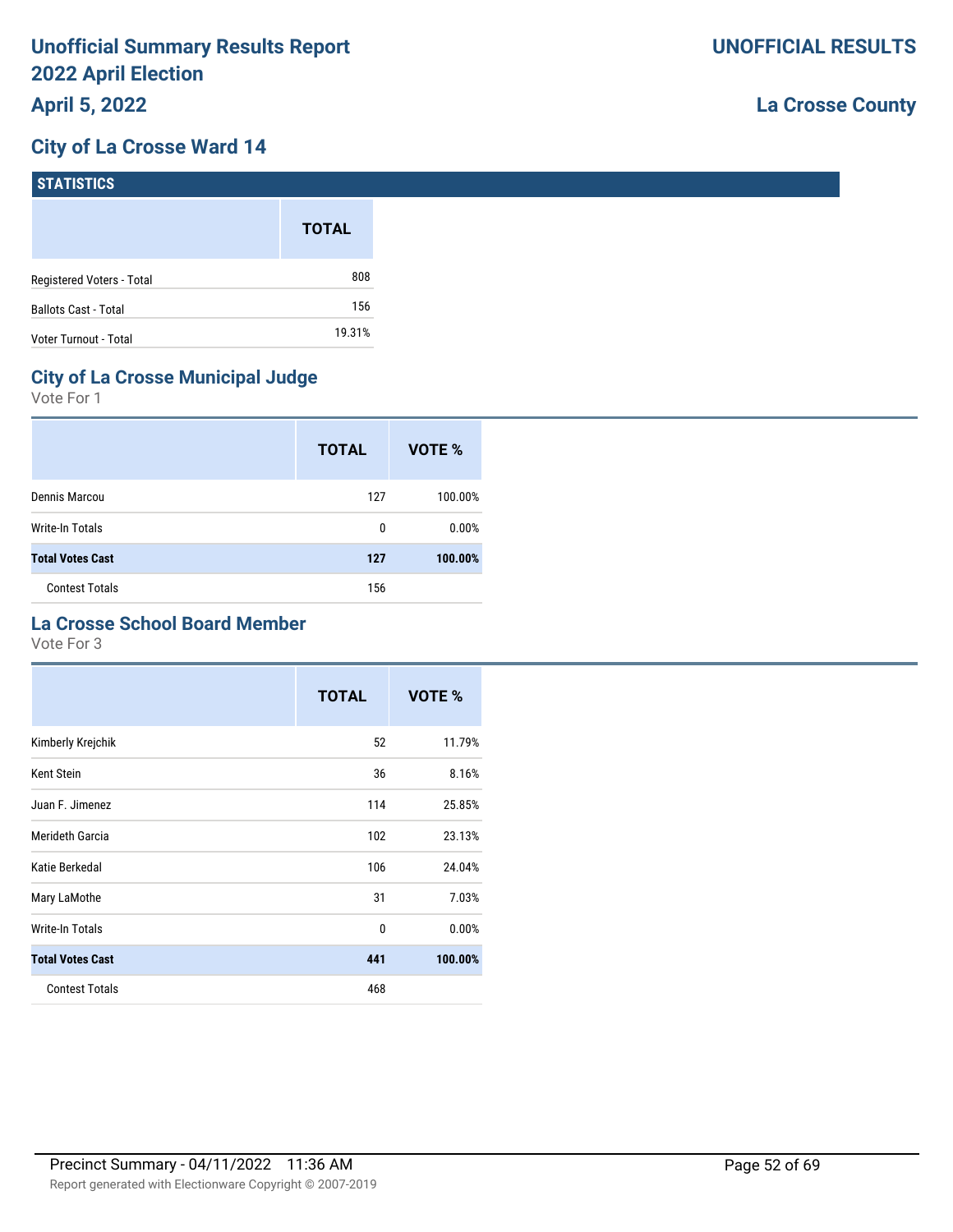# **City of La Crosse Ward 14**

| <b>STATISTICS</b>         |              |
|---------------------------|--------------|
|                           | <b>TOTAL</b> |
| Registered Voters - Total | 808          |
| Ballots Cast - Total      | 156          |
| Voter Turnout - Total     | 19.31%       |

#### **City of La Crosse Municipal Judge**

Vote For 1

|                         | <b>TOTAL</b> | VOTE %  |
|-------------------------|--------------|---------|
| Dennis Marcou           | 127          | 100.00% |
| Write-In Totals         | 0            | 0.00%   |
| <b>Total Votes Cast</b> | 127          | 100.00% |
| <b>Contest Totals</b>   | 156          |         |

#### **La Crosse School Board Member**

|                         | <b>TOTAL</b> | VOTE %  |
|-------------------------|--------------|---------|
| Kimberly Krejchik       | 52           | 11.79%  |
| <b>Kent Stein</b>       | 36           | 8.16%   |
| Juan F. Jimenez         | 114          | 25.85%  |
| <b>Merideth Garcia</b>  | 102          | 23.13%  |
| Katie Berkedal          | 106          | 24.04%  |
| Mary LaMothe            | 31           | 7.03%   |
| Write-In Totals         | 0            | 0.00%   |
| <b>Total Votes Cast</b> | 441          | 100.00% |
| <b>Contest Totals</b>   | 468          |         |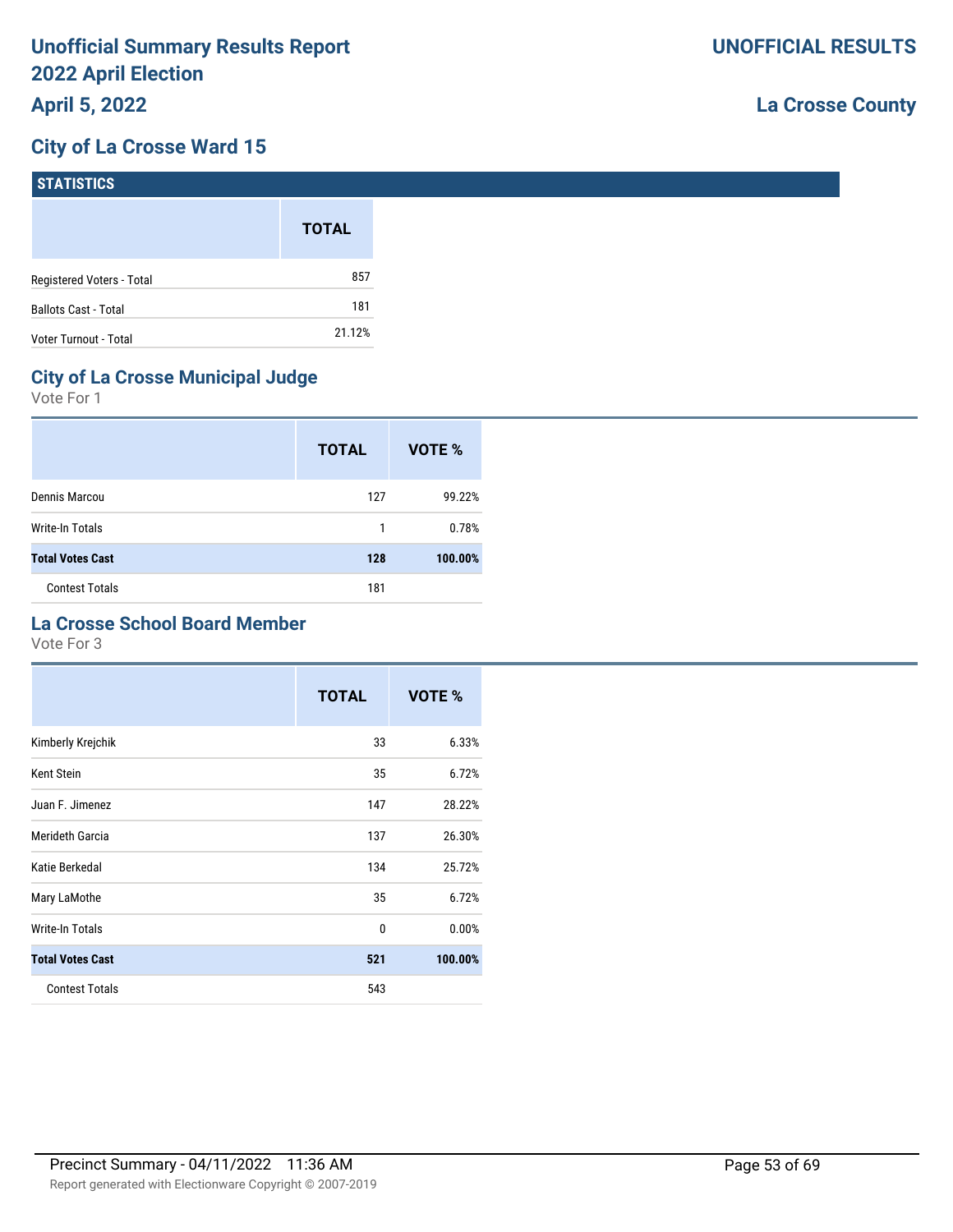# **City of La Crosse Ward 15**

| <b>STATISTICS</b>         |              |
|---------------------------|--------------|
|                           | <b>TOTAL</b> |
| Registered Voters - Total | 857          |
| Ballots Cast - Total      | 181          |
| Voter Turnout - Total     | 21.12%       |

#### **City of La Crosse Municipal Judge**

Vote For 1

|                         | <b>TOTAL</b> | VOTE %  |
|-------------------------|--------------|---------|
| Dennis Marcou           | 127          | 99.22%  |
| Write-In Totals         | 1            | 0.78%   |
| <b>Total Votes Cast</b> | 128          | 100.00% |
| <b>Contest Totals</b>   | 181          |         |

#### **La Crosse School Board Member**

|                         | <b>TOTAL</b> | VOTE %  |
|-------------------------|--------------|---------|
| Kimberly Krejchik       | 33           | 6.33%   |
| Kent Stein              | 35           | 6.72%   |
| Juan F. Jimenez         | 147          | 28.22%  |
| Merideth Garcia         | 137          | 26.30%  |
| Katie Berkedal          | 134          | 25.72%  |
| Mary LaMothe            | 35           | 6.72%   |
| Write-In Totals         | 0            | 0.00%   |
| <b>Total Votes Cast</b> | 521          | 100.00% |
| <b>Contest Totals</b>   | 543          |         |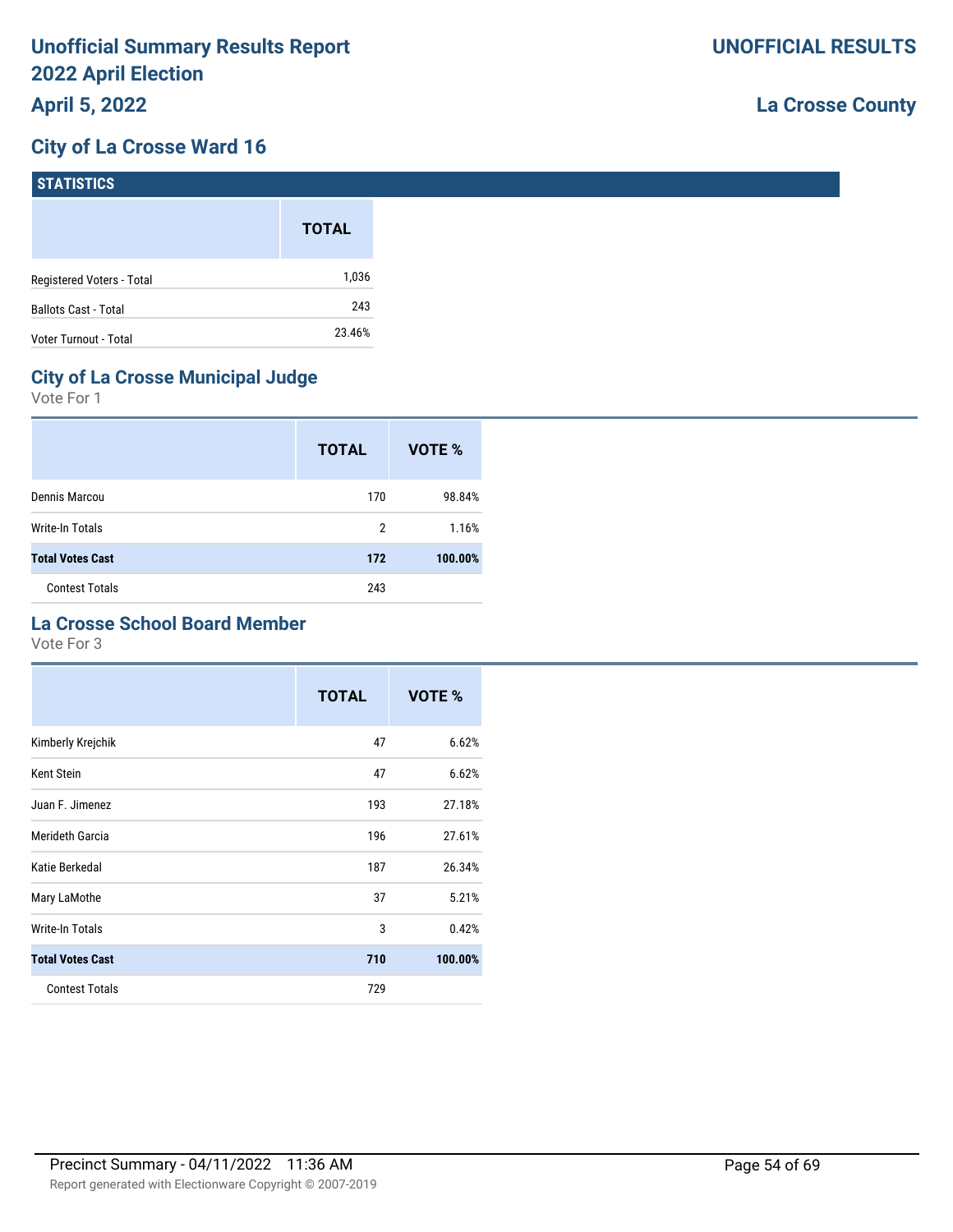# **City of La Crosse Ward 16**

| <b>STATISTICS</b>         |              |
|---------------------------|--------------|
|                           | <b>TOTAL</b> |
| Registered Voters - Total | 1,036        |
| Ballots Cast - Total      | 243          |
| Voter Turnout - Total     | 23.46%       |

#### **City of La Crosse Municipal Judge**

Vote For 1

|                         | <b>TOTAL</b> | VOTE %  |
|-------------------------|--------------|---------|
| Dennis Marcou           | 170          | 98.84%  |
| Write-In Totals         | 2            | 1.16%   |
| <b>Total Votes Cast</b> | 172          | 100.00% |
| <b>Contest Totals</b>   | 243          |         |

#### **La Crosse School Board Member**

|                         | <b>TOTAL</b> | VOTE %  |
|-------------------------|--------------|---------|
| Kimberly Krejchik       | 47           | 6.62%   |
| Kent Stein              | 47           | 6.62%   |
| Juan F. Jimenez         | 193          | 27.18%  |
| Merideth Garcia         | 196          | 27.61%  |
| Katie Berkedal          | 187          | 26.34%  |
| Mary LaMothe            | 37           | 5.21%   |
| Write-In Totals         | 3            | 0.42%   |
| <b>Total Votes Cast</b> | 710          | 100.00% |
| <b>Contest Totals</b>   | 729          |         |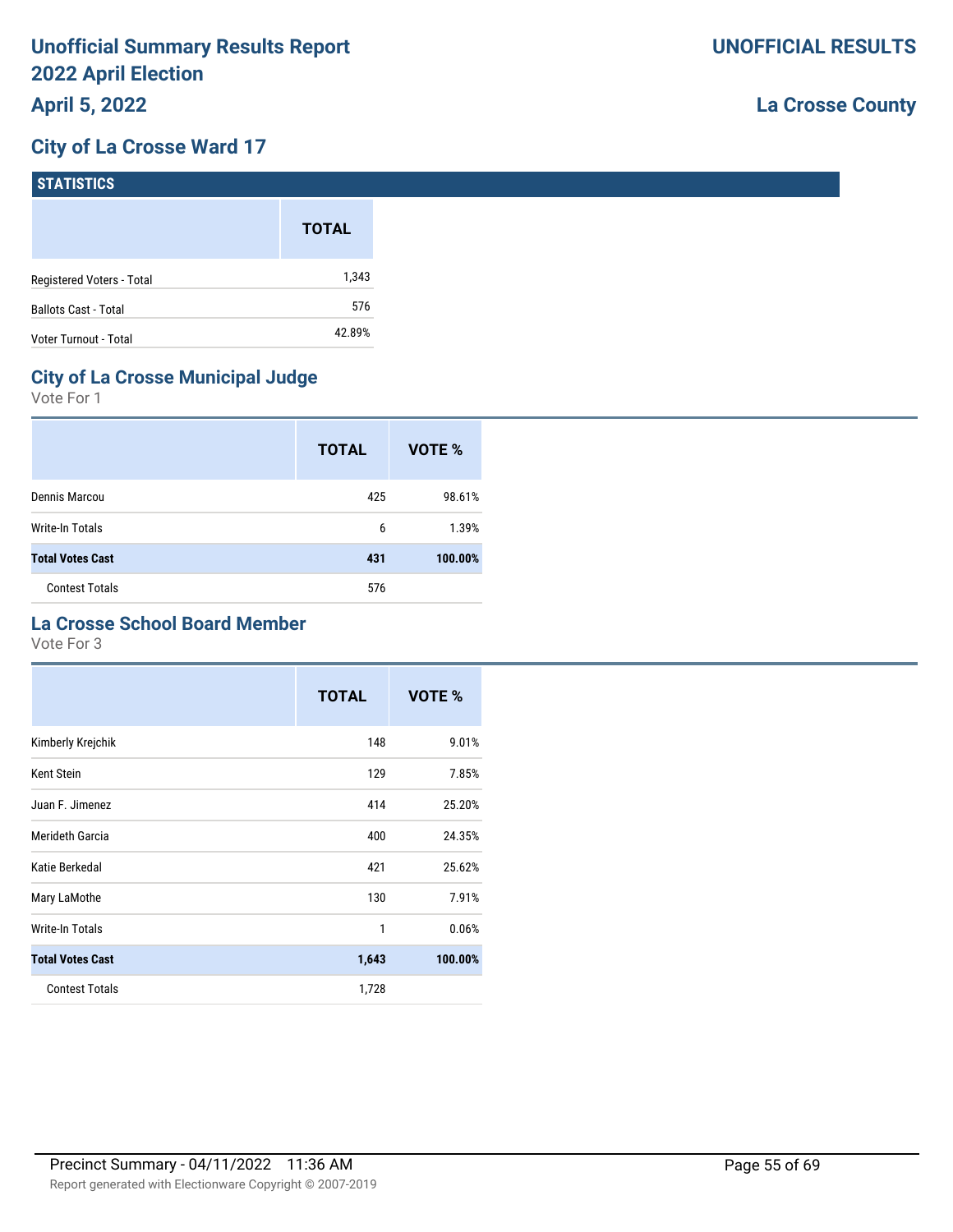# **City of La Crosse Ward 17**

| <b>STATISTICS</b>         |              |
|---------------------------|--------------|
|                           | <b>TOTAL</b> |
| Registered Voters - Total | 1,343        |
| Ballots Cast - Total      | 576          |
| Voter Turnout - Total     | 42.89%       |

#### **City of La Crosse Municipal Judge**

Vote For 1

|                         | <b>TOTAL</b> | VOTE %  |
|-------------------------|--------------|---------|
| Dennis Marcou           | 425          | 98.61%  |
| Write-In Totals         | 6            | 1.39%   |
| <b>Total Votes Cast</b> | 431          | 100.00% |
| <b>Contest Totals</b>   | 576          |         |

#### **La Crosse School Board Member**

|                         | <b>TOTAL</b> | VOTE %  |
|-------------------------|--------------|---------|
| Kimberly Krejchik       | 148          | 9.01%   |
| <b>Kent Stein</b>       | 129          | 7.85%   |
| Juan F. Jimenez         | 414          | 25.20%  |
| <b>Merideth Garcia</b>  | 400          | 24.35%  |
| Katie Berkedal          | 421          | 25.62%  |
| Mary LaMothe            | 130          | 7.91%   |
| Write-In Totals         | 1            | 0.06%   |
| <b>Total Votes Cast</b> | 1,643        | 100.00% |
| <b>Contest Totals</b>   | 1,728        |         |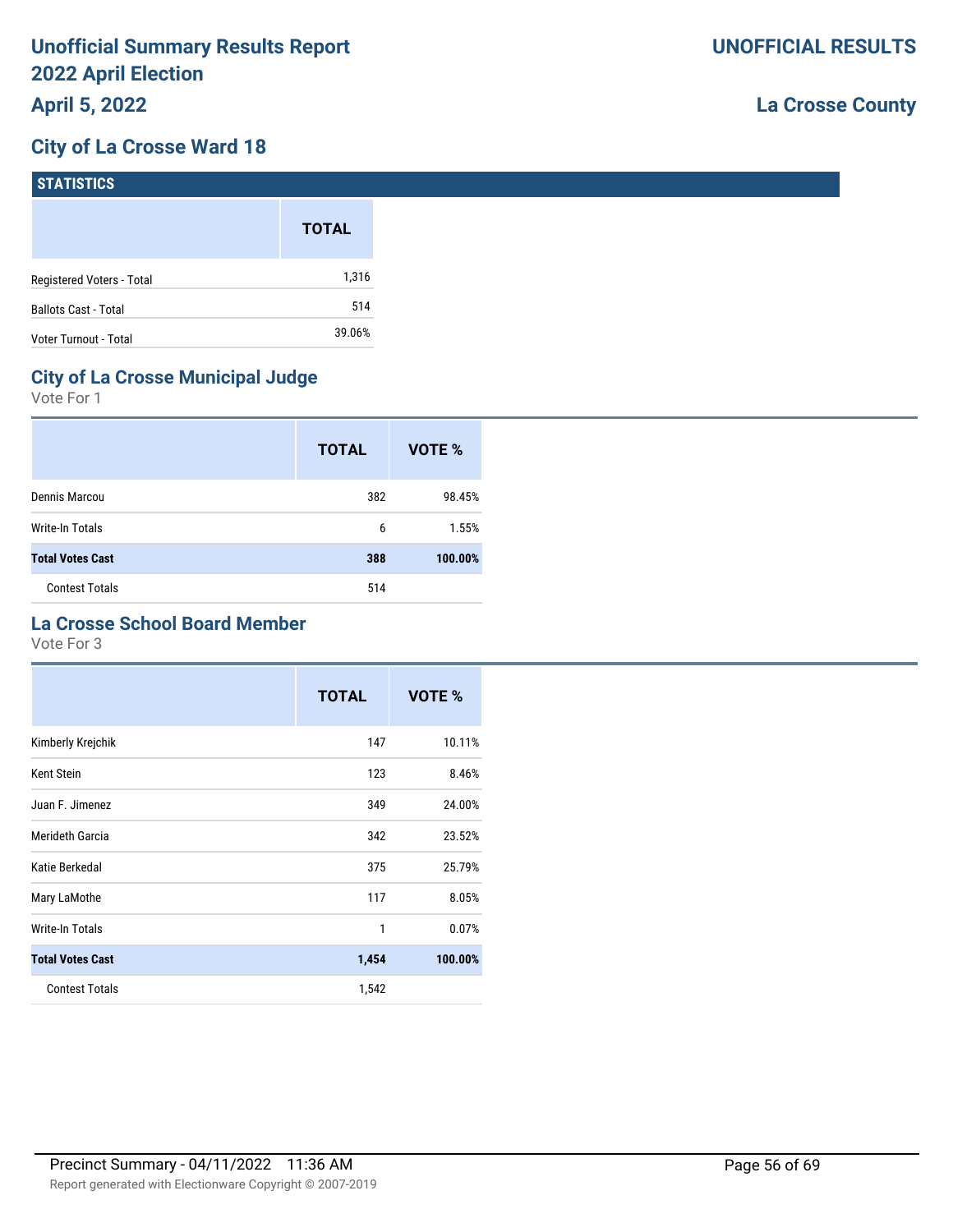# **City of La Crosse Ward 18**

| <b>STATISTICS</b>         |              |
|---------------------------|--------------|
|                           | <b>TOTAL</b> |
| Registered Voters - Total | 1,316        |
| Ballots Cast - Total      | 514          |
| Voter Turnout - Total     | 39.06%       |

#### **City of La Crosse Municipal Judge**

Vote For 1

|                         | <b>TOTAL</b> | VOTE %  |
|-------------------------|--------------|---------|
| Dennis Marcou           | 382          | 98.45%  |
| Write-In Totals         | 6            | 1.55%   |
| <b>Total Votes Cast</b> | 388          | 100.00% |
| <b>Contest Totals</b>   | 514          |         |

#### **La Crosse School Board Member**

|                         | <b>TOTAL</b> | VOTE %  |
|-------------------------|--------------|---------|
| Kimberly Krejchik       | 147          | 10.11%  |
| Kent Stein              | 123          | 8.46%   |
| Juan F. Jimenez         | 349          | 24.00%  |
| Merideth Garcia         | 342          | 23.52%  |
| Katie Berkedal          | 375          | 25.79%  |
| Mary LaMothe            | 117          | 8.05%   |
| Write-In Totals         | 1            | 0.07%   |
| <b>Total Votes Cast</b> | 1,454        | 100.00% |
| <b>Contest Totals</b>   | 1,542        |         |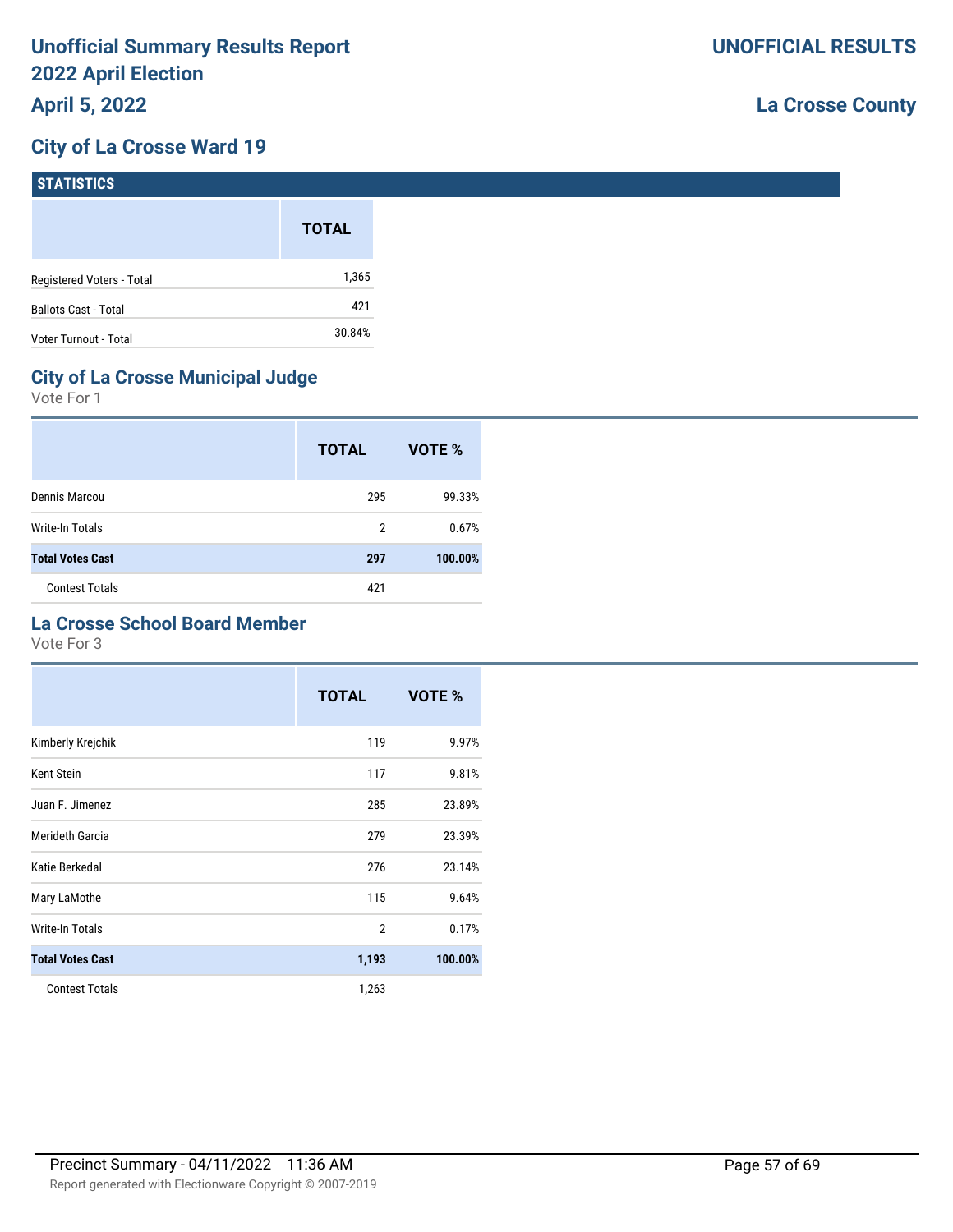# **City of La Crosse Ward 19**

| <b>STATISTICS</b>         |              |
|---------------------------|--------------|
|                           | <b>TOTAL</b> |
| Registered Voters - Total | 1,365        |
| Ballots Cast - Total      | 421          |
| Voter Turnout - Total     | 30.84%       |

#### **City of La Crosse Municipal Judge**

Vote For 1

|                         | <b>TOTAL</b> | VOTE %  |
|-------------------------|--------------|---------|
| Dennis Marcou           | 295          | 99.33%  |
| Write-In Totals         | 2            | 0.67%   |
| <b>Total Votes Cast</b> | 297          | 100.00% |
| <b>Contest Totals</b>   | 421          |         |

#### **La Crosse School Board Member**

|                         | <b>TOTAL</b>   | VOTE %  |
|-------------------------|----------------|---------|
| Kimberly Krejchik       | 119            | 9.97%   |
| <b>Kent Stein</b>       | 117            | 9.81%   |
| Juan F. Jimenez         | 285            | 23.89%  |
| Merideth Garcia         | 279            | 23.39%  |
| Katie Berkedal          | 276            | 23.14%  |
| Mary LaMothe            | 115            | 9.64%   |
| Write-In Totals         | $\overline{2}$ | 0.17%   |
| <b>Total Votes Cast</b> | 1,193          | 100.00% |
| <b>Contest Totals</b>   | 1,263          |         |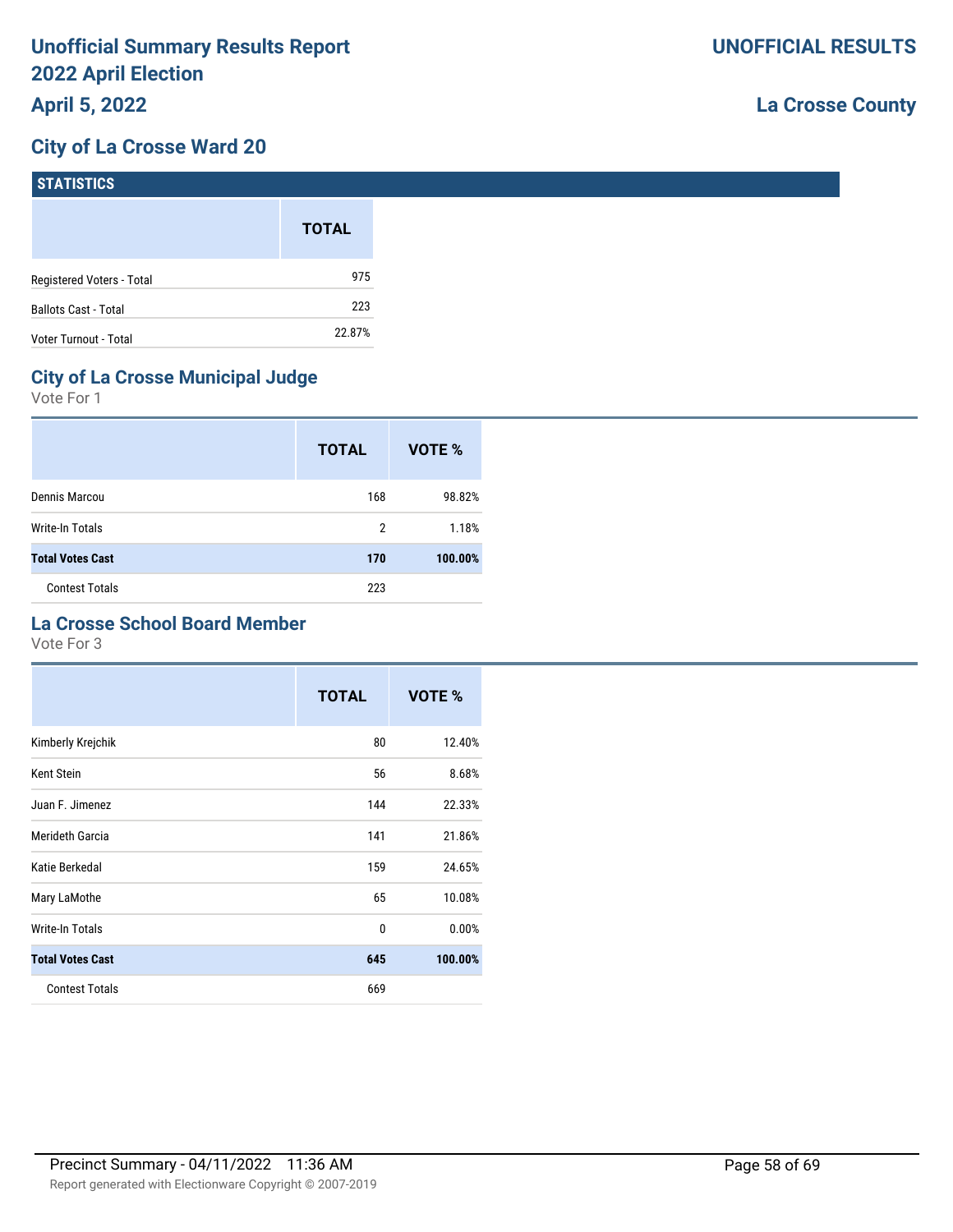# **City of La Crosse Ward 20**

| <b>STATISTICS</b>         |              |
|---------------------------|--------------|
|                           | <b>TOTAL</b> |
| Registered Voters - Total | 975          |
| Ballots Cast - Total      | 223          |
| Voter Turnout - Total     | 22.87%       |

#### **City of La Crosse Municipal Judge**

Vote For 1

|                         | <b>TOTAL</b> | VOTE %  |
|-------------------------|--------------|---------|
| Dennis Marcou           | 168          | 98.82%  |
| Write-In Totals         | 2            | 1.18%   |
| <b>Total Votes Cast</b> | 170          | 100.00% |
| <b>Contest Totals</b>   | 223          |         |

#### **La Crosse School Board Member**

|                         | <b>TOTAL</b> | VOTE %  |
|-------------------------|--------------|---------|
| Kimberly Krejchik       | 80           | 12.40%  |
| Kent Stein              | 56           | 8.68%   |
| Juan F. Jimenez         | 144          | 22.33%  |
| <b>Merideth Garcia</b>  | 141          | 21.86%  |
| Katie Berkedal          | 159          | 24.65%  |
| Mary LaMothe            | 65           | 10.08%  |
| Write-In Totals         | 0            | 0.00%   |
| <b>Total Votes Cast</b> | 645          | 100.00% |
| <b>Contest Totals</b>   | 669          |         |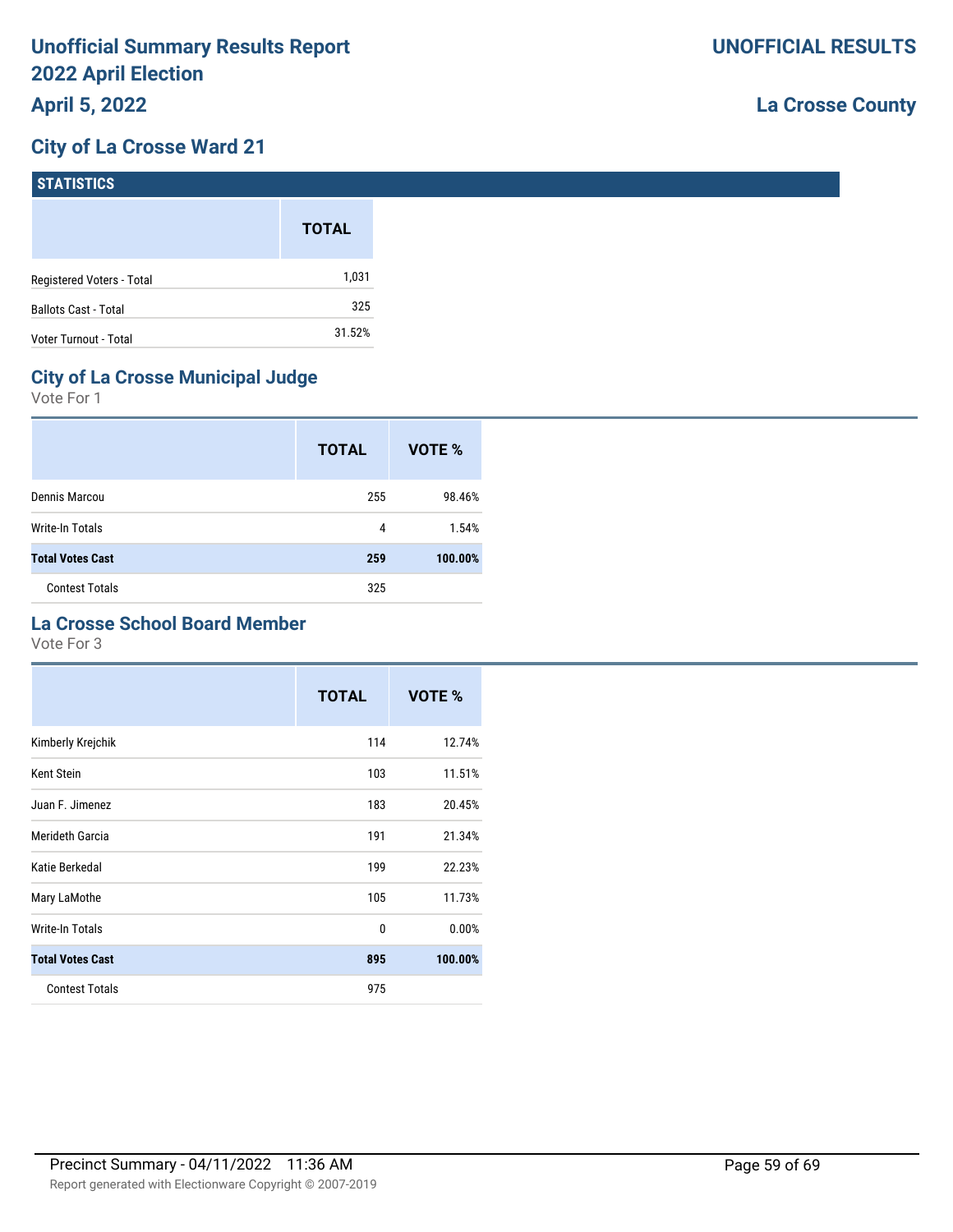# **City of La Crosse Ward 21**

| <b>STATISTICS</b>         |              |
|---------------------------|--------------|
|                           | <b>TOTAL</b> |
| Registered Voters - Total | 1,031        |
| Ballots Cast - Total      | 325          |
| Voter Turnout - Total     | 31.52%       |

#### **City of La Crosse Municipal Judge**

Vote For 1

|                         | <b>TOTAL</b> | VOTE %  |
|-------------------------|--------------|---------|
| Dennis Marcou           | 255          | 98.46%  |
| Write-In Totals         | 4            | 1.54%   |
| <b>Total Votes Cast</b> | 259          | 100.00% |
| <b>Contest Totals</b>   | 325          |         |

#### **La Crosse School Board Member**

|                         | <b>TOTAL</b> | VOTE %  |
|-------------------------|--------------|---------|
| Kimberly Krejchik       | 114          | 12.74%  |
| <b>Kent Stein</b>       | 103          | 11.51%  |
| Juan F. Jimenez         | 183          | 20.45%  |
| Merideth Garcia         | 191          | 21.34%  |
| Katie Berkedal          | 199          | 22.23%  |
| Mary LaMothe            | 105          | 11.73%  |
| Write-In Totals         | $\Omega$     | 0.00%   |
| <b>Total Votes Cast</b> | 895          | 100.00% |
| <b>Contest Totals</b>   | 975          |         |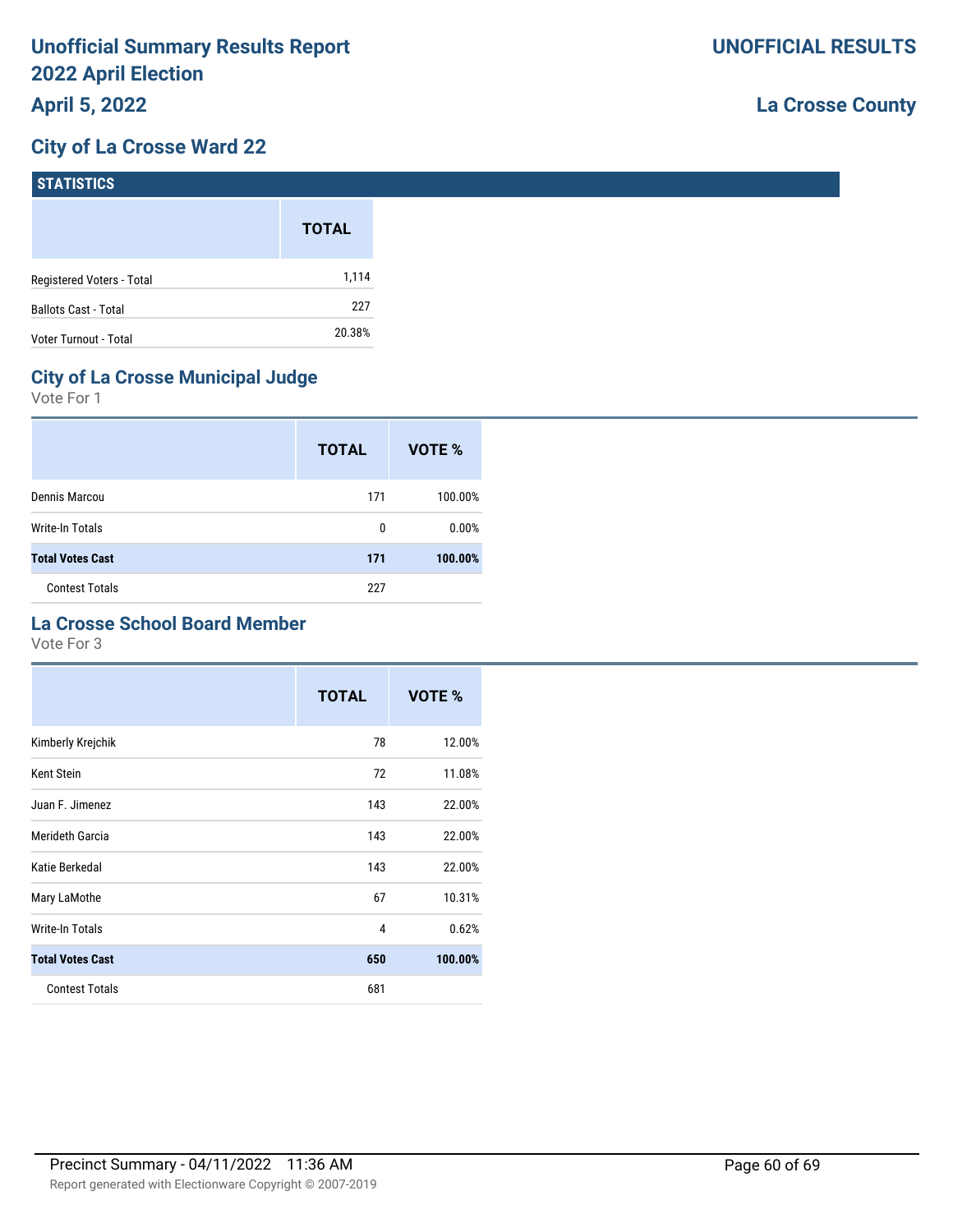# **City of La Crosse Ward 22**

| <b>STATISTICS</b>         |              |
|---------------------------|--------------|
|                           | <b>TOTAL</b> |
| Registered Voters - Total | 1,114        |
| Ballots Cast - Total      | 227          |
| Voter Turnout - Total     | 20.38%       |

#### **City of La Crosse Municipal Judge**

Vote For 1

|                         | <b>TOTAL</b> | VOTE %  |
|-------------------------|--------------|---------|
| Dennis Marcou           | 171          | 100.00% |
| Write-In Totals         | 0            | 0.00%   |
| <b>Total Votes Cast</b> | 171          | 100.00% |
| <b>Contest Totals</b>   | 227          |         |

#### **La Crosse School Board Member**

|                         | <b>TOTAL</b> | VOTE %  |
|-------------------------|--------------|---------|
| Kimberly Krejchik       | 78           | 12.00%  |
| Kent Stein              | 72           | 11.08%  |
| Juan F. Jimenez         | 143          | 22.00%  |
| Merideth Garcia         | 143          | 22.00%  |
| Katie Berkedal          | 143          | 22.00%  |
| Mary LaMothe            | 67           | 10.31%  |
| Write-In Totals         | 4            | 0.62%   |
| <b>Total Votes Cast</b> | 650          | 100.00% |
| <b>Contest Totals</b>   | 681          |         |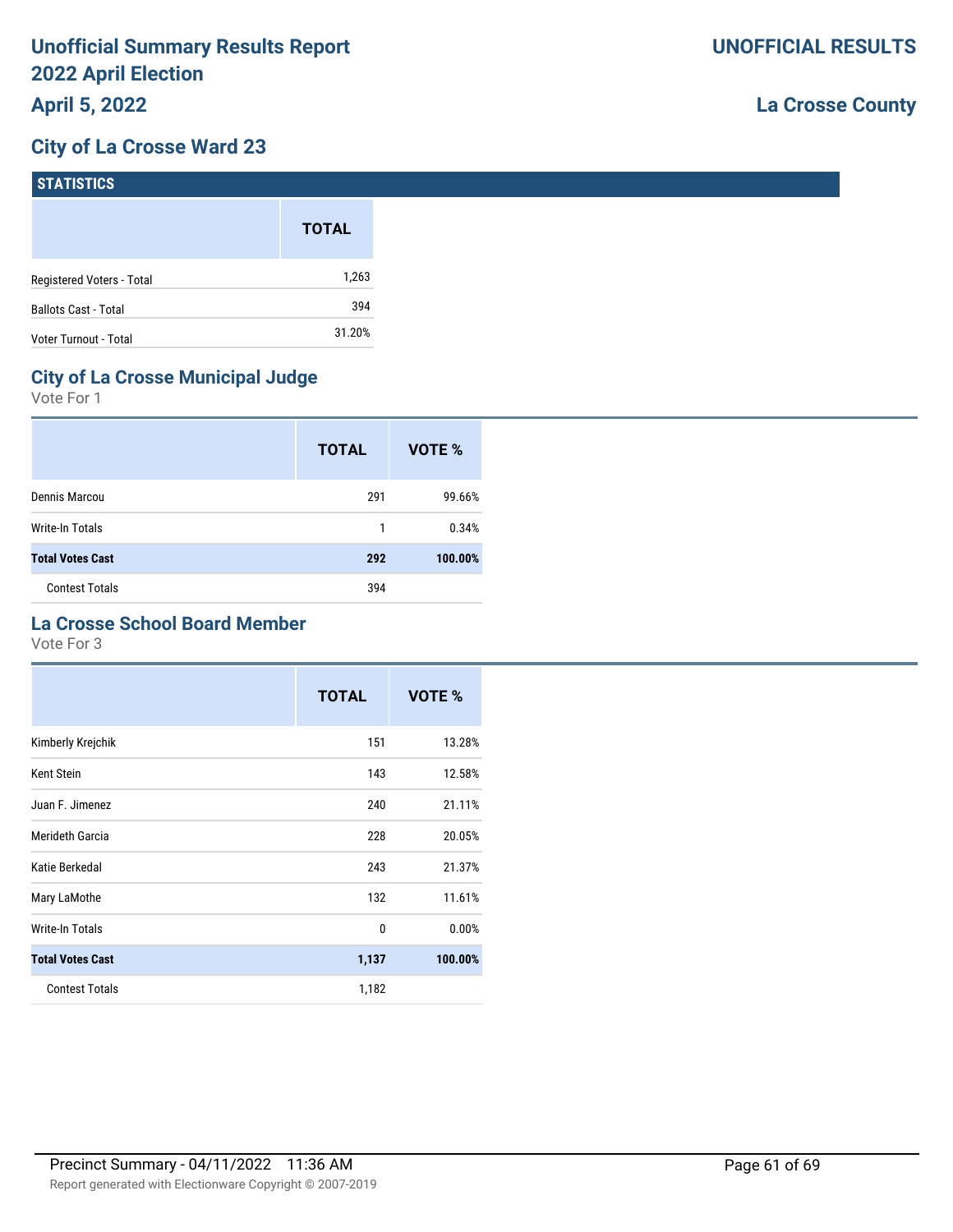# **City of La Crosse Ward 23**

| <b>STATISTICS</b>           |              |
|-----------------------------|--------------|
|                             | <b>TOTAL</b> |
| Registered Voters - Total   | 1,263        |
| <b>Ballots Cast - Total</b> | 394          |
| Voter Turnout - Total       | 31.20%       |

#### **City of La Crosse Municipal Judge**

Vote For 1

|                         | <b>TOTAL</b> | VOTE %  |
|-------------------------|--------------|---------|
| Dennis Marcou           | 291          | 99.66%  |
| Write-In Totals         | 1            | 0.34%   |
| <b>Total Votes Cast</b> | 292          | 100.00% |
| <b>Contest Totals</b>   | 394          |         |

#### **La Crosse School Board Member**

|                         | <b>TOTAL</b> | VOTE %  |
|-------------------------|--------------|---------|
| Kimberly Krejchik       | 151          | 13.28%  |
| <b>Kent Stein</b>       | 143          | 12.58%  |
| Juan F. Jimenez         | 240          | 21.11%  |
| Merideth Garcia         | 228          | 20.05%  |
| Katie Berkedal          | 243          | 21.37%  |
| Mary LaMothe            | 132          | 11.61%  |
| Write-In Totals         | $\Omega$     | 0.00%   |
| <b>Total Votes Cast</b> | 1,137        | 100.00% |
| <b>Contest Totals</b>   | 1,182        |         |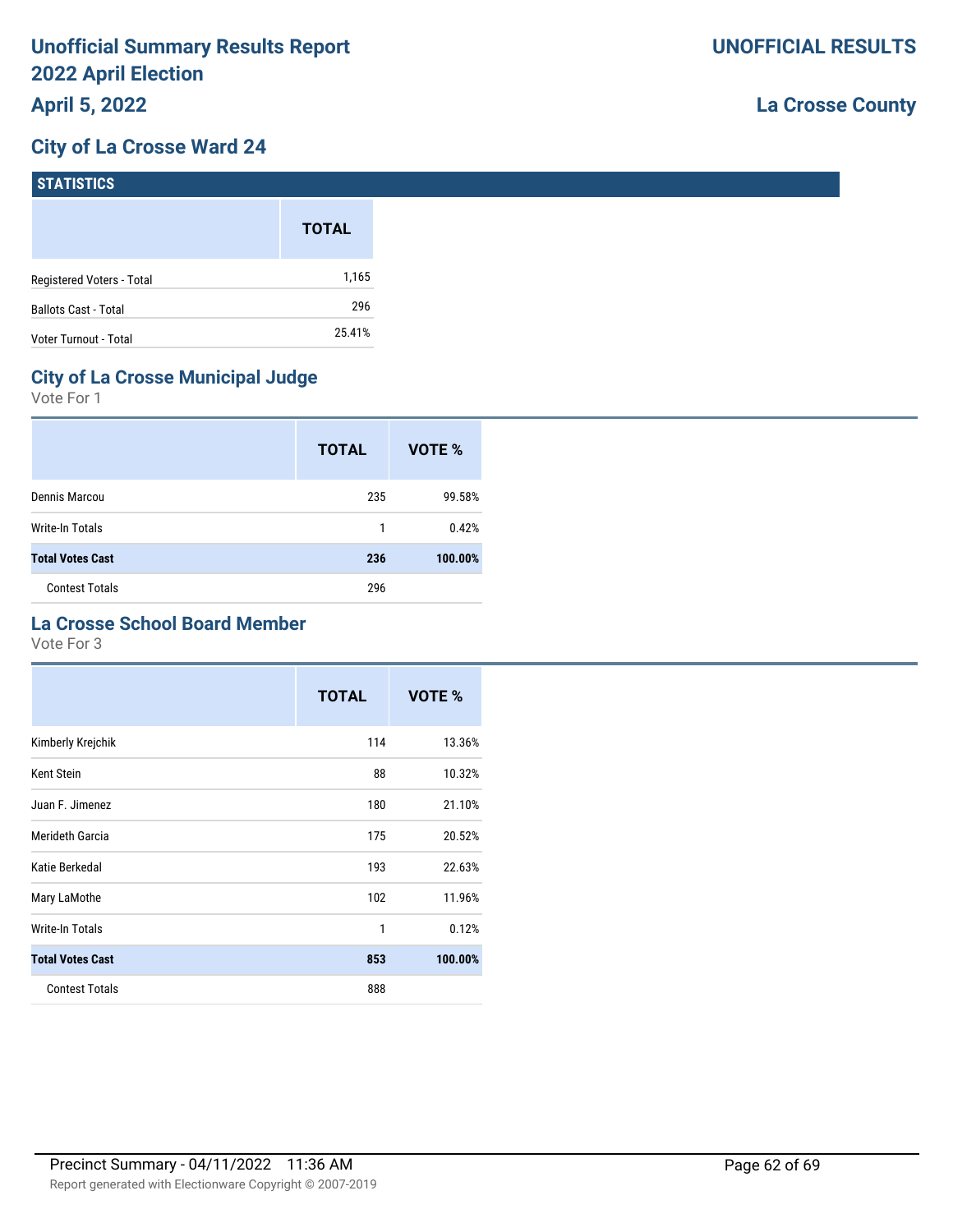# **City of La Crosse Ward 24**

| <b>STATISTICS</b>         |              |
|---------------------------|--------------|
|                           | <b>TOTAL</b> |
| Registered Voters - Total | 1,165        |
| Ballots Cast - Total      | 296          |
| Voter Turnout - Total     | 25.41%       |

#### **City of La Crosse Municipal Judge**

Vote For 1

|                         | <b>TOTAL</b> | VOTE %  |
|-------------------------|--------------|---------|
| Dennis Marcou           | 235          | 99.58%  |
| Write-In Totals         | 1            | 0.42%   |
| <b>Total Votes Cast</b> | 236          | 100.00% |
| <b>Contest Totals</b>   | 296          |         |

#### **La Crosse School Board Member**

|                         | <b>TOTAL</b> | VOTE %  |
|-------------------------|--------------|---------|
| Kimberly Krejchik       | 114          | 13.36%  |
| <b>Kent Stein</b>       | 88           | 10.32%  |
| Juan F. Jimenez         | 180          | 21.10%  |
| Merideth Garcia         | 175          | 20.52%  |
| Katie Berkedal          | 193          | 22.63%  |
| Mary LaMothe            | 102          | 11.96%  |
| Write-In Totals         | 1            | 0.12%   |
| <b>Total Votes Cast</b> | 853          | 100.00% |
| <b>Contest Totals</b>   | 888          |         |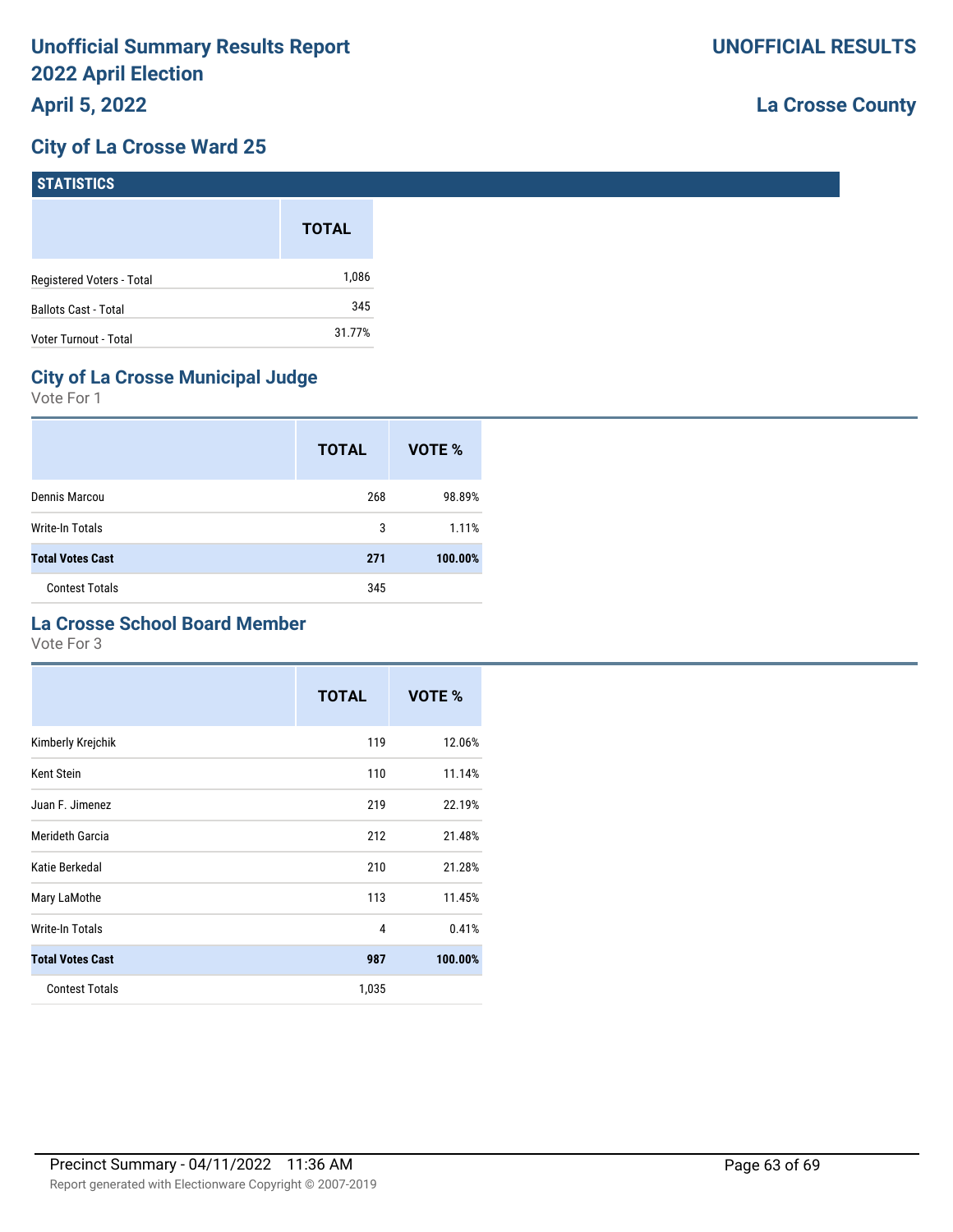# **City of La Crosse Ward 25**

| <b>STATISTICS</b>         |              |
|---------------------------|--------------|
|                           | <b>TOTAL</b> |
| Registered Voters - Total | 1,086        |
| Ballots Cast - Total      | 345          |
| Voter Turnout - Total     | 31.77%       |

#### **City of La Crosse Municipal Judge**

Vote For 1

|                         | <b>TOTAL</b> | VOTE %  |
|-------------------------|--------------|---------|
| Dennis Marcou           | 268          | 98.89%  |
| Write-In Totals         | 3            | 1.11%   |
| <b>Total Votes Cast</b> | 271          | 100.00% |
| <b>Contest Totals</b>   | 345          |         |

#### **La Crosse School Board Member**

|                         | <b>TOTAL</b> | VOTE %  |
|-------------------------|--------------|---------|
| Kimberly Krejchik       | 119          | 12.06%  |
| <b>Kent Stein</b>       | 110          | 11.14%  |
| Juan F. Jimenez         | 219          | 22.19%  |
| Merideth Garcia         | 212          | 21.48%  |
| Katie Berkedal          | 210          | 21.28%  |
| Mary LaMothe            | 113          | 11.45%  |
| Write-In Totals         | 4            | 0.41%   |
| <b>Total Votes Cast</b> | 987          | 100.00% |
| <b>Contest Totals</b>   | 1,035        |         |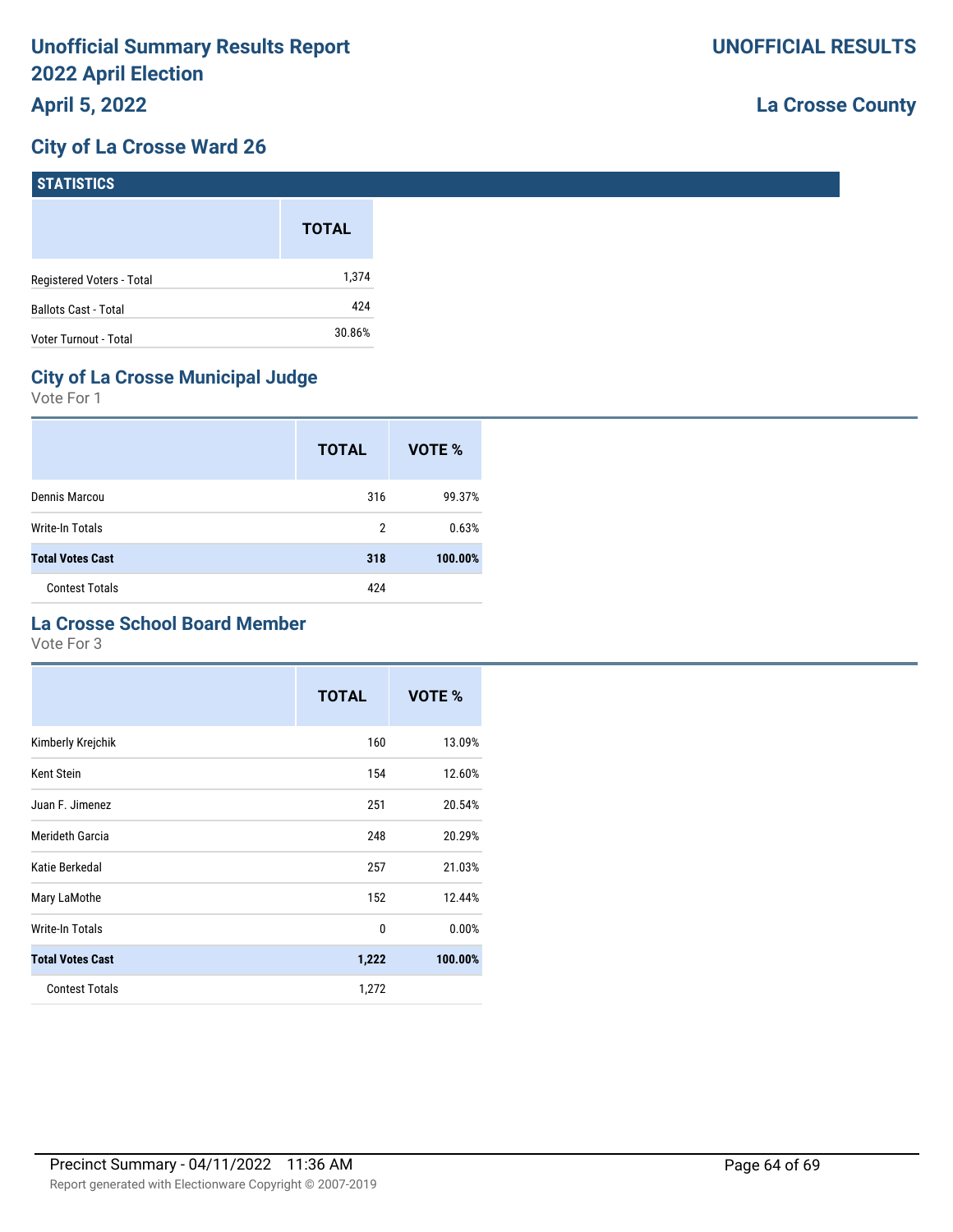# **City of La Crosse Ward 26**

| <b>STATISTICS</b>           |              |
|-----------------------------|--------------|
|                             | <b>TOTAL</b> |
| Registered Voters - Total   | 1,374        |
| <b>Ballots Cast - Total</b> | 424          |
| Voter Turnout - Total       | 30.86%       |

#### **City of La Crosse Municipal Judge**

Vote For 1

|                         | <b>TOTAL</b> | VOTE %  |
|-------------------------|--------------|---------|
| Dennis Marcou           | 316          | 99.37%  |
| Write-In Totals         | 2            | 0.63%   |
| <b>Total Votes Cast</b> | 318          | 100.00% |
| <b>Contest Totals</b>   | 424          |         |

#### **La Crosse School Board Member**

|                         | <b>TOTAL</b> | VOTE %  |
|-------------------------|--------------|---------|
| Kimberly Krejchik       | 160          | 13.09%  |
| Kent Stein              | 154          | 12.60%  |
| Juan F. Jimenez         | 251          | 20.54%  |
| Merideth Garcia         | 248          | 20.29%  |
| Katie Berkedal          | 257          | 21.03%  |
| Mary LaMothe            | 152          | 12.44%  |
| Write-In Totals         | 0            | 0.00%   |
| <b>Total Votes Cast</b> | 1,222        | 100.00% |
| <b>Contest Totals</b>   | 1,272        |         |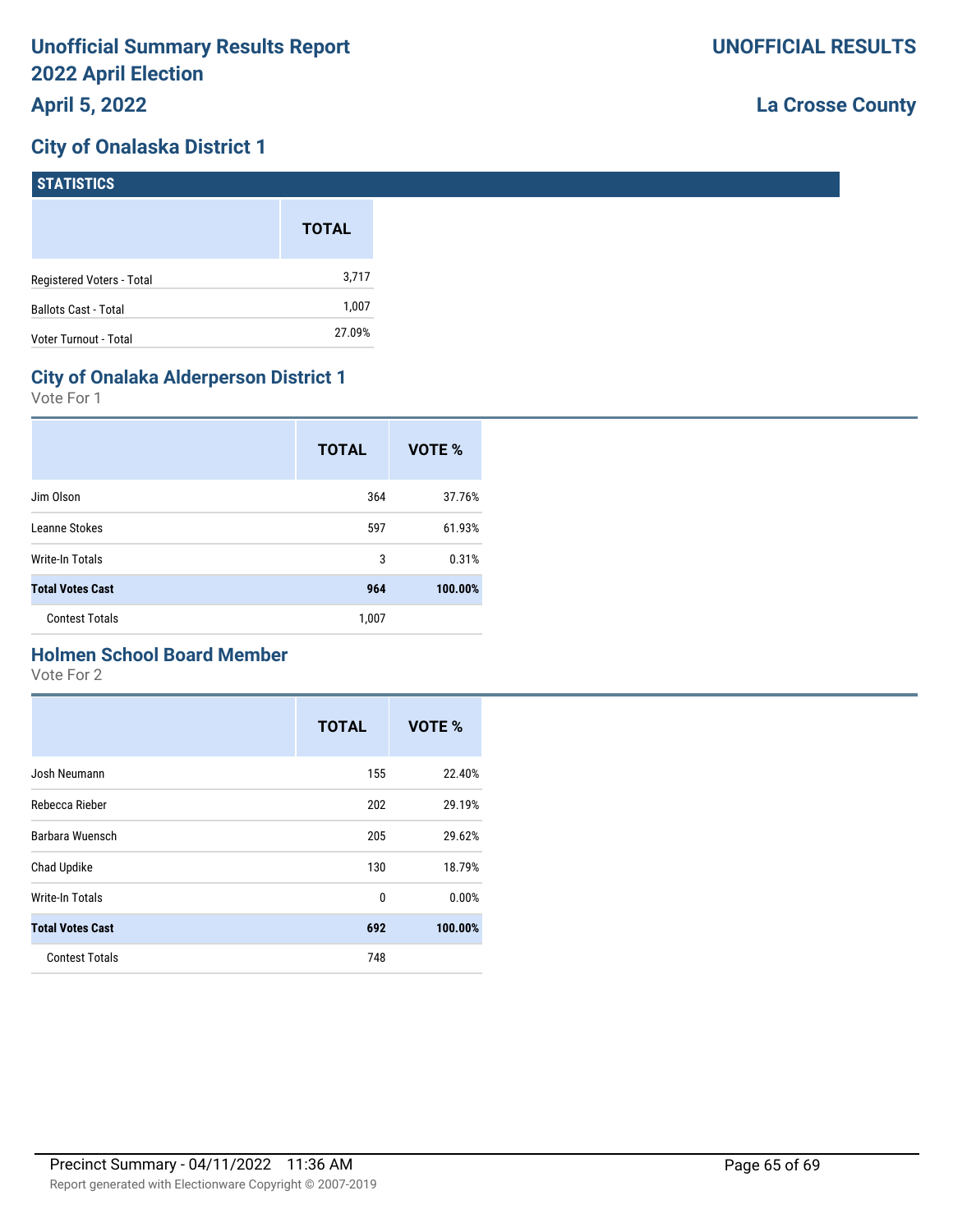# **City of Onalaska District 1**

| <b>STATISTICS</b>           |              |
|-----------------------------|--------------|
|                             | <b>TOTAL</b> |
| Registered Voters - Total   | 3,717        |
| <b>Ballots Cast - Total</b> | 1,007        |
| Voter Turnout - Total       | 27.09%       |

#### **City of Onalaka Alderperson District 1**

Vote For 1

|                         | <b>TOTAL</b> | VOTE %  |
|-------------------------|--------------|---------|
| Jim Olson               | 364          | 37.76%  |
| Leanne Stokes           | 597          | 61.93%  |
| Write-In Totals         | 3            | 0.31%   |
| <b>Total Votes Cast</b> | 964          | 100.00% |
| <b>Contest Totals</b>   | 1,007        |         |

#### **Holmen School Board Member**

|                         | <b>TOTAL</b> | VOTE %  |
|-------------------------|--------------|---------|
| Josh Neumann            | 155          | 22.40%  |
| Rebecca Rieber          | 202          | 29.19%  |
| Barbara Wuensch         | 205          | 29.62%  |
| Chad Updike             | 130          | 18.79%  |
| <b>Write-In Totals</b>  | 0            | 0.00%   |
| <b>Total Votes Cast</b> | 692          | 100.00% |
| <b>Contest Totals</b>   | 748          |         |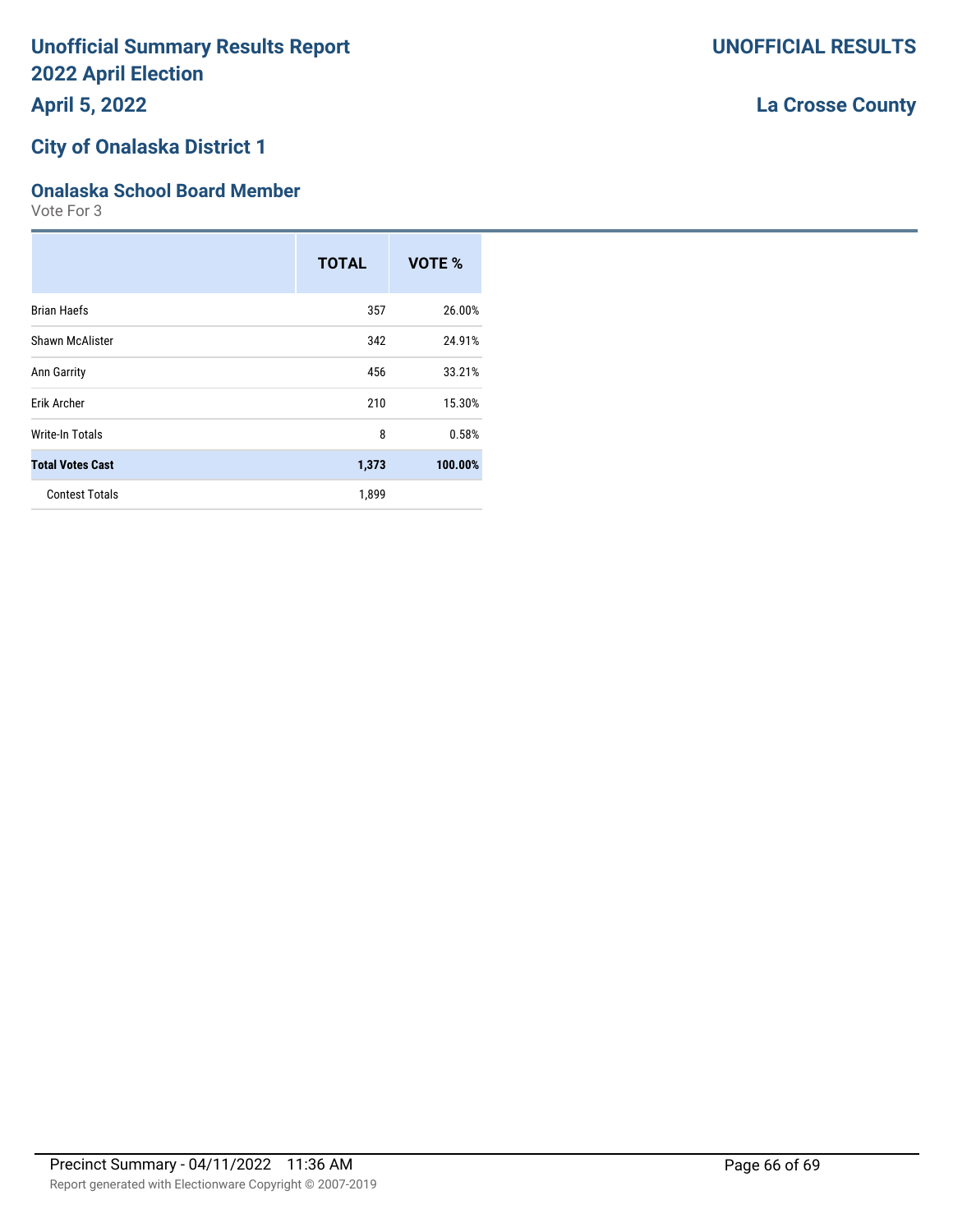# **La Crosse County**

# **City of Onalaska District 1**

### **Onalaska School Board Member**

|                         | <b>TOTAL</b> | <b>VOTE %</b> |
|-------------------------|--------------|---------------|
| <b>Brian Haefs</b>      | 357          | 26.00%        |
| <b>Shawn McAlister</b>  | 342          | 24.91%        |
| Ann Garrity             | 456          | 33.21%        |
| Erik Archer             | 210          | 15.30%        |
| Write-In Totals         | 8            | 0.58%         |
| <b>Total Votes Cast</b> | 1,373        | 100.00%       |
| <b>Contest Totals</b>   | 1,899        |               |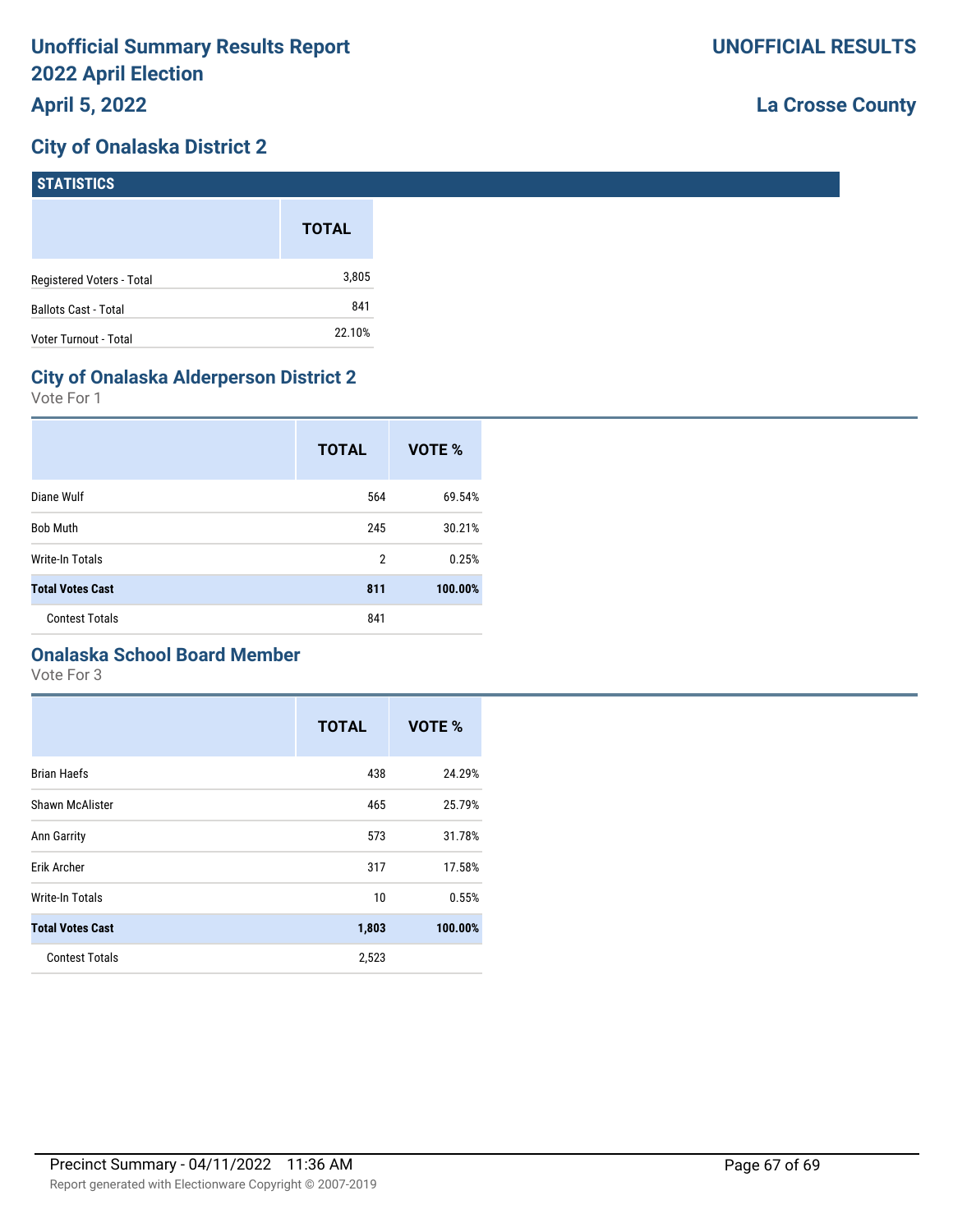# **City of Onalaska District 2**

| <b>STATISTICS</b>         |              |
|---------------------------|--------------|
|                           | <b>TOTAL</b> |
| Registered Voters - Total | 3,805        |
| Ballots Cast - Total      | 841          |
| Voter Turnout - Total     | 22.10%       |

#### **City of Onalaska Alderperson District 2**

Vote For 1

|                         | <b>TOTAL</b>   | VOTE %  |
|-------------------------|----------------|---------|
| Diane Wulf              | 564            | 69.54%  |
| <b>Bob Muth</b>         | 245            | 30.21%  |
| Write-In Totals         | $\overline{2}$ | 0.25%   |
| <b>Total Votes Cast</b> | 811            | 100.00% |
| <b>Contest Totals</b>   | 841            |         |

### **Onalaska School Board Member**

|                         | <b>TOTAL</b> | VOTE %  |
|-------------------------|--------------|---------|
| <b>Brian Haefs</b>      | 438          | 24.29%  |
| Shawn McAlister         | 465          | 25.79%  |
| <b>Ann Garrity</b>      | 573          | 31.78%  |
| Erik Archer             | 317          | 17.58%  |
| <b>Write-In Totals</b>  | 10           | 0.55%   |
| <b>Total Votes Cast</b> | 1,803        | 100.00% |
| <b>Contest Totals</b>   | 2,523        |         |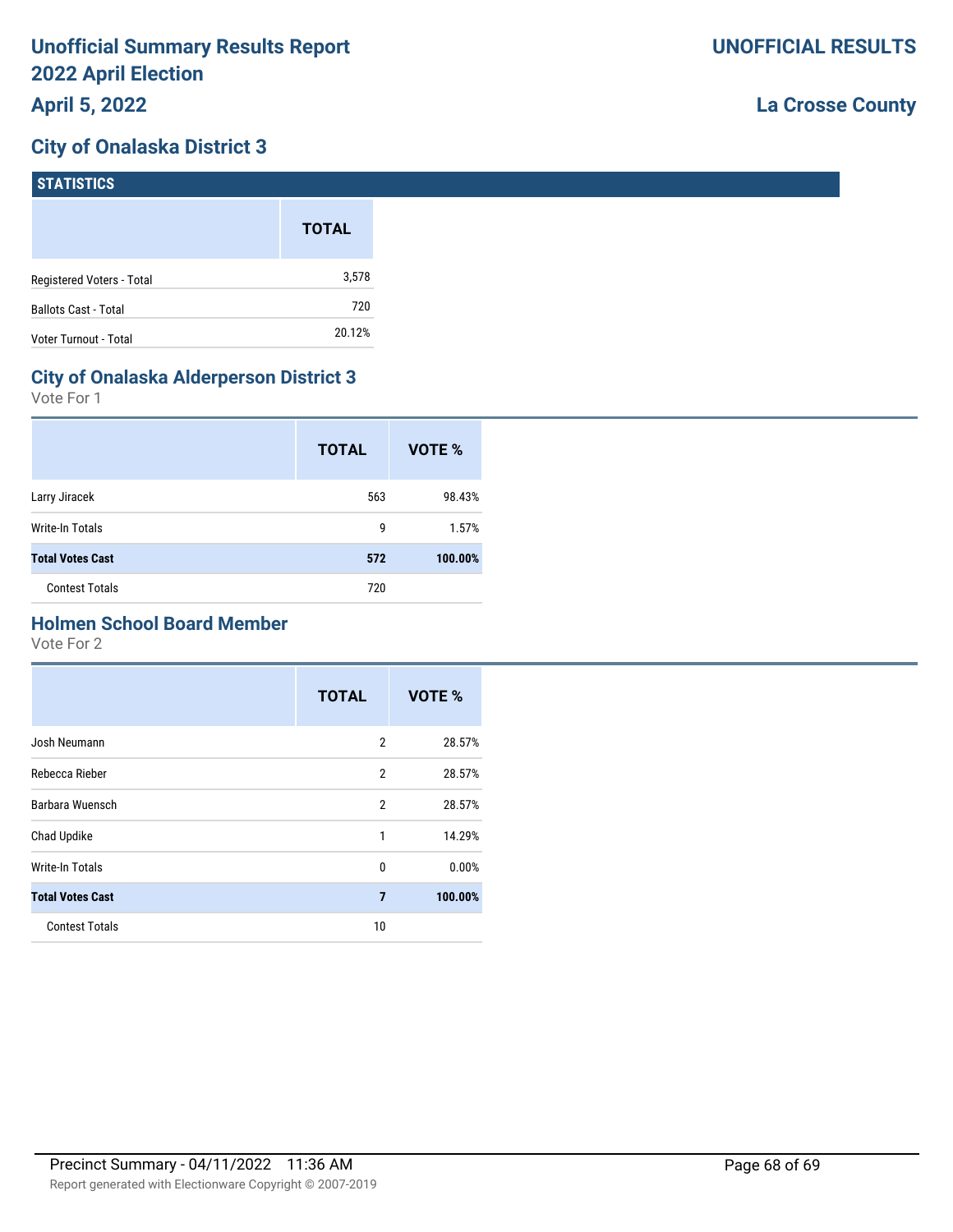# **City of Onalaska District 3**

| <b>STATISTICS</b>         |              |
|---------------------------|--------------|
|                           | <b>TOTAL</b> |
| Registered Voters - Total | 3,578        |
| Ballots Cast - Total      | 720          |
| Voter Turnout - Total     | 20.12%       |

#### **City of Onalaska Alderperson District 3**

Vote For 1

|                         | <b>TOTAL</b> | VOTE %  |
|-------------------------|--------------|---------|
| Larry Jiracek           | 563          | 98.43%  |
| Write-In Totals         | 9            | 1.57%   |
| <b>Total Votes Cast</b> | 572          | 100.00% |
| <b>Contest Totals</b>   | 720          |         |

#### **Holmen School Board Member**

|                         | <b>TOTAL</b>   | VOTE %  |
|-------------------------|----------------|---------|
| Josh Neumann            | $\overline{2}$ | 28.57%  |
| Rebecca Rieber          | 2              | 28.57%  |
| Barbara Wuensch         | $\overline{2}$ | 28.57%  |
| Chad Updike             | 1              | 14.29%  |
| <b>Write-In Totals</b>  | 0              | 0.00%   |
| <b>Total Votes Cast</b> | 7              | 100.00% |
| <b>Contest Totals</b>   | 10             |         |